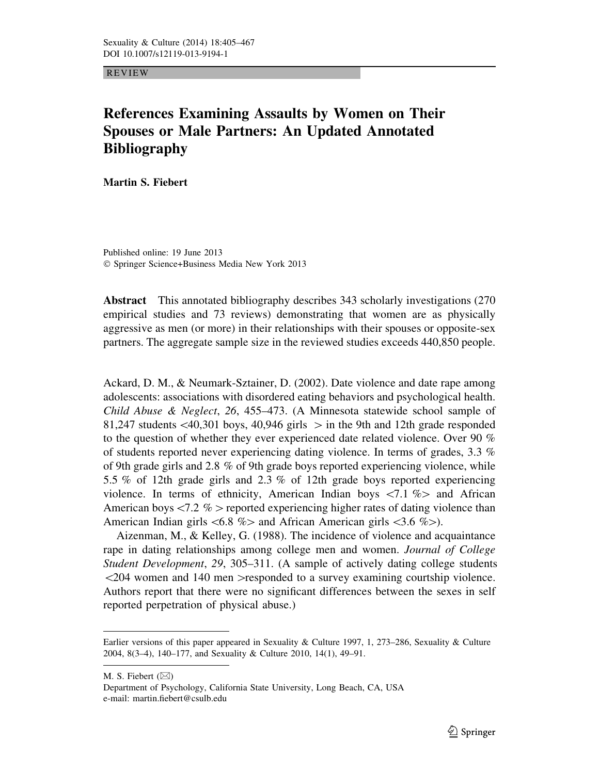REVIEW

## References Examining Assaults by Women on Their Spouses or Male Partners: An Updated Annotated Bibliography

Martin S. Fiebert

Published online: 19 June 2013 ! Springer Science+Business Media New York 2013

Abstract This annotated bibliography describes 343 scholarly investigations (270 empirical studies and 73 reviews) demonstrating that women are as physically aggressive as men (or more) in their relationships with their spouses or opposite-sex partners. The aggregate sample size in the reviewed studies exceeds 440,850 people.

Ackard, D. M., & Neumark-Sztainer, D. (2002). Date violence and date rape among adolescents: associations with disordered eating behaviors and psychological health. Child Abuse & Neglect, 26, 455–473. (A Minnesota statewide school sample of 81,247 students  $\langle 40,301 \text{ boys}, 40,946 \text{ girls} \rangle$  in the 9th and 12th grade responded to the question of whether they ever experienced date related violence. Over 90  $\%$ of students reported never experiencing dating violence. In terms of grades, 3.3 % of 9th grade girls and 2.8 % of 9th grade boys reported experiencing violence, while 5.5 % of 12th grade girls and 2.3 % of 12th grade boys reported experiencing violence. In terms of ethnicity, American Indian boys  $\langle 7.1 \text{ %} \rangle$  and African American boys  $\langle7.2 \, \%$  = reported experiencing higher rates of dating violence thanAmerican Indian girls  $\langle 6.8 \text{ %} \rangle$  and African American girls  $\langle 3.6 \text{ %} \rangle$ .

Aizenman, M., & Kelley, G. (1988). The incidence of violence and acquaintance rape in dating relationships among college men and women. Journal of College Student Development, 29, 305–311. (A sample of actively dating college students  $\langle 204 \rangle$  women and 140 men  $>$ responded to a survey examining courtship violence. Authors report that there were no significant differences between the sexes in self reported perpetration of physical abuse.)

M. S. Fiebert  $(\boxtimes)$ 

Department of Psychology, California State University, Long Beach, CA, USA e-mail: martin.fiebert@csulb.edu

Earlier versions of this paper appeared in Sexuality & Culture 1997, 1, 273–286, Sexuality & Culture 2004, 8(3–4), 140–177, and Sexuality & Culture 2010, 14(1), 49–91.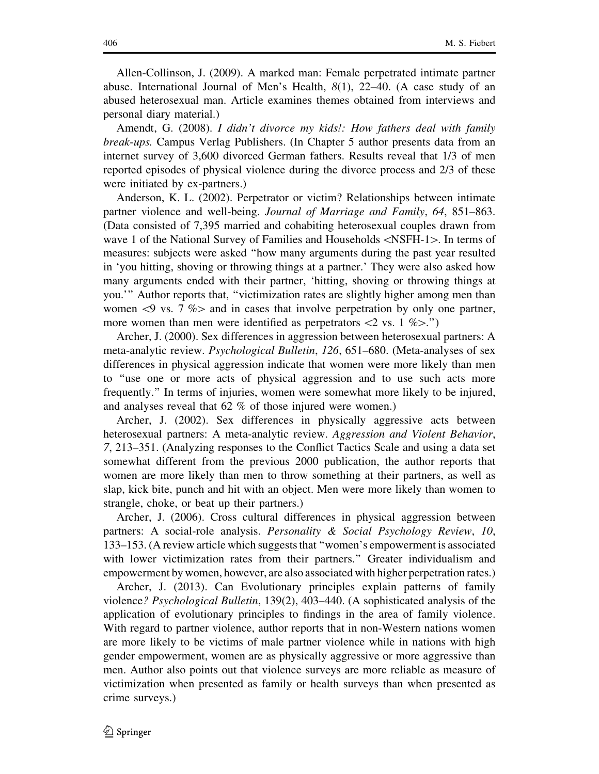Allen-Collinson, J. (2009). A marked man: Female perpetrated intimate partner abuse. International Journal of Men's Health,  $8(1)$ ,  $22-40$ . (A case study of an abused heterosexual man. Article examines themes obtained from interviews and personal diary material.)

Amendt, G. (2008). I didn't divorce my kids!: How fathers deal with family break-ups. Campus Verlag Publishers. (In Chapter 5 author presents data from an internet survey of 3,600 divorced German fathers. Results reveal that 1/3 of men reported episodes of physical violence during the divorce process and 2/3 of these were initiated by ex-partners.)

Anderson, K. L. (2002). Perpetrator or victim? Relationships between intimate partner violence and well-being. Journal of Marriage and Family, 64, 851–863. (Data consisted of 7,395 married and cohabiting heterosexual couples drawn from wave 1 of the National Survey of Families and Households  $\langle$ NSFH-1 $>$ . In terms of measures: subjects were asked ''how many arguments during the past year resulted in 'you hitting, shoving or throwing things at a partner.' They were also asked how many arguments ended with their partner, 'hitting, shoving or throwing things at you.''' Author reports that, ''victimization rates are slightly higher among men than women  $\langle 9 \text{ vs. } 7 \% \rangle$  and in cases that involve perpetration by only one partner, more women than men were identified as perpetrators  $\langle 2 \text{ vs. } 1 \% \rangle$ .")

Archer, J. (2000). Sex differences in aggression between heterosexual partners: A meta-analytic review. Psychological Bulletin, 126, 651–680. (Meta-analyses of sex differences in physical aggression indicate that women were more likely than men to ''use one or more acts of physical aggression and to use such acts more frequently.'' In terms of injuries, women were somewhat more likely to be injured, and analyses reveal that 62 % of those injured were women.)

Archer, J. (2002). Sex differences in physically aggressive acts between heterosexual partners: A meta-analytic review. Aggression and Violent Behavior, 7, 213–351. (Analyzing responses to the Conflict Tactics Scale and using a data set somewhat different from the previous 2000 publication, the author reports that women are more likely than men to throw something at their partners, as well as slap, kick bite, punch and hit with an object. Men were more likely than women to strangle, choke, or beat up their partners.)

Archer, J. (2006). Cross cultural differences in physical aggression between partners: A social-role analysis. Personality & Social Psychology Review, 10, 133–153. (A review article which suggests that ''women's empowerment is associated with lower victimization rates from their partners.'' Greater individualism and empowerment by women, however, are also associated with higher perpetration rates.)

Archer, J. (2013). Can Evolutionary principles explain patterns of family violence? Psychological Bulletin, 139(2), 403–440. (A sophisticated analysis of the application of evolutionary principles to findings in the area of family violence. With regard to partner violence, author reports that in non-Western nations women are more likely to be victims of male partner violence while in nations with high gender empowerment, women are as physically aggressive or more aggressive than men. Author also points out that violence surveys are more reliable as measure of victimization when presented as family or health surveys than when presented as crime surveys.)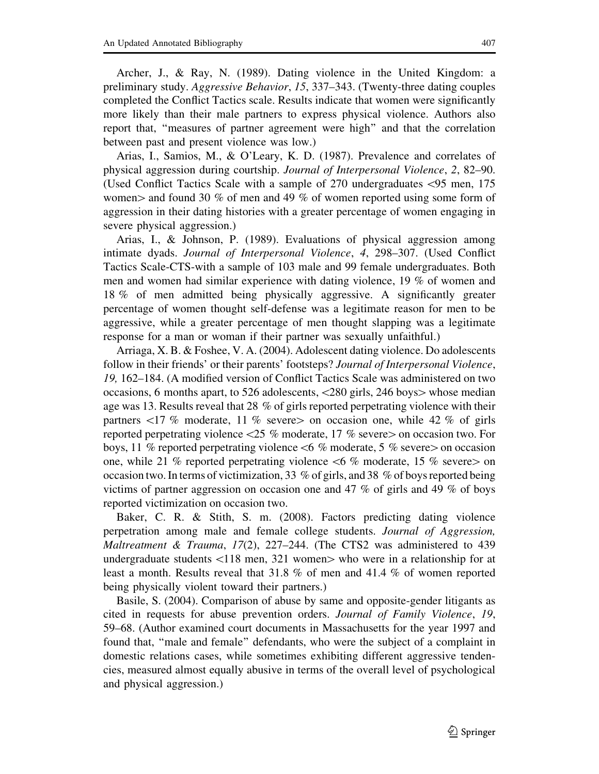Archer, J., & Ray, N. (1989). Dating violence in the United Kingdom: a preliminary study. Aggressive Behavior, 15, 337–343. (Twenty-three dating couples completed the Conflict Tactics scale. Results indicate that women were significantly more likely than their male partners to express physical violence. Authors also report that, ''measures of partner agreement were high'' and that the correlation between past and present violence was low.)

Arias, I., Samios, M., & O'Leary, K. D. (1987). Prevalence and correlates of physical aggression during courtship. Journal of Interpersonal Violence, 2, 82–90. (Used Conflict Tactics Scale with a sample of 270 undergraduates \95 men, 175 women  $>$  and found 30 % of men and 49 % of women reported using some form of aggression in their dating histories with a greater percentage of women engaging in severe physical aggression.)

Arias, I., & Johnson, P. (1989). Evaluations of physical aggression among intimate dyads. Journal of Interpersonal Violence, 4, 298–307. (Used Conflict Tactics Scale-CTS-with a sample of 103 male and 99 female undergraduates. Both men and women had similar experience with dating violence, 19 % of women and 18 % of men admitted being physically aggressive. A significantly greater percentage of women thought self-defense was a legitimate reason for men to be aggressive, while a greater percentage of men thought slapping was a legitimate response for a man or woman if their partner was sexually unfaithful.)

Arriaga, X. B. & Foshee, V. A. (2004). Adolescent dating violence. Do adolescents follow in their friends' or their parents' footsteps? *Journal of Interpersonal Violence*, 19, 162–184. (A modified version of Conflict Tactics Scale was administered on two occasions, 6 months apart, to 526 adolescents,  $\langle 280 \text{ girls}, 246 \text{ boys} \rangle$  whose median age was 13. Results reveal that 28 % of girls reported perpetrating violence with their partners  $\langle 17 \%$  moderate, 11 % severes on occasion one, while 42 % of girls reported perpetrating violence  $\langle 25 \, \% \rangle$  moderate, 17 % severe  $>$  on occasion two. For boys, 11 % reported perpetrating violence  $\lt 6$  % moderate, 5 % severe on occasion one, while 21 % reported perpetrating violence  $\lt 6$  % moderate, 15 % severes on occasion two. In terms of victimization, 33 % of girls, and 38 % of boys reported being victims of partner aggression on occasion one and 47 % of girls and 49 % of boys reported victimization on occasion two.

Baker, C. R. & Stith, S. m. (2008). Factors predicting dating violence perpetration among male and female college students. Journal of Aggression, *Maltreatment & Trauma, 17(2), 227–244.* (The CTS2 was administered to 439 undergraduate students  $\langle 118 \text{ men}, 321 \text{ women} \rangle$  who were in a relationship for at least a month. Results reveal that 31.8 % of men and 41.4 % of women reported being physically violent toward their partners.)

Basile, S. (2004). Comparison of abuse by same and opposite-gender litigants as cited in requests for abuse prevention orders. Journal of Family Violence, 19, 59–68. (Author examined court documents in Massachusetts for the year 1997 and found that, ''male and female'' defendants, who were the subject of a complaint in domestic relations cases, while sometimes exhibiting different aggressive tendencies, measured almost equally abusive in terms of the overall level of psychological and physical aggression.)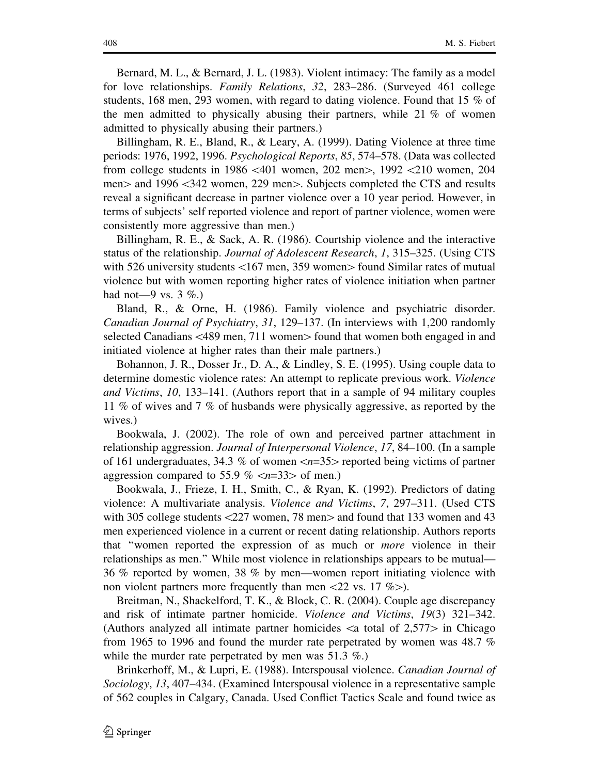Bernard, M. L., & Bernard, J. L. (1983). Violent intimacy: The family as a model for love relationships. Family Relations, 32, 283–286. (Surveyed 461 college students, 168 men, 293 women, with regard to dating violence. Found that 15 % of the men admitted to physically abusing their partners, while 21 % of women admitted to physically abusing their partners.)

Billingham, R. E., Bland, R., & Leary, A. (1999). Dating Violence at three time periods: 1976, 1992, 1996. Psychological Reports, 85, 574–578. (Data was collected from college students in 1986  $\leq 401$  women, 202 men $>$ , 1992  $\leq 210$  women, 204 men ind 1996 < 342 women, 229 men is. Subjects completed the CTS and results reveal a significant decrease in partner violence over a 10 year period. However, in terms of subjects' self reported violence and report of partner violence, women were consistently more aggressive than men.)

Billingham, R. E., & Sack, A. R. (1986). Courtship violence and the interactive status of the relationship. Journal of Adolescent Research, 1, 315–325. (Using CTS with 526 university students  $\langle167 \text{ men}, 359 \text{ women} \rangle$  found Similar rates of mutual violence but with women reporting higher rates of violence initiation when partner had not—9 vs.  $3\%$ .)

Bland, R., & Orne, H. (1986). Family violence and psychiatric disorder. Canadian Journal of Psychiatry, 31, 129–137. (In interviews with 1,200 randomly selected Canadians  $\langle 489 \rangle$  men, 711 women $>$  found that women both engaged in and initiated violence at higher rates than their male partners.)

Bohannon, J. R., Dosser Jr., D. A., & Lindley, S. E. (1995). Using couple data to determine domestic violence rates: An attempt to replicate previous work. Violence and Victims, 10, 133–141. (Authors report that in a sample of 94 military couples 11 % of wives and 7 % of husbands were physically aggressive, as reported by the wives.)

Bookwala, J. (2002). The role of own and perceived partner attachment in relationship aggression. Journal of Interpersonal Violence, 17, 84–100. (In a sample of 161 undergraduates, 34.3 % of women $\langle n=35\rangle$  reported being victims of partner aggression compared to 55.9 %  $\langle n=33\rangle$  of men.)

Bookwala, J., Frieze, I. H., Smith, C., & Ryan, K. (1992). Predictors of dating violence: A multivariate analysis. Violence and Victims, 7, 297–311. (Used CTS with 305 college students  $\langle 227 \rangle$  women, 78 men $>$  and found that 133 women and 43 men experienced violence in a current or recent dating relationship. Authors reports that ''women reported the expression of as much or more violence in their relationships as men.'' While most violence in relationships appears to be mutual— 36 % reported by women, 38 % by men—women report initiating violence with non violent partners more frequently than men  $\langle 22 \text{ vs. } 17 \text{ %>}\rangle$ .

Breitman, N., Shackelford, T. K., & Block, C. R. (2004). Couple age discrepancy and risk of intimate partner homicide. Violence and Victims, 19(3) 321–342. (Authors analyzed all intimate partner homicides  $\alpha$  total of 2,577 $>$  in Chicago from 1965 to 1996 and found the murder rate perpetrated by women was 48.7 % while the murder rate perpetrated by men was 51.3 %.)

Brinkerhoff, M., & Lupri, E. (1988). Interspousal violence. *Canadian Journal of* Sociology, 13, 407–434. (Examined Interspousal violence in a representative sample of 562 couples in Calgary, Canada. Used Conflict Tactics Scale and found twice as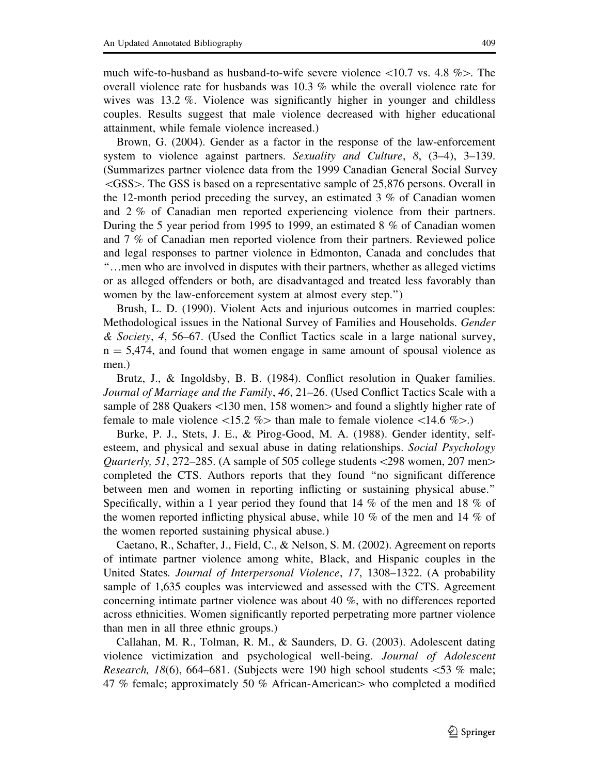much wife-to-husband as husband-to-wife severe violence  $\langle 10.7 \text{ vs. } 4.8 \% \rangle$ . The overall violence rate for husbands was 10.3 % while the overall violence rate for wives was 13.2 %. Violence was significantly higher in younger and childless couples. Results suggest that male violence decreased with higher educational attainment, while female violence increased.)

Brown, G. (2004). Gender as a factor in the response of the law-enforcement system to violence against partners. Sexuality and Culture,  $8$ ,  $(3-4)$ ,  $3-139$ . (Summarizes partner violence data from the 1999 Canadian General Social Survey  $\langle$ GSS $>$ . The GSS is based on a representative sample of 25,876 persons. Overall in the 12-month period preceding the survey, an estimated 3 % of Canadian women and 2 % of Canadian men reported experiencing violence from their partners. During the 5 year period from 1995 to 1999, an estimated 8 % of Canadian women and 7 % of Canadian men reported violence from their partners. Reviewed police and legal responses to partner violence in Edmonton, Canada and concludes that ''…men who are involved in disputes with their partners, whether as alleged victims or as alleged offenders or both, are disadvantaged and treated less favorably than women by the law-enforcement system at almost every step.'')

Brush, L. D. (1990). Violent Acts and injurious outcomes in married couples: Methodological issues in the National Survey of Families and Households. Gender  $\&$  Society, 4, 56–67. (Used the Conflict Tactics scale in a large national survey,  $n = 5,474$ , and found that women engage in same amount of spousal violence as men.)

Brutz, J., & Ingoldsby, B. B. (1984). Conflict resolution in Quaker families. Journal of Marriage and the Family, 46, 21–26. (Used Conflict Tactics Scale with a sample of 288 Quakers  $\langle 130 \text{ men}, 158 \text{ women} \rangle$  and found a slightly higher rate of female to male violence  $\langle 15.2 \% \rangle$  than male to female violence  $\langle 14.6 \% \rangle$ .)

Burke, P. J., Stets, J. E., & Pirog-Good, M. A. (1988). Gender identity, selfesteem, and physical and sexual abuse in dating relationships. Social Psychology *Quarterly, 51, 272–285.* (A sample of 505 college students  $\langle 298 \text{ women}, 207 \text{ men} \rangle$ completed the CTS. Authors reports that they found ''no significant difference between men and women in reporting inflicting or sustaining physical abuse.'' Specifically, within a 1 year period they found that 14 % of the men and 18 % of the women reported inflicting physical abuse, while 10 % of the men and 14 % of the women reported sustaining physical abuse.)

Caetano, R., Schafter, J., Field, C., & Nelson, S. M. (2002). Agreement on reports of intimate partner violence among white, Black, and Hispanic couples in the United States. Journal of Interpersonal Violence, 17, 1308–1322. (A probability sample of 1,635 couples was interviewed and assessed with the CTS. Agreement concerning intimate partner violence was about 40 %, with no differences reported across ethnicities. Women significantly reported perpetrating more partner violence than men in all three ethnic groups.)

Callahan, M. R., Tolman, R. M., & Saunders, D. G. (2003). Adolescent dating violence victimization and psychological well-being. Journal of Adolescent *Research, 18*(6), 664–681. (Subjects were 190 high school students  $\lt 53$  % male; 47 % female; approximately 50 % African-American who completed a modified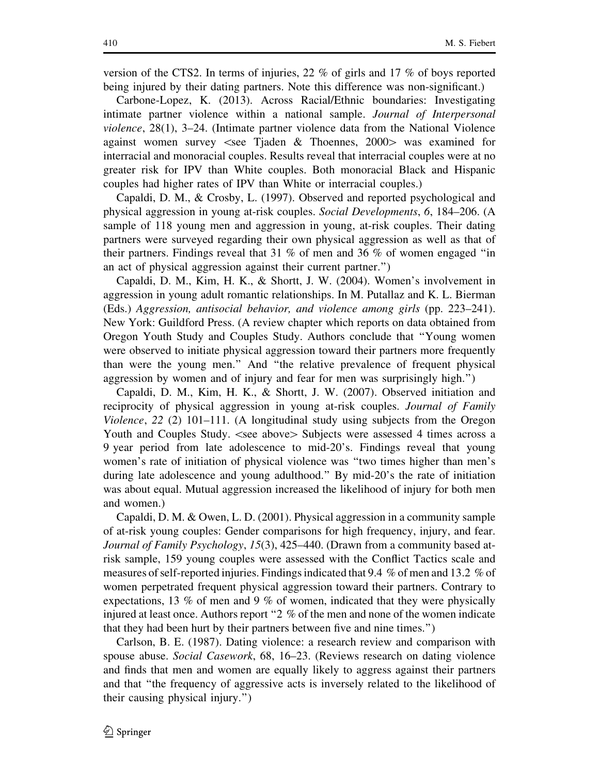version of the CTS2. In terms of injuries, 22 % of girls and 17 % of boys reported being injured by their dating partners. Note this difference was non-significant.)

Carbone-Lopez, K. (2013). Across Racial/Ethnic boundaries: Investigating intimate partner violence within a national sample. Journal of Interpersonal violence, 28(1), 3–24. (Intimate partner violence data from the National Violence against women survey  $\leq$ see Tjaden & Thoennes, 2000 $>$  was examined for interracial and monoracial couples. Results reveal that interracial couples were at no greater risk for IPV than White couples. Both monoracial Black and Hispanic couples had higher rates of IPV than White or interracial couples.)

Capaldi, D. M., & Crosby, L. (1997). Observed and reported psychological and physical aggression in young at-risk couples. Social Developments, 6, 184–206. (A sample of 118 young men and aggression in young, at-risk couples. Their dating partners were surveyed regarding their own physical aggression as well as that of their partners. Findings reveal that 31 % of men and 36 % of women engaged ''in an act of physical aggression against their current partner.'')

Capaldi, D. M., Kim, H. K., & Shortt, J. W. (2004). Women's involvement in aggression in young adult romantic relationships. In M. Putallaz and K. L. Bierman (Eds.) Aggression, antisocial behavior, and violence among girls (pp. 223–241). New York: Guildford Press. (A review chapter which reports on data obtained from Oregon Youth Study and Couples Study. Authors conclude that ''Young women were observed to initiate physical aggression toward their partners more frequently than were the young men.'' And ''the relative prevalence of frequent physical aggression by women and of injury and fear for men was surprisingly high.'')

Capaldi, D. M., Kim, H. K., & Shortt, J. W. (2007). Observed initiation and reciprocity of physical aggression in young at-risk couples. Journal of Family Violence, 22 (2) 101–111. (A longitudinal study using subjects from the Oregon Youth and Couples Study. <see above> Subjects were assessed 4 times across a 9 year period from late adolescence to mid-20's. Findings reveal that young women's rate of initiation of physical violence was ''two times higher than men's during late adolescence and young adulthood.'' By mid-20's the rate of initiation was about equal. Mutual aggression increased the likelihood of injury for both men and women.)

Capaldi, D. M. & Owen, L. D. (2001). Physical aggression in a community sample of at-risk young couples: Gender comparisons for high frequency, injury, and fear. Journal of Family Psychology, 15(3), 425–440. (Drawn from a community based atrisk sample, 159 young couples were assessed with the Conflict Tactics scale and measures of self-reported injuries. Findings indicated that 9.4 % of men and 13.2 % of women perpetrated frequent physical aggression toward their partners. Contrary to expectations, 13 % of men and 9 % of women, indicated that they were physically injured at least once. Authors report ''2 % of the men and none of the women indicate that they had been hurt by their partners between five and nine times.'')

Carlson, B. E. (1987). Dating violence: a research review and comparison with spouse abuse. Social Casework, 68, 16–23. (Reviews research on dating violence and finds that men and women are equally likely to aggress against their partners and that ''the frequency of aggressive acts is inversely related to the likelihood of their causing physical injury.'')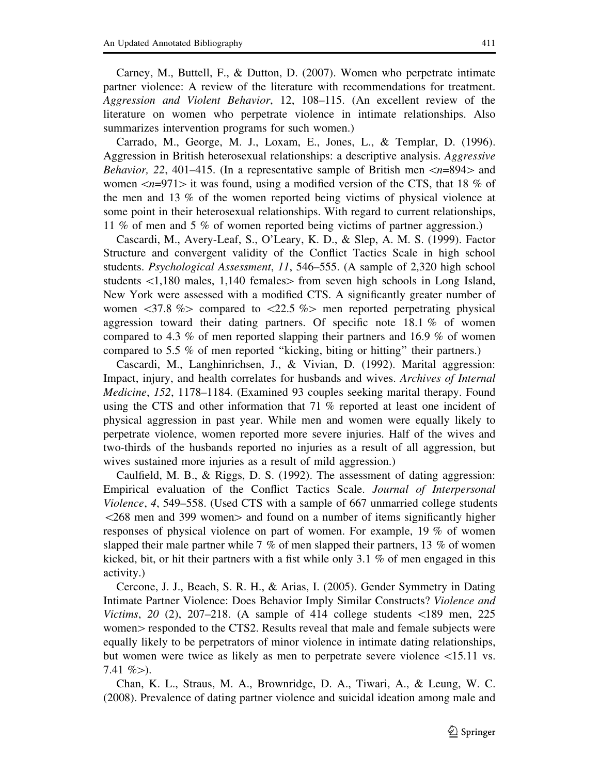Carney, M., Buttell, F., & Dutton, D. (2007). Women who perpetrate intimate partner violence: A review of the literature with recommendations for treatment. Aggression and Violent Behavior, 12, 108–115. (An excellent review of the literature on women who perpetrate violence in intimate relationships. Also summarizes intervention programs for such women.)

Carrado, M., George, M. J., Loxam, E., Jones, L., & Templar, D. (1996). Aggression in British heterosexual relationships: a descriptive analysis. Aggressive *Behavior, 22, 401–415.* (In a representative sample of British men  $\langle n=894\rangle$  and women  $\langle n=971\rangle$  it was found, using a modified version of the CTS, that 18 % of the men and 13 % of the women reported being victims of physical violence at some point in their heterosexual relationships. With regard to current relationships, 11 % of men and 5 % of women reported being victims of partner aggression.)

Cascardi, M., Avery-Leaf, S., O'Leary, K. D., & Slep, A. M. S. (1999). Factor Structure and convergent validity of the Conflict Tactics Scale in high school students. Psychological Assessment, 11, 546–555. (A sample of 2,320 high school students  $\langle 1,180 \rangle$  males, 1,140 females from seven high schools in Long Island, New York were assessed with a modified CTS. A significantly greater number of women  $\langle 37.8 \rangle$   $\%$  compared to  $\langle 22.5 \rangle$   $\%$  men reported perpetating physicalaggression toward their dating partners. Of specific note 18.1 % of women compared to 4.3 % of men reported slapping their partners and 16.9 % of women compared to 5.5 % of men reported ''kicking, biting or hitting'' their partners.)

Cascardi, M., Langhinrichsen, J., & Vivian, D. (1992). Marital aggression: Impact, injury, and health correlates for husbands and wives. Archives of Internal Medicine, 152, 1178–1184. (Examined 93 couples seeking marital therapy. Found using the CTS and other information that 71 % reported at least one incident of physical aggression in past year. While men and women were equally likely to perpetrate violence, women reported more severe injuries. Half of the wives and two-thirds of the husbands reported no injuries as a result of all aggression, but wives sustained more injuries as a result of mild aggression.)

Caulfield, M. B., & Riggs, D. S. (1992). The assessment of dating aggression: Empirical evaluation of the Conflict Tactics Scale. Journal of Interpersonal Violence, 4, 549–558. (Used CTS with a sample of 667 unmarried college students  $\langle 268 \rangle$  men and 399 women and found on a number of items significantly higher responses of physical violence on part of women. For example, 19 % of women slapped their male partner while 7 % of men slapped their partners, 13 % of women kicked, bit, or hit their partners with a fist while only 3.1 % of men engaged in this activity.)

Cercone, J. J., Beach, S. R. H., & Arias, I. (2005). Gender Symmetry in Dating Intimate Partner Violence: Does Behavior Imply Similar Constructs? Violence and Victims, 20 (2), 207–218. (A sample of 414 college students  $\langle 189 \rangle$  men, 225 women responded to the CTS2. Results reveal that male and female subjects were equally likely to be perpetrators of minor violence in intimate dating relationships, but women were twice as likely as men to perpetrate severe violence \15.11 vs. 7.41  $\%$  $>$ ).

Chan, K. L., Straus, M. A., Brownridge, D. A., Tiwari, A., & Leung, W. C. (2008). Prevalence of dating partner violence and suicidal ideation among male and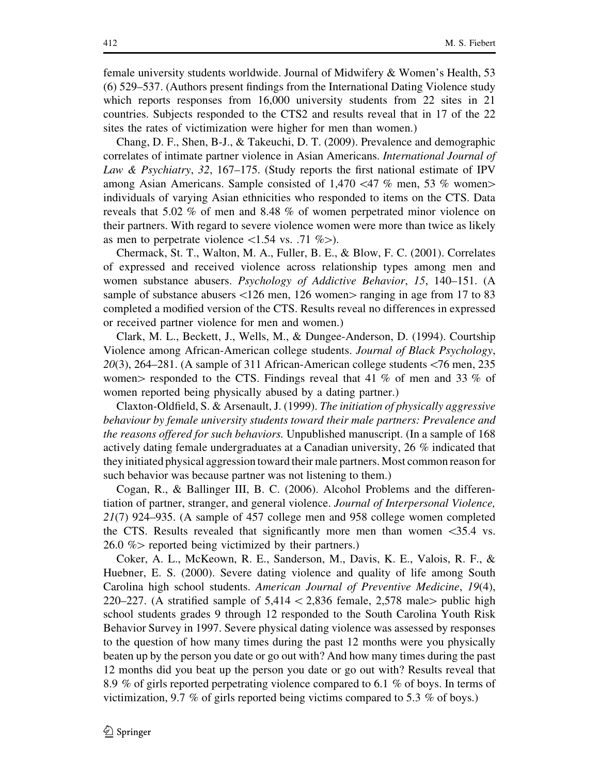female university students worldwide. Journal of Midwifery & Women's Health, 53 (6) 529–537. (Authors present findings from the International Dating Violence study which reports responses from 16,000 university students from 22 sites in 21 countries. Subjects responded to the CTS2 and results reveal that in 17 of the 22 sites the rates of victimization were higher for men than women.)

Chang, D. F., Shen, B-J., & Takeuchi, D. T. (2009). Prevalence and demographic correlates of intimate partner violence in Asian Americans. International Journal of Law & Psychiatry, 32, 167–175. (Study reports the first national estimate of IPV among Asian Americans. Sample consisted of  $1,470 \le 47$  % men, 53 % women individuals of varying Asian ethnicities who responded to items on the CTS. Data reveals that 5.02 % of men and 8.48 % of women perpetrated minor violence on their partners. With regard to severe violence women were more than twice as likely as men to perpetrate violence  $\langle 1.54 \text{ vs. } .71 \text{ %} \rangle$ .

Chermack, St. T., Walton, M. A., Fuller, B. E., & Blow, F. C. (2001). Correlates of expressed and received violence across relationship types among men and women substance abusers. *Psychology of Addictive Behavior*, 15, 140–151. (A sample of substance abusers  $\langle 126 \text{ men}, 126 \text{ women} \rangle$  ranging in age from 17 to 83 completed a modified version of the CTS. Results reveal no differences in expressed or received partner violence for men and women.)

Clark, M. L., Beckett, J., Wells, M., & Dungee-Anderson, D. (1994). Courtship Violence among African-American college students. Journal of Black Psychology,  $20(3)$ , 264–281. (A sample of 311 African-American college students  $\lt 76$  men, 235 women responded to the CTS. Findings reveal that 41 % of men and 33 % of women reported being physically abused by a dating partner.)

Claxton-Oldfield, S. & Arsenault, J. (1999). The initiation of physically aggressive behaviour by female university students toward their male partners: Prevalence and the reasons offered for such behaviors. Unpublished manuscript. (In a sample of 168 actively dating female undergraduates at a Canadian university, 26 % indicated that they initiated physical aggression toward their male partners. Most common reason for such behavior was because partner was not listening to them.)

Cogan, R., & Ballinger III, B. C. (2006). Alcohol Problems and the differentiation of partner, stranger, and general violence. Journal of Interpersonal Violence, 21(7) 924–935. (A sample of 457 college men and 958 college women completed the CTS. Results revealed that significantly more men than women  $\langle 35.4 \rangle$  vs.  $26.0 \%$  reported being victimized by their partners.)

Coker, A. L., McKeown, R. E., Sanderson, M., Davis, K. E., Valois, R. F., & Huebner, E. S. (2000). Severe dating violence and quality of life among South Carolina high school students. American Journal of Preventive Medicine, 19(4), 220–227. (A stratified sample of  $5,414\lt 2,836$  female, 2,578 male public high school students grades 9 through 12 responded to the South Carolina Youth Risk Behavior Survey in 1997. Severe physical dating violence was assessed by responses to the question of how many times during the past 12 months were you physically beaten up by the person you date or go out with? And how many times during the past 12 months did you beat up the person you date or go out with? Results reveal that 8.9 % of girls reported perpetrating violence compared to 6.1 % of boys. In terms of victimization, 9.7 % of girls reported being victims compared to 5.3 % of boys.)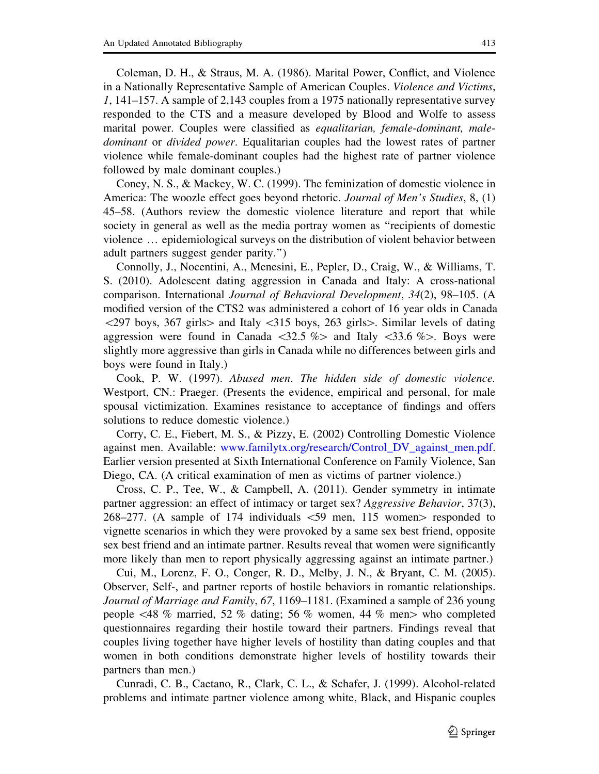Coleman, D. H., & Straus, M. A. (1986). Marital Power, Conflict, and Violence in a Nationally Representative Sample of American Couples. Violence and Victims, 1, 141–157. A sample of 2,143 couples from a 1975 nationally representative survey responded to the CTS and a measure developed by Blood and Wolfe to assess marital power. Couples were classified as *equalitarian*, *female-dominant*, *male*dominant or divided power. Equalitarian couples had the lowest rates of partner violence while female-dominant couples had the highest rate of partner violence followed by male dominant couples.)

Coney, N. S., & Mackey, W. C. (1999). The feminization of domestic violence in America: The woozle effect goes beyond rhetoric. Journal of Men's Studies, 8, (1) 45–58. (Authors review the domestic violence literature and report that while society in general as well as the media portray women as ''recipients of domestic violence … epidemiological surveys on the distribution of violent behavior between adult partners suggest gender parity.'')

Connolly, J., Nocentini, A., Menesini, E., Pepler, D., Craig, W., & Williams, T. S. (2010). Adolescent dating aggression in Canada and Italy: A cross-national comparison. International Journal of Behavioral Development, 34(2), 98–105. (A modified version of the CTS2 was administered a cohort of 16 year olds in Canada  $\langle 297 \text{ boys}, 367 \text{ girls} \rangle$  and Italy  $\langle 315 \text{ boys}, 263 \text{ girls} \rangle$ . Similar levels of dating aggression were found in Canada  $\langle 32.5 \, \% \rangle$  and Italy  $\langle 33.6 \, \% \rangle$ . Boys were slightly more aggressive than girls in Canada while no differences between girls and boys were found in Italy.)

Cook, P. W. (1997). Abused men. The hidden side of domestic violence. Westport, CN.: Praeger. (Presents the evidence, empirical and personal, for male spousal victimization. Examines resistance to acceptance of findings and offers solutions to reduce domestic violence.)

Corry, C. E., Fiebert, M. S., & Pizzy, E. (2002) Controlling Domestic Violence against men. Available: www.familytx.org/research/Control\_DV\_against\_men.pdf. Earlier version presented at Sixth International Conference on Family Violence, San Diego, CA. (A critical examination of men as victims of partner violence.)

Cross, C. P., Tee, W., & Campbell, A. (2011). Gender symmetry in intimate partner aggression: an effect of intimacy or target sex? Aggressive Behavior, 37(3), 268–277. (A sample of 174 individuals  $\lt 59$  men, 115 women $>$  responded to vignette scenarios in which they were provoked by a same sex best friend, opposite sex best friend and an intimate partner. Results reveal that women were significantly more likely than men to report physically aggressing against an intimate partner.)

Cui, M., Lorenz, F. O., Conger, R. D., Melby, J. N., & Bryant, C. M. (2005). Observer, Self-, and partner reports of hostile behaviors in romantic relationships. Journal of Marriage and Family, 67, 1169–1181. (Examined a sample of 236 young people  $\leq 48$  % married, 52 % dating; 56 % women, 44 % men $>$  who completed questionnaires regarding their hostile toward their partners. Findings reveal that couples living together have higher levels of hostility than dating couples and that women in both conditions demonstrate higher levels of hostility towards their partners than men.)

Cunradi, C. B., Caetano, R., Clark, C. L., & Schafer, J. (1999). Alcohol-related problems and intimate partner violence among white, Black, and Hispanic couples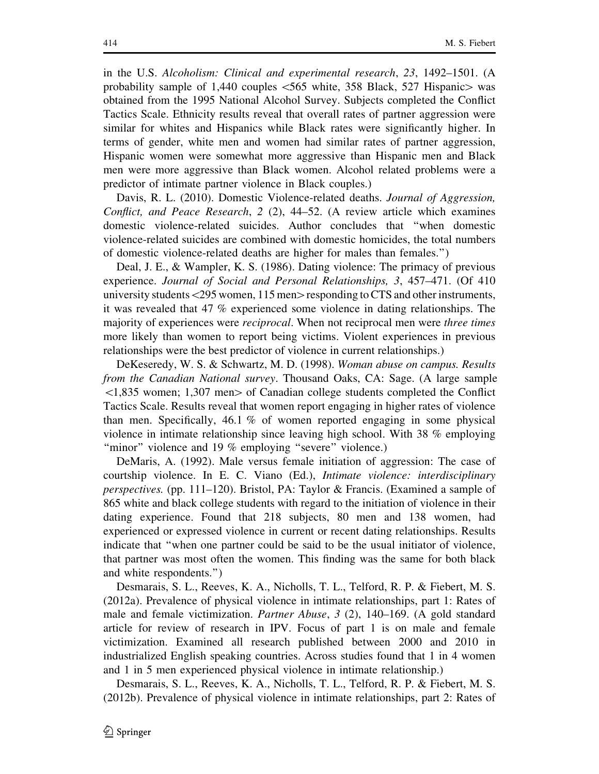in the U.S. Alcoholism: Clinical and experimental research, 23, 1492–1501. (A probability sample of 1,440 couples  $\lt$  565 white, 358 Black, 527 Hispanic  $\gt$  was obtained from the 1995 National Alcohol Survey. Subjects completed the Conflict Tactics Scale. Ethnicity results reveal that overall rates of partner aggression were similar for whites and Hispanics while Black rates were significantly higher. In terms of gender, white men and women had similar rates of partner aggression, Hispanic women were somewhat more aggressive than Hispanic men and Black men were more aggressive than Black women. Alcohol related problems were a predictor of intimate partner violence in Black couples.)

Davis, R. L. (2010). Domestic Violence-related deaths. Journal of Aggression, Conflict, and Peace Research, 2 (2), 44–52. (A review article which examines domestic violence-related suicides. Author concludes that ''when domestic violence-related suicides are combined with domestic homicides, the total numbers of domestic violence-related deaths are higher for males than females.'')

Deal, J. E., & Wampler, K. S. (1986). Dating violence: The primacy of previous experience. Journal of Social and Personal Relationships, 3, 457–471. (Of 410 university students  $\langle 295 \rangle$  women, 115 men $>$  responding to CTS and other instruments, it was revealed that 47 % experienced some violence in dating relationships. The majority of experiences were reciprocal. When not reciprocal men were three times more likely than women to report being victims. Violent experiences in previous relationships were the best predictor of violence in current relationships.)

DeKeseredy, W. S. & Schwartz, M. D. (1998). Woman abuse on campus. Results from the Canadian National survey. Thousand Oaks, CA: Sage. (A large sample  $\leq$ 1,835 women; 1,307 men $>$  of Canadian college students completed the Conflict Tactics Scale. Results reveal that women report engaging in higher rates of violence than men. Specifically, 46.1 % of women reported engaging in some physical violence in intimate relationship since leaving high school. With 38 % employing "minor" violence and 19 % employing "severe" violence.)

DeMaris, A. (1992). Male versus female initiation of aggression: The case of courtship violence. In E. C. Viano (Ed.), Intimate violence: interdisciplinary perspectives. (pp. 111–120). Bristol, PA: Taylor & Francis. (Examined a sample of 865 white and black college students with regard to the initiation of violence in their dating experience. Found that 218 subjects, 80 men and 138 women, had experienced or expressed violence in current or recent dating relationships. Results indicate that ''when one partner could be said to be the usual initiator of violence, that partner was most often the women. This finding was the same for both black and white respondents.'')

Desmarais, S. L., Reeves, K. A., Nicholls, T. L., Telford, R. P. & Fiebert, M. S. (2012a). Prevalence of physical violence in intimate relationships, part 1: Rates of male and female victimization. Partner Abuse, 3 (2), 140–169. (A gold standard article for review of research in IPV. Focus of part 1 is on male and female victimization. Examined all research published between 2000 and 2010 in industrialized English speaking countries. Across studies found that 1 in 4 women and 1 in 5 men experienced physical violence in intimate relationship.)

Desmarais, S. L., Reeves, K. A., Nicholls, T. L., Telford, R. P. & Fiebert, M. S. (2012b). Prevalence of physical violence in intimate relationships, part 2: Rates of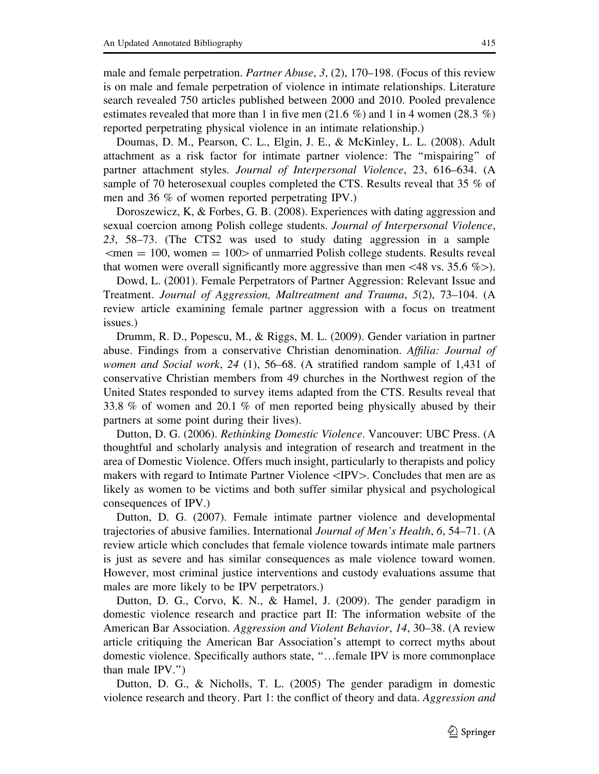male and female perpetration. Partner Abuse, 3, (2), 170–198. (Focus of this review is on male and female perpetration of violence in intimate relationships. Literature search revealed 750 articles published between 2000 and 2010. Pooled prevalence estimates revealed that more than 1 in five men (21.6 %) and 1 in 4 women (28.3 %) reported perpetrating physical violence in an intimate relationship.)

Doumas, D. M., Pearson, C. L., Elgin, J. E., & McKinley, L. L. (2008). Adult attachment as a risk factor for intimate partner violence: The ''mispairing'' of partner attachment styles. Journal of Interpersonal Violence, 23, 616–634. (A sample of 70 heterosexual couples completed the CTS. Results reveal that 35 % of men and 36 % of women reported perpetrating IPV.)

Doroszewicz, K, & Forbes, G. B. (2008). Experiences with dating aggression and sexual coercion among Polish college students. Journal of Interpersonal Violence, 23, 58–73. (The CTS2 was used to study dating aggression in a sample  $\mathsf{m} = 100$ , women  $= 100$  of unmarried Polish college students. Results reveal that women were overall significantly more aggressive than men <48 vs. 35.6 % $>$ ).

Dowd, L. (2001). Female Perpetrators of Partner Aggression: Relevant Issue and Treatment. Journal of Aggression, Maltreatment and Trauma, 5(2), 73–104. (A review article examining female partner aggression with a focus on treatment issues.)

Drumm, R. D., Popescu, M., & Riggs, M. L. (2009). Gender variation in partner abuse. Findings from a conservative Christian denomination. Affilia: Journal of women and Social work, 24 (1), 56–68. (A stratified random sample of 1,431 of conservative Christian members from 49 churches in the Northwest region of the United States responded to survey items adapted from the CTS. Results reveal that 33.8 % of women and 20.1 % of men reported being physically abused by their partners at some point during their lives).

Dutton, D. G. (2006). Rethinking Domestic Violence. Vancouver: UBC Press. (A thoughtful and scholarly analysis and integration of research and treatment in the area of Domestic Violence. Offers much insight, particularly to therapists and policy makers with regard to Intimate Partner Violence  $\langle$ IPV $>$ . Concludes that men are as likely as women to be victims and both suffer similar physical and psychological consequences of IPV.)

Dutton, D. G. (2007). Female intimate partner violence and developmental trajectories of abusive families. International Journal of Men's Health, 6, 54–71. (A review article which concludes that female violence towards intimate male partners is just as severe and has similar consequences as male violence toward women. However, most criminal justice interventions and custody evaluations assume that males are more likely to be IPV perpetrators.)

Dutton, D. G., Corvo, K. N., & Hamel, J. (2009). The gender paradigm in domestic violence research and practice part II: The information website of the American Bar Association. Aggression and Violent Behavior, 14, 30–38. (A review article critiquing the American Bar Association's attempt to correct myths about domestic violence. Specifically authors state, ''…female IPV is more commonplace than male IPV.'')

Dutton, D. G., & Nicholls, T. L. (2005) The gender paradigm in domestic violence research and theory. Part 1: the conflict of theory and data. Aggression and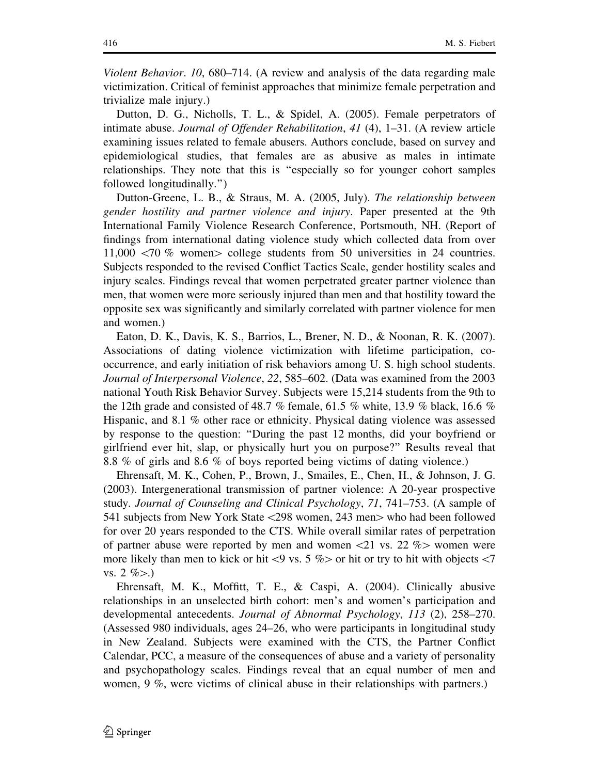Violent Behavior. 10, 680–714. (A review and analysis of the data regarding male victimization. Critical of feminist approaches that minimize female perpetration and trivialize male injury.)

Dutton, D. G., Nicholls, T. L., & Spidel, A. (2005). Female perpetrators of intimate abuse. Journal of Offender Rehabilitation, 41 (4), 1–31. (A review article examining issues related to female abusers. Authors conclude, based on survey and epidemiological studies, that females are as abusive as males in intimate relationships. They note that this is ''especially so for younger cohort samples followed longitudinally.'')

Dutton-Greene, L. B., & Straus, M. A. (2005, July). The relationship between gender hostility and partner violence and injury. Paper presented at the 9th International Family Violence Research Conference, Portsmouth, NH. (Report of findings from international dating violence study which collected data from over 11,000  $\langle 70 \%$  women $>$  college students from 50 universities in 24 countries. Subjects responded to the revised Conflict Tactics Scale, gender hostility scales and injury scales. Findings reveal that women perpetrated greater partner violence than men, that women were more seriously injured than men and that hostility toward the opposite sex was significantly and similarly correlated with partner violence for men and women.)

Eaton, D. K., Davis, K. S., Barrios, L., Brener, N. D., & Noonan, R. K. (2007). Associations of dating violence victimization with lifetime participation, cooccurrence, and early initiation of risk behaviors among U. S. high school students. Journal of Interpersonal Violence, 22, 585–602. (Data was examined from the 2003 national Youth Risk Behavior Survey. Subjects were 15,214 students from the 9th to the 12th grade and consisted of 48.7 % female, 61.5 % white, 13.9 % black, 16.6 % Hispanic, and 8.1 % other race or ethnicity. Physical dating violence was assessed by response to the question: ''During the past 12 months, did your boyfriend or girlfriend ever hit, slap, or physically hurt you on purpose?'' Results reveal that 8.8 % of girls and 8.6 % of boys reported being victims of dating violence.)

Ehrensaft, M. K., Cohen, P., Brown, J., Smailes, E., Chen, H., & Johnson, J. G. (2003). Intergenerational transmission of partner violence: A 20-year prospective study. Journal of Counseling and Clinical Psychology, 71, 741–753. (A sample of 541 subjects from New York State <298 women, 243 men > who had been followed for over 20 years responded to the CTS. While overall similar rates of perpetration of partner abuse were reported by men and women  $\langle 21 \rangle$  vs. 22 % women were more likely than men to kick or hit $\langle 9 \rangle$  vs. 5 % or hit or try to hit with objects  $\langle 7 \rangle$ vs. 2  $\%$ .)

Ehrensaft, M. K., Moffitt, T. E., & Caspi, A. (2004). Clinically abusive relationships in an unselected birth cohort: men's and women's participation and developmental antecedents. Journal of Abnormal Psychology, 113 (2), 258–270. (Assessed 980 individuals, ages 24–26, who were participants in longitudinal study in New Zealand. Subjects were examined with the CTS, the Partner Conflict Calendar, PCC, a measure of the consequences of abuse and a variety of personality and psychopathology scales. Findings reveal that an equal number of men and women, 9 %, were victims of clinical abuse in their relationships with partners.)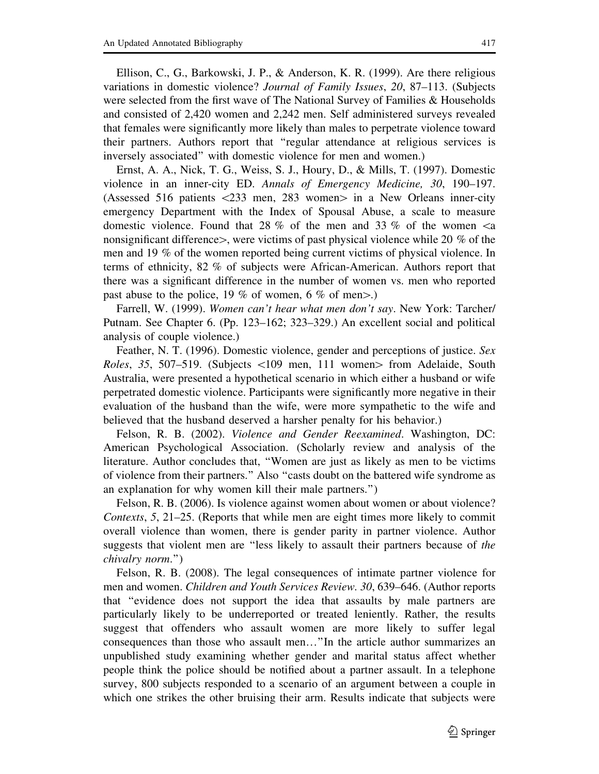Ellison, C., G., Barkowski, J. P., & Anderson, K. R. (1999). Are there religious variations in domestic violence? Journal of Family Issues, 20, 87–113. (Subjects were selected from the first wave of The National Survey of Families & Households and consisted of 2,420 women and 2,242 men. Self administered surveys revealed that females were significantly more likely than males to perpetrate violence toward their partners. Authors report that ''regular attendance at religious services is inversely associated'' with domestic violence for men and women.)

Ernst, A. A., Nick, T. G., Weiss, S. J., Houry, D., & Mills, T. (1997). Domestic violence in an inner-city ED. Annals of Emergency Medicine, 30, 190–197. (Assessed 516 patients  $\langle 233 \rangle$  men, 283 women in a New Orleans inner-city emergency Department with the Index of Spousal Abuse, a scale to measure domestic violence. Found that 28 % of the men and 33 % of the women  $\leq$ a nonsignificant difference $\ge$ , were victims of past physical violence while 20 % of the men and 19 % of the women reported being current victims of physical violence. In terms of ethnicity, 82 % of subjects were African-American. Authors report that there was a significant difference in the number of women vs. men who reported past abuse to the police, 19 % of women, 6 % of men $>$ .)

Farrell, W. (1999). Women can't hear what men don't say. New York: Tarcher/ Putnam. See Chapter 6. (Pp. 123–162; 323–329.) An excellent social and political analysis of couple violence.)

Feather, N. T. (1996). Domestic violence, gender and perceptions of justice. Sex *Roles, 35, 507–519.* (Subjects  $\lt 109$  men, 111 women $>$  from Adelaide, South Australia, were presented a hypothetical scenario in which either a husband or wife perpetrated domestic violence. Participants were significantly more negative in their evaluation of the husband than the wife, were more sympathetic to the wife and believed that the husband deserved a harsher penalty for his behavior.)

Felson, R. B. (2002). Violence and Gender Reexamined. Washington, DC: American Psychological Association. (Scholarly review and analysis of the literature. Author concludes that, ''Women are just as likely as men to be victims of violence from their partners.'' Also ''casts doubt on the battered wife syndrome as an explanation for why women kill their male partners.'')

Felson, R. B. (2006). Is violence against women about women or about violence? Contexts, 5, 21–25. (Reports that while men are eight times more likely to commit overall violence than women, there is gender parity in partner violence. Author suggests that violent men are "less likely to assault their partners because of the chivalry norm.'')

Felson, R. B. (2008). The legal consequences of intimate partner violence for men and women. Children and Youth Services Review. 30, 639–646. (Author reports that ''evidence does not support the idea that assaults by male partners are particularly likely to be underreported or treated leniently. Rather, the results suggest that offenders who assault women are more likely to suffer legal consequences than those who assault men…''In the article author summarizes an unpublished study examining whether gender and marital status affect whether people think the police should be notified about a partner assault. In a telephone survey, 800 subjects responded to a scenario of an argument between a couple in which one strikes the other bruising their arm. Results indicate that subjects were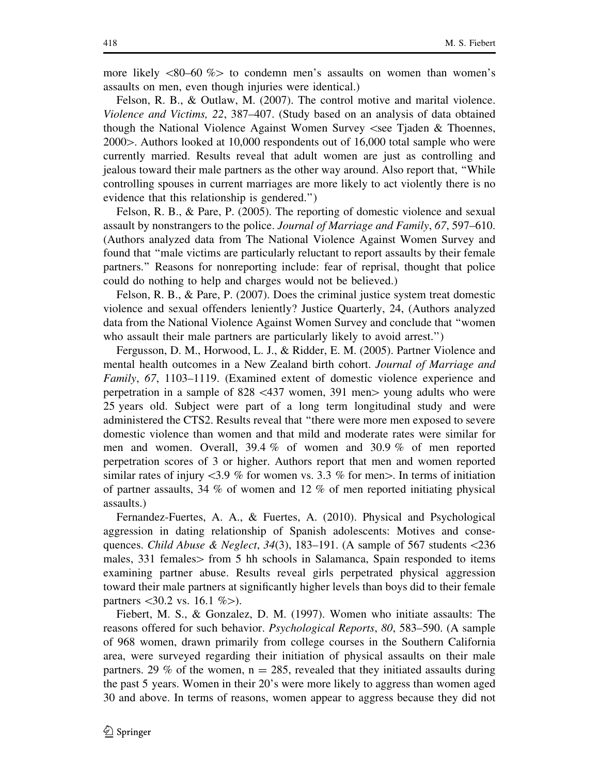more likely  $\lt 80-60$  % to condemn men's assaults on women than women's assaults on men, even though injuries were identical.)

Felson, R. B., & Outlaw, M. (2007). The control motive and marital violence. Violence and Victims, 22, 387–407. (Study based on an analysis of data obtained though the National Violence Against Women Survey  $\le$ see Tjaden & Thoennes,  $2000$ . Authors looked at 10,000 respondents out of 16,000 total sample who were currently married. Results reveal that adult women are just as controlling and jealous toward their male partners as the other way around. Also report that, ''While controlling spouses in current marriages are more likely to act violently there is no evidence that this relationship is gendered.'')

Felson, R. B., & Pare, P. (2005). The reporting of domestic violence and sexual assault by nonstrangers to the police. Journal of Marriage and Family, 67, 597–610. (Authors analyzed data from The National Violence Against Women Survey and found that ''male victims are particularly reluctant to report assaults by their female partners.'' Reasons for nonreporting include: fear of reprisal, thought that police could do nothing to help and charges would not be believed.)

Felson, R. B., & Pare, P. (2007). Does the criminal justice system treat domestic violence and sexual offenders leniently? Justice Quarterly, 24, (Authors analyzed data from the National Violence Against Women Survey and conclude that ''women who assault their male partners are particularly likely to avoid arrest.")

Fergusson, D. M., Horwood, L. J., & Ridder, E. M. (2005). Partner Violence and mental health outcomes in a New Zealand birth cohort. Journal of Marriage and Family, 67, 1103–1119. (Examined extent of domestic violence experience and perpetration in a sample of  $828 \leq 437$  women, 391 men $>$  young adults who were 25 years old. Subject were part of a long term longitudinal study and were administered the CTS2. Results reveal that ''there were more men exposed to severe domestic violence than women and that mild and moderate rates were similar for men and women. Overall, 39.4 % of women and 30.9 % of men reported perpetration scores of 3 or higher. Authors report that men and women reported similar rates of injury  $\lt 3.9$  % for women vs. 3.3 % for men $>$ . In terms of initiation of partner assaults, 34 % of women and 12 % of men reported initiating physical assaults.)

Fernandez-Fuertes, A. A., & Fuertes, A. (2010). Physical and Psychological aggression in dating relationship of Spanish adolescents: Motives and consequences. Child Abuse & Neglect, 34(3), 183–191. (A sample of 567 students  $\langle 236$ males, 331 females > from 5 hh schools in Salamanca, Spain responded to items examining partner abuse. Results reveal girls perpetrated physical aggression toward their male partners at significantly higher levels than boys did to their female partners  $\langle 30.2 \text{ vs. } 16.1 \% \rangle$ .

Fiebert, M. S., & Gonzalez, D. M. (1997). Women who initiate assaults: The reasons offered for such behavior. Psychological Reports, 80, 583–590. (A sample of 968 women, drawn primarily from college courses in the Southern California area, were surveyed regarding their initiation of physical assaults on their male partners. 29 % of the women,  $n = 285$ , revealed that they initiated assaults during the past 5 years. Women in their 20's were more likely to aggress than women aged 30 and above. In terms of reasons, women appear to aggress because they did not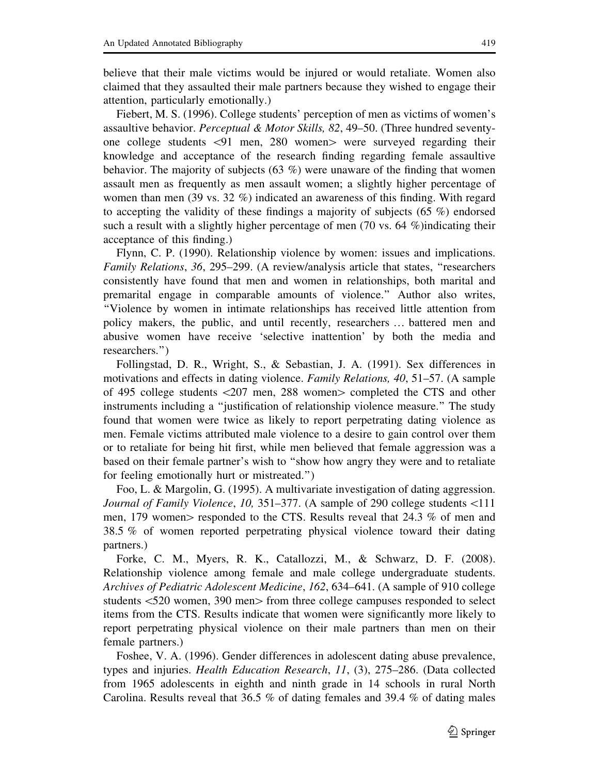believe that their male victims would be injured or would retaliate. Women also claimed that they assaulted their male partners because they wished to engage their attention, particularly emotionally.)

Fiebert, M. S. (1996). College students' perception of men as victims of women's assaultive behavior. Perceptual & Motor Skills, 82, 49–50. (Three hundred seventyone college students  $\langle 91 \rangle$  men, 280 women $>$  were surveyed regarding their knowledge and acceptance of the research finding regarding female assaultive behavior. The majority of subjects (63 %) were unaware of the finding that women assault men as frequently as men assault women; a slightly higher percentage of women than men (39 vs. 32 %) indicated an awareness of this finding. With regard to accepting the validity of these findings a majority of subjects (65  $\%$ ) endorsed such a result with a slightly higher percentage of men (70 vs. 64 %)indicating their acceptance of this finding.)

Flynn, C. P. (1990). Relationship violence by women: issues and implications. Family Relations, 36, 295–299. (A review/analysis article that states, ''researchers consistently have found that men and women in relationships, both marital and premarital engage in comparable amounts of violence.'' Author also writes, ''Violence by women in intimate relationships has received little attention from policy makers, the public, and until recently, researchers … battered men and abusive women have receive 'selective inattention' by both the media and researchers.'')

Follingstad, D. R., Wright, S., & Sebastian, J. A. (1991). Sex differences in motivations and effects in dating violence. Family Relations, 40, 51–57. (A sample of 495 college students  $\langle 207 \text{ men}, 288 \text{ women} \rangle$  completed the CTS and other instruments including a ''justification of relationship violence measure.'' The study found that women were twice as likely to report perpetrating dating violence as men. Female victims attributed male violence to a desire to gain control over them or to retaliate for being hit first, while men believed that female aggression was a based on their female partner's wish to ''show how angry they were and to retaliate for feeling emotionally hurt or mistreated.'')

Foo, L. & Margolin, G. (1995). A multivariate investigation of dating aggression. Journal of Family Violence, 10, 351–377. (A sample of 290 college students <111 men, 179 women responded to the CTS. Results reveal that 24.3 % of men and 38.5 % of women reported perpetrating physical violence toward their dating partners.)

Forke, C. M., Myers, R. K., Catallozzi, M., & Schwarz, D. F. (2008). Relationship violence among female and male college undergraduate students. Archives of Pediatric Adolescent Medicine, 162, 634–641. (A sample of 910 college students  $\leq 520$  women, 390 men $>$  from three college campuses responded to select items from the CTS. Results indicate that women were significantly more likely to report perpetrating physical violence on their male partners than men on their female partners.)

Foshee, V. A. (1996). Gender differences in adolescent dating abuse prevalence, types and injuries. Health Education Research, 11, (3), 275–286. (Data collected from 1965 adolescents in eighth and ninth grade in 14 schools in rural North Carolina. Results reveal that 36.5 % of dating females and 39.4 % of dating males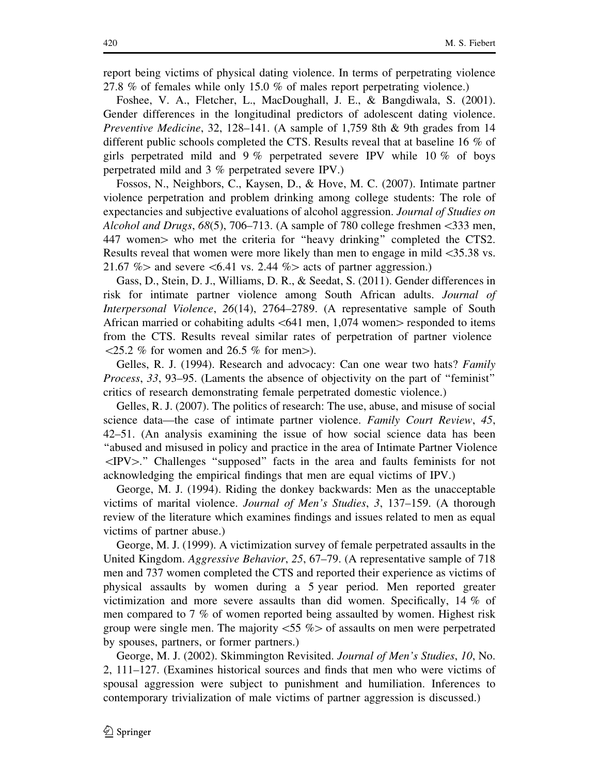report being victims of physical dating violence. In terms of perpetrating violence 27.8 % of females while only 15.0 % of males report perpetrating violence.)

Foshee, V. A., Fletcher, L., MacDoughall, J. E., & Bangdiwala, S. (2001). Gender differences in the longitudinal predictors of adolescent dating violence. Preventive Medicine, 32, 128–141. (A sample of 1,759 8th & 9th grades from 14 different public schools completed the CTS. Results reveal that at baseline 16 % of girls perpetrated mild and 9 % perpetrated severe IPV while 10 % of boys perpetrated mild and 3 % perpetrated severe IPV.)

Fossos, N., Neighbors, C., Kaysen, D., & Hove, M. C. (2007). Intimate partner violence perpetration and problem drinking among college students: The role of expectancies and subjective evaluations of alcohol aggression. Journal of Studies on Alcohol and Drugs,  $68(5)$ , 706–713. (A sample of 780 college freshmen <333 men, 447 women > who met the criteria for "heavy drinking" completed the CTS2. Results reveal that women were more likely than men to engage in mild\35.38 vs. 21.67 % and severe  $\leq 6.41$  vs. 2.44 % acts of partner aggression.)

Gass, D., Stein, D. J., Williams, D. R., & Seedat, S. (2011). Gender differences in risk for intimate partner violence among South African adults. Journal of Interpersonal Violence, 26(14), 2764–2789. (A representative sample of South African married or cohabiting adults  $\leq 641$  men, 1,074 women $>$  responded to items from the CTS. Results reveal similar rates of perpetration of partner violence  $\langle 25.2 \; \% \; \text{for women and } 26.5 \; \% \; \text{for men} \rangle$ .

Gelles, R. J. (1994). Research and advocacy: Can one wear two hats? Family Process, 33, 93–95. (Laments the absence of objectivity on the part of ''feminist'' critics of research demonstrating female perpetrated domestic violence.)

Gelles, R. J. (2007). The politics of research: The use, abuse, and misuse of social science data—the case of intimate partner violence. Family Court Review, 45, 42–51. (An analysis examining the issue of how social science data has been ''abused and misused in policy and practice in the area of Intimate Partner Violence  $\langle$ IPV $>$ ." Challenges "supposed" facts in the area and faults feminists for not acknowledging the empirical findings that men are equal victims of IPV.)

George, M. J. (1994). Riding the donkey backwards: Men as the unacceptable victims of marital violence. Journal of Men's Studies, 3, 137–159. (A thorough review of the literature which examines findings and issues related to men as equal victims of partner abuse.)

George, M. J. (1999). A victimization survey of female perpetrated assaults in the United Kingdom. Aggressive Behavior, 25, 67–79. (A representative sample of 718 men and 737 women completed the CTS and reported their experience as victims of physical assaults by women during a 5 year period. Men reported greater victimization and more severe assaults than did women. Specifically, 14 % of men compared to 7 % of women reported being assaulted by women. Highest risk group were single men. The majority  $\langle 55 \% \rangle$  of assaults on men were perpetrated by spouses, partners, or former partners.)

George, M. J. (2002). Skimmington Revisited. Journal of Men's Studies, 10, No. 2, 111–127. (Examines historical sources and finds that men who were victims of spousal aggression were subject to punishment and humiliation. Inferences to contemporary trivialization of male victims of partner aggression is discussed.)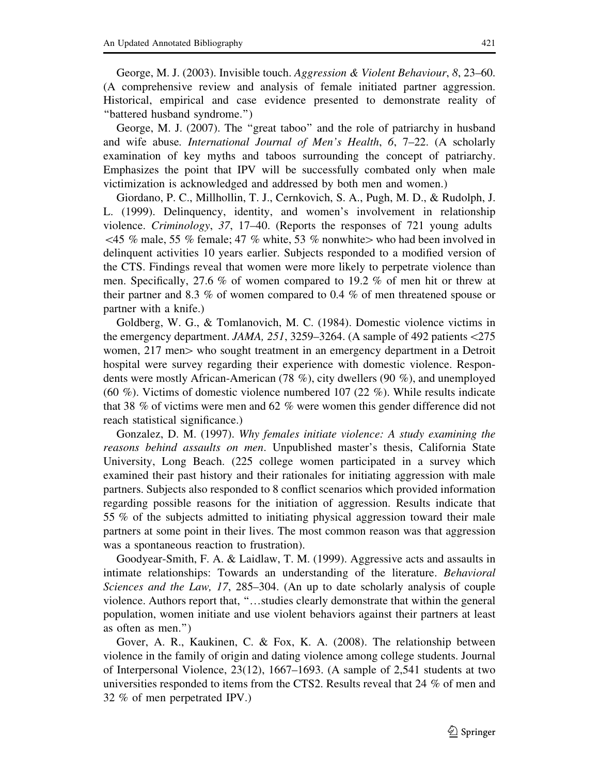George, M. J. (2003). Invisible touch. Aggression & Violent Behaviour, 8, 23–60. (A comprehensive review and analysis of female initiated partner aggression. Historical, empirical and case evidence presented to demonstrate reality of ''battered husband syndrome.'')

George, M. J. (2007). The ''great taboo'' and the role of patriarchy in husband and wife abuse. International Journal of Men's Health,  $6, 7-22$ . (A scholarly examination of key myths and taboos surrounding the concept of patriarchy. Emphasizes the point that IPV will be successfully combated only when male victimization is acknowledged and addressed by both men and women.)

Giordano, P. C., Millhollin, T. J., Cernkovich, S. A., Pugh, M. D., & Rudolph, J. L. (1999). Delinquency, identity, and women's involvement in relationship violence. Criminology, 37, 17–40. (Reports the responses of 721 young adults  $\leq$  45 % male, 55 % female; 47 % white, 53 % nonwhite who had been involved in delinquent activities 10 years earlier. Subjects responded to a modified version of the CTS. Findings reveal that women were more likely to perpetrate violence than men. Specifically, 27.6 % of women compared to 19.2 % of men hit or threw at their partner and 8.3 % of women compared to 0.4 % of men threatened spouse or partner with a knife.)

Goldberg, W. G., & Tomlanovich, M. C. (1984). Domestic violence victims in the emergency department. JAMA, 251, 3259–3264. (A sample of 492 patients  $\langle 275 \rangle$ women, 217 men > who sought treatment in an emergency department in a Detroit hospital were survey regarding their experience with domestic violence. Respondents were mostly African-American (78 %), city dwellers (90 %), and unemployed (60 %). Victims of domestic violence numbered 107 (22 %). While results indicate that 38 % of victims were men and 62 % were women this gender difference did not reach statistical significance.)

Gonzalez, D. M. (1997). Why females initiate violence: A study examining the reasons behind assaults on men. Unpublished master's thesis, California State University, Long Beach. (225 college women participated in a survey which examined their past history and their rationales for initiating aggression with male partners. Subjects also responded to 8 conflict scenarios which provided information regarding possible reasons for the initiation of aggression. Results indicate that 55 % of the subjects admitted to initiating physical aggression toward their male partners at some point in their lives. The most common reason was that aggression was a spontaneous reaction to frustration).

Goodyear-Smith, F. A. & Laidlaw, T. M. (1999). Aggressive acts and assaults in intimate relationships: Towards an understanding of the literature. Behavioral Sciences and the Law, 17, 285–304. (An up to date scholarly analysis of couple violence. Authors report that, ''…studies clearly demonstrate that within the general population, women initiate and use violent behaviors against their partners at least as often as men.'')

Gover, A. R., Kaukinen, C. & Fox, K. A. (2008). The relationship between violence in the family of origin and dating violence among college students. Journal of Interpersonal Violence, 23(12), 1667–1693. (A sample of 2,541 students at two universities responded to items from the CTS2. Results reveal that 24 % of men and 32 % of men perpetrated IPV.)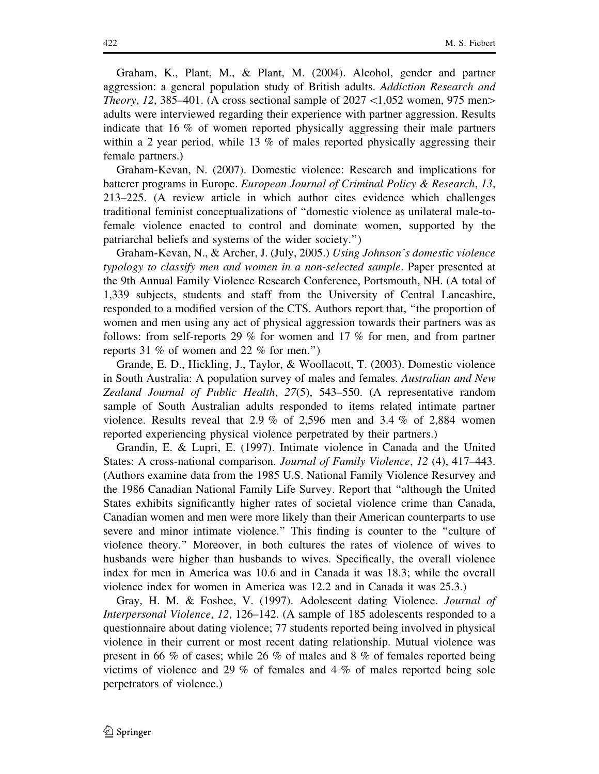Graham, K., Plant, M., & Plant, M. (2004). Alcohol, gender and partner aggression: a general population study of British adults. Addiction Research and *Theory, 12, 385–401.* (A cross sectional sample of  $2027 \le 1,052$  women, 975 men $>$ adults were interviewed regarding their experience with partner aggression. Results indicate that 16 % of women reported physically aggressing their male partners within a 2 year period, while 13 % of males reported physically aggressing their female partners.)

Graham-Kevan, N. (2007). Domestic violence: Research and implications for batterer programs in Europe. European Journal of Criminal Policy & Research, 13, 213–225. (A review article in which author cites evidence which challenges traditional feminist conceptualizations of ''domestic violence as unilateral male-tofemale violence enacted to control and dominate women, supported by the patriarchal beliefs and systems of the wider society.'')

Graham-Kevan, N., & Archer, J. (July, 2005.) Using Johnson's domestic violence typology to classify men and women in a non-selected sample. Paper presented at the 9th Annual Family Violence Research Conference, Portsmouth, NH. (A total of 1,339 subjects, students and staff from the University of Central Lancashire, responded to a modified version of the CTS. Authors report that, ''the proportion of women and men using any act of physical aggression towards their partners was as follows: from self-reports 29 % for women and 17 % for men, and from partner reports 31 % of women and 22 % for men.'')

Grande, E. D., Hickling, J., Taylor, & Woollacott, T. (2003). Domestic violence in South Australia: A population survey of males and females. Australian and New Zealand Journal of Public Health, 27(5), 543–550. (A representative random sample of South Australian adults responded to items related intimate partner violence. Results reveal that 2.9 % of 2,596 men and 3.4 % of 2,884 women reported experiencing physical violence perpetrated by their partners.)

Grandin, E. & Lupri, E. (1997). Intimate violence in Canada and the United States: A cross-national comparison. Journal of Family Violence, 12 (4), 417–443. (Authors examine data from the 1985 U.S. National Family Violence Resurvey and the 1986 Canadian National Family Life Survey. Report that ''although the United States exhibits significantly higher rates of societal violence crime than Canada, Canadian women and men were more likely than their American counterparts to use severe and minor intimate violence.'' This finding is counter to the ''culture of violence theory.'' Moreover, in both cultures the rates of violence of wives to husbands were higher than husbands to wives. Specifically, the overall violence index for men in America was 10.6 and in Canada it was 18.3; while the overall violence index for women in America was 12.2 and in Canada it was 25.3.)

Gray, H. M. & Foshee, V. (1997). Adolescent dating Violence. Journal of Interpersonal Violence, 12, 126–142. (A sample of 185 adolescents responded to a questionnaire about dating violence; 77 students reported being involved in physical violence in their current or most recent dating relationship. Mutual violence was present in 66 % of cases; while 26 % of males and 8 % of females reported being victims of violence and 29 % of females and 4 % of males reported being sole perpetrators of violence.)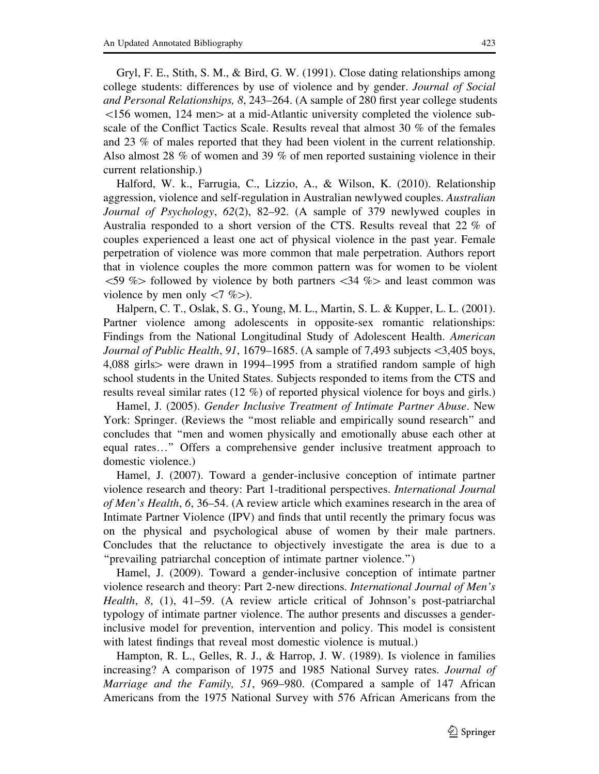Gryl, F. E., Stith, S. M., & Bird, G. W. (1991). Close dating relationships among college students: differences by use of violence and by gender. Journal of Social and Personal Relationships, 8, 243–264. (A sample of 280 first year college students  $\leq$ 156 women, 124 men $>$  at a mid-Atlantic university completed the violence subscale of the Conflict Tactics Scale. Results reveal that almost 30 % of the females and 23 % of males reported that they had been violent in the current relationship. Also almost 28 % of women and 39 % of men reported sustaining violence in their current relationship.)

Halford, W. k., Farrugia, C., Lizzio, A., & Wilson, K. (2010). Relationship aggression, violence and self-regulation in Australian newlywed couples. Australian Journal of Psychology, 62(2), 82–92. (A sample of 379 newlywed couples in Australia responded to a short version of the CTS. Results reveal that 22 % of couples experienced a least one act of physical violence in the past year. Female perpetration of violence was more common that male perpetration. Authors report that in violence couples the more common pattern was for women to be violent  $\leq$  59 % followed by violence by both partners  $\leq$  34 % and least common was violence by men only  $\langle 7 \, \%$ ).

Halpern, C. T., Oslak, S. G., Young, M. L., Martin, S. L. & Kupper, L. L. (2001). Partner violence among adolescents in opposite-sex romantic relationships: Findings from the National Longitudinal Study of Adolescent Health. American *Journal of Public Health, 91, 1679–1685.* (A sample of 7,493 subjects  $\lt3,405$  boys, 4,088 girls $>$  were drawn in 1994–1995 from a stratified random sample of high school students in the United States. Subjects responded to items from the CTS and results reveal similar rates (12 %) of reported physical violence for boys and girls.)

Hamel, J. (2005). Gender Inclusive Treatment of Intimate Partner Abuse. New York: Springer. (Reviews the ''most reliable and empirically sound research'' and concludes that ''men and women physically and emotionally abuse each other at equal rates…'' Offers a comprehensive gender inclusive treatment approach to domestic violence.)

Hamel, J. (2007). Toward a gender-inclusive conception of intimate partner violence research and theory: Part 1-traditional perspectives. International Journal of Men's Health, 6, 36–54. (A review article which examines research in the area of Intimate Partner Violence (IPV) and finds that until recently the primary focus was on the physical and psychological abuse of women by their male partners. Concludes that the reluctance to objectively investigate the area is due to a ''prevailing patriarchal conception of intimate partner violence.'')

Hamel, J. (2009). Toward a gender-inclusive conception of intimate partner violence research and theory: Part 2-new directions. International Journal of Men's Health, 8, (1), 41–59. (A review article critical of Johnson's post-patriarchal typology of intimate partner violence. The author presents and discusses a genderinclusive model for prevention, intervention and policy. This model is consistent with latest findings that reveal most domestic violence is mutual.)

Hampton, R. L., Gelles, R. J., & Harrop, J. W. (1989). Is violence in families increasing? A comparison of 1975 and 1985 National Survey rates. *Journal of* Marriage and the Family, 51, 969–980. (Compared a sample of 147 African Americans from the 1975 National Survey with 576 African Americans from the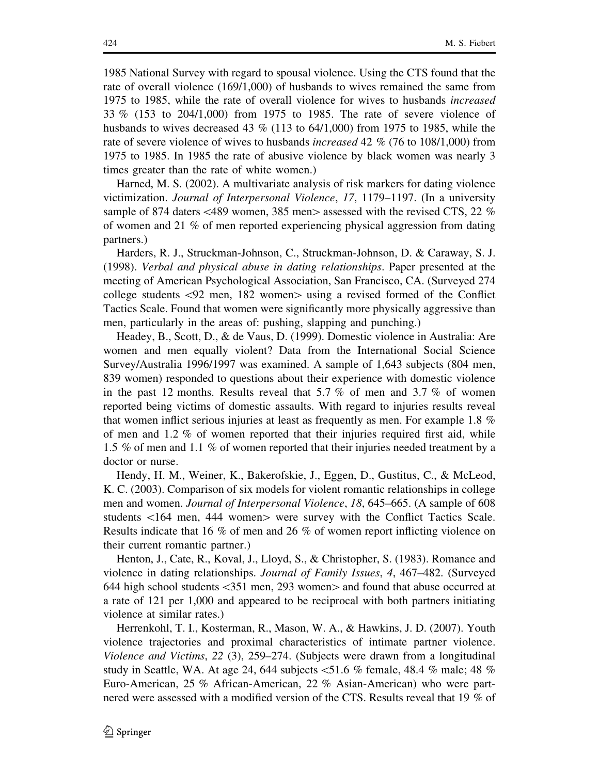1985 National Survey with regard to spousal violence. Using the CTS found that the rate of overall violence (169/1,000) of husbands to wives remained the same from 1975 to 1985, while the rate of overall violence for wives to husbands increased 33 % (153 to 204/1,000) from 1975 to 1985. The rate of severe violence of husbands to wives decreased 43 % (113 to 64/1,000) from 1975 to 1985, while the rate of severe violence of wives to husbands increased 42 % (76 to 108/1,000) from 1975 to 1985. In 1985 the rate of abusive violence by black women was nearly 3 times greater than the rate of white women.)

Harned, M. S. (2002). A multivariate analysis of risk markers for dating violence victimization. Journal of Interpersonal Violence, 17, 1179–1197. (In a university sample of 874 daters  $\lt$ 489 women, 385 men $>$  assessed with the revised CTS, 22 % of women and 21 % of men reported experiencing physical aggression from dating partners.)

Harders, R. J., Struckman-Johnson, C., Struckman-Johnson, D. & Caraway, S. J. (1998). Verbal and physical abuse in dating relationships. Paper presented at the meeting of American Psychological Association, San Francisco, CA. (Surveyed 274 college students  $\langle 92 \text{ men}, 182 \text{ women} \rangle$  using a revised formed of the Conflict Tactics Scale. Found that women were significantly more physically aggressive than men, particularly in the areas of: pushing, slapping and punching.)

Headey, B., Scott, D., & de Vaus, D. (1999). Domestic violence in Australia: Are women and men equally violent? Data from the International Social Science Survey/Australia 1996/1997 was examined. A sample of 1,643 subjects (804 men, 839 women) responded to questions about their experience with domestic violence in the past 12 months. Results reveal that 5.7  $\%$  of men and 3.7  $\%$  of women reported being victims of domestic assaults. With regard to injuries results reveal that women inflict serious injuries at least as frequently as men. For example 1.8 % of men and 1.2 % of women reported that their injuries required first aid, while 1.5 % of men and 1.1 % of women reported that their injuries needed treatment by a doctor or nurse.

Hendy, H. M., Weiner, K., Bakerofskie, J., Eggen, D., Gustitus, C., & McLeod, K. C. (2003). Comparison of six models for violent romantic relationships in college men and women. *Journal of Interpersonal Violence*, 18, 645–665. (A sample of 608 students  $\langle 164 \text{ men}, 444 \text{ women} \rangle$  were survey with the Conflict Tactics Scale. Results indicate that 16 % of men and 26 % of women report inflicting violence on their current romantic partner.)

Henton, J., Cate, R., Koval, J., Lloyd, S., & Christopher, S. (1983). Romance and violence in dating relationships. Journal of Family Issues, 4, 467–482. (Surveyed 644 high school students  $\langle 351 \text{ men}, 293 \text{ women} \rangle$  and found that abuse occurred at a rate of 121 per 1,000 and appeared to be reciprocal with both partners initiating violence at similar rates.)

Herrenkohl, T. I., Kosterman, R., Mason, W. A., & Hawkins, J. D. (2007). Youth violence trajectories and proximal characteristics of intimate partner violence. Violence and Victims, 22 (3), 259–274. (Subjects were drawn from a longitudinal study in Seattle, WA. At age 24, 644 subjects  $\leq 51.6$  % female, 48.4 % male; 48 % Euro-American, 25 % African-American, 22 % Asian-American) who were partnered were assessed with a modified version of the CTS. Results reveal that 19 % of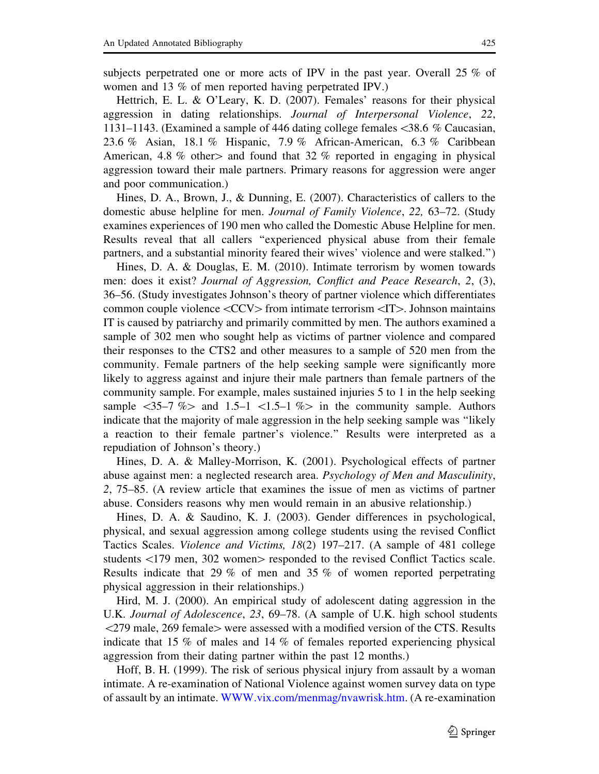subjects perpetrated one or more acts of IPV in the past year. Overall 25 % of women and 13 % of men reported having perpetrated IPV.)

Hettrich, E. L. & O'Leary, K. D. (2007). Females' reasons for their physical aggression in dating relationships. Journal of Interpersonal Violence, 22, 1131–1143. (Examined a sample of 446 dating college females\38.6 % Caucasian, 23.6 % Asian, 18.1 % Hispanic, 7.9 % African-American, 6.3 % Caribbean American, 4.8 % other and found that 32 % reported in engaging in physical aggression toward their male partners. Primary reasons for aggression were anger and poor communication.)

Hines, D. A., Brown, J., & Dunning, E. (2007). Characteristics of callers to the domestic abuse helpline for men. Journal of Family Violence, 22, 63–72. (Study examines experiences of 190 men who called the Domestic Abuse Helpline for men. Results reveal that all callers ''experienced physical abuse from their female partners, and a substantial minority feared their wives' violence and were stalked.'')

Hines, D. A. & Douglas, E. M. (2010). Intimate terrorism by women towards men: does it exist? Journal of Aggression, Conflict and Peace Research, 2, (3), 36–56. (Study investigates Johnson's theory of partner violence which differentiates common couple violence  $\langle CCV\rangle$  from intimate terrorism  $\langle IT\rangle$ . Johnson maintains IT is caused by patriarchy and primarily committed by men. The authors examined a sample of 302 men who sought help as victims of partner violence and compared their responses to the CTS2 and other measures to a sample of 520 men from the community. Female partners of the help seeking sample were significantly more likely to aggress against and injure their male partners than female partners of the community sample. For example, males sustained injuries 5 to 1 in the help seeking sample  $\langle 35-7 \, \%$  and 1.5-1  $\langle 1.5-1 \, \%$  in the community sample. Authorsindicate that the majority of male aggression in the help seeking sample was ''likely a reaction to their female partner's violence.'' Results were interpreted as a repudiation of Johnson's theory.)

Hines, D. A. & Malley-Morrison, K. (2001). Psychological effects of partner abuse against men: a neglected research area. Psychology of Men and Masculinity, 2, 75–85. (A review article that examines the issue of men as victims of partner abuse. Considers reasons why men would remain in an abusive relationship.)

Hines, D. A. & Saudino, K. J. (2003). Gender differences in psychological, physical, and sexual aggression among college students using the revised Conflict Tactics Scales. Violence and Victims, 18(2) 197–217. (A sample of 481 college students  $\langle 179 \text{ men}, 302 \text{ women} \rangle$  responded to the revised Conflict Tactics scale. Results indicate that 29 % of men and 35 % of women reported perpetrating physical aggression in their relationships.)

Hird, M. J. (2000). An empirical study of adolescent dating aggression in the U.K. Journal of Adolescence, 23, 69–78. (A sample of U.K. high school students  $\langle 279 \text{ male}, 269 \text{ female} \rangle$  were assessed with a modified version of the CTS. Results indicate that 15 % of males and 14 % of females reported experiencing physical aggression from their dating partner within the past 12 months.)

Hoff, B. H. (1999). The risk of serious physical injury from assault by a woman intimate. A re-examination of National Violence against women survey data on type of assault by an intimate. WWW.vix.com/menmag/nvawrisk.htm. (A re-examination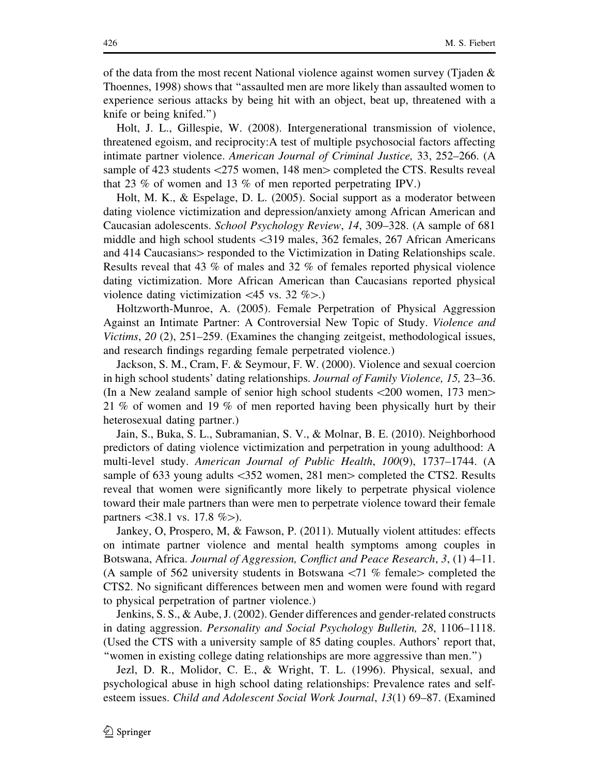of the data from the most recent National violence against women survey (Tjaden  $\&$ Thoennes, 1998) shows that ''assaulted men are more likely than assaulted women to experience serious attacks by being hit with an object, beat up, threatened with a knife or being knifed.'')

Holt, J. L., Gillespie, W. (2008). Intergenerational transmission of violence, threatened egoism, and reciprocity:A test of multiple psychosocial factors affecting intimate partner violence. American Journal of Criminal Justice, 33, 252–266. (A sample of 423 students  $\langle 275 \rangle$  women, 148 men $>$  completed the CTS. Results reveal that 23 % of women and 13 % of men reported perpetrating IPV.)

Holt, M. K., & Espelage, D. L. (2005). Social support as a moderator between dating violence victimization and depression/anxiety among African American and Caucasian adolescents. School Psychology Review, 14, 309–328. (A sample of 681 middle and high school students <319 males, 362 females, 267 African Americans and 414 Caucasians responded to the Victimization in Dating Relationships scale. Results reveal that 43 % of males and 32 % of females reported physical violence dating victimization. More African American than Caucasians reported physical violence dating victimization  $\langle 45 \text{ vs. } 32 \% \rangle$ .

Holtzworth-Munroe, A. (2005). Female Perpetration of Physical Aggression Against an Intimate Partner: A Controversial New Topic of Study. Violence and Victims, 20 (2), 251–259. (Examines the changing zeitgeist, methodological issues, and research findings regarding female perpetrated violence.)

Jackson, S. M., Cram, F. & Seymour, F. W. (2000). Violence and sexual coercion in high school students' dating relationships. Journal of Family Violence, 15, 23–36. (In a New zealand sample of senior high school students  $\langle 200 \rangle$  women, 173 men $>$ 21 % of women and 19 % of men reported having been physically hurt by their heterosexual dating partner.)

Jain, S., Buka, S. L., Subramanian, S. V., & Molnar, B. E. (2010). Neighborhood predictors of dating violence victimization and perpetration in young adulthood: A multi-level study. American Journal of Public Health, 100(9), 1737-1744. (A sample of 633 young adults  $\langle 352 \rangle$  women, 281 men $>$  completed the CTS2. Results reveal that women were significantly more likely to perpetrate physical violence toward their male partners than were men to perpetrate violence toward their female partners  $\langle 38.1 \text{ vs. } 17.8 \% \rangle$ .

Jankey, O, Prospero, M, & Fawson, P. (2011). Mutually violent attitudes: effects on intimate partner violence and mental health symptoms among couples in Botswana, Africa. Journal of Aggression, Conflict and Peace Research, 3, (1) 4–11. (A sample of 562 university students in Botswana  $\langle 71 \, \%$  female $\rangle$  completed the CTS2. No significant differences between men and women were found with regard to physical perpetration of partner violence.)

Jenkins, S. S., & Aube, J. (2002). Gender differences and gender-related constructs in dating aggression. Personality and Social Psychology Bulletin, 28, 1106–1118. (Used the CTS with a university sample of 85 dating couples. Authors' report that, ''women in existing college dating relationships are more aggressive than men.'')

Jezl, D. R., Molidor, C. E., & Wright, T. L. (1996). Physical, sexual, and psychological abuse in high school dating relationships: Prevalence rates and selfesteem issues. Child and Adolescent Social Work Journal, 13(1) 69–87. (Examined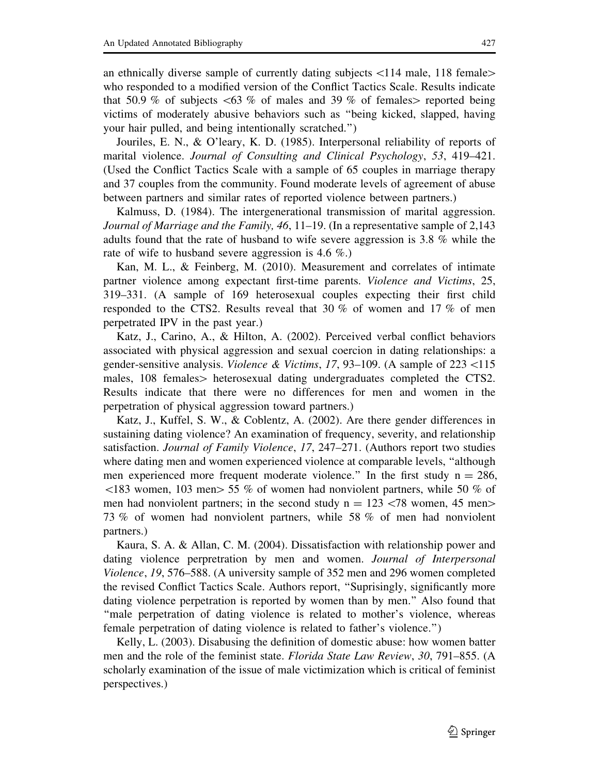an ethnically diverse sample of currently dating subjects  $\langle 114 \text{ male}, 118 \text{ female} \rangle$ who responded to a modified version of the Conflict Tactics Scale. Results indicate that 50.9 % of subjects  $\lt 63$  % of males and 39 % of females reported being victims of moderately abusive behaviors such as ''being kicked, slapped, having your hair pulled, and being intentionally scratched.'')

Jouriles, E. N., & O'leary, K. D. (1985). Interpersonal reliability of reports of marital violence. Journal of Consulting and Clinical Psychology, 53, 419–421. (Used the Conflict Tactics Scale with a sample of 65 couples in marriage therapy and 37 couples from the community. Found moderate levels of agreement of abuse between partners and similar rates of reported violence between partners.)

Kalmuss, D. (1984). The intergenerational transmission of marital aggression. *Journal of Marriage and the Family, 46, 11–19.* (In a representative sample of 2,143) adults found that the rate of husband to wife severe aggression is 3.8 % while the rate of wife to husband severe aggression is 4.6 %.)

Kan, M. L., & Feinberg, M. (2010). Measurement and correlates of intimate partner violence among expectant first-time parents. Violence and Victims, 25, 319–331. (A sample of 169 heterosexual couples expecting their first child responded to the CTS2. Results reveal that 30 % of women and 17 % of men perpetrated IPV in the past year.)

Katz, J., Carino, A., & Hilton, A. (2002). Perceived verbal conflict behaviors associated with physical aggression and sexual coercion in dating relationships: a gender-sensitive analysis. *Violence & Victims*, 17, 93–109. (A sample of 223 <115 males,  $108$  females heterosexual dating undergraduates completed the CTS2. Results indicate that there were no differences for men and women in the perpetration of physical aggression toward partners.)

Katz, J., Kuffel, S. W., & Coblentz, A. (2002). Are there gender differences in sustaining dating violence? An examination of frequency, severity, and relationship satisfaction. Journal of Family Violence, 17, 247-271. (Authors report two studies where dating men and women experienced violence at comparable levels, ''although men experienced more frequent moderate violence." In the first study  $n = 286$ ,  $\leq$ 183 women, 103 men $>$  55 % of women had nonviolent partners, while 50 % of men had nonviolent partners; in the second study  $n = 123 \times 78$  women, 45 men $>$ 73 % of women had nonviolent partners, while 58 % of men had nonviolent partners.)

Kaura, S. A. & Allan, C. M. (2004). Dissatisfaction with relationship power and dating violence perpretration by men and women. Journal of Interpersonal Violence, 19, 576–588. (A university sample of 352 men and 296 women completed the revised Conflict Tactics Scale. Authors report, ''Suprisingly, significantly more dating violence perpetration is reported by women than by men.'' Also found that ''male perpetration of dating violence is related to mother's violence, whereas female perpetration of dating violence is related to father's violence.'')

Kelly, L. (2003). Disabusing the definition of domestic abuse: how women batter men and the role of the feminist state. Florida State Law Review, 30, 791–855. (A scholarly examination of the issue of male victimization which is critical of feminist perspectives.)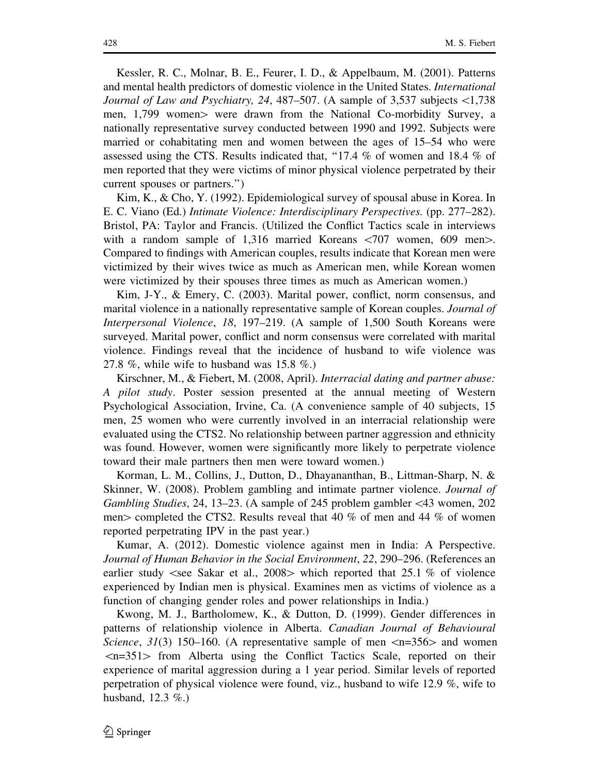Kessler, R. C., Molnar, B. E., Feurer, I. D., & Appelbaum, M. (2001). Patterns and mental health predictors of domestic violence in the United States. International Journal of Law and Psychiatry, 24, 487–507. (A sample of 3,537 subjects \1,738 men,  $1,799$  women $>$  were drawn from the National Co-morbidity Survey, a nationally representative survey conducted between 1990 and 1992. Subjects were married or cohabitating men and women between the ages of 15–54 who were assessed using the CTS. Results indicated that, ''17.4 % of women and 18.4 % of men reported that they were victims of minor physical violence perpetrated by their current spouses or partners.'')

Kim, K., & Cho, Y. (1992). Epidemiological survey of spousal abuse in Korea. In E. C. Viano (Ed.) Intimate Violence: Interdisciplinary Perspectives. (pp. 277–282). Bristol, PA: Taylor and Francis. (Utilized the Conflict Tactics scale in interviews with a random sample of 1,316 married Koreans  $\langle 707 \rangle$  women, 609 men $\ge$ . Compared to findings with American couples, results indicate that Korean men were victimized by their wives twice as much as American men, while Korean women were victimized by their spouses three times as much as American women.)

Kim, J-Y., & Emery, C. (2003). Marital power, conflict, norm consensus, and marital violence in a nationally representative sample of Korean couples. *Journal of* Interpersonal Violence, 18, 197–219. (A sample of 1,500 South Koreans were surveyed. Marital power, conflict and norm consensus were correlated with marital violence. Findings reveal that the incidence of husband to wife violence was 27.8 %, while wife to husband was 15.8 %.)

Kirschner, M., & Fiebert, M. (2008, April). Interracial dating and partner abuse: A pilot study. Poster session presented at the annual meeting of Western Psychological Association, Irvine, Ca. (A convenience sample of 40 subjects, 15 men, 25 women who were currently involved in an interracial relationship were evaluated using the CTS2. No relationship between partner aggression and ethnicity was found. However, women were significantly more likely to perpetrate violence toward their male partners then men were toward women.)

Korman, L. M., Collins, J., Dutton, D., Dhayananthan, B., Littman-Sharp, N. & Skinner, W. (2008). Problem gambling and intimate partner violence. Journal of Gambling Studies, 24, 13–23. (A sample of 245 problem gambler\43 women, 202 men  $>$  completed the CTS2. Results reveal that 40 % of men and 44 % of women reported perpetrating IPV in the past year.)

Kumar, A. (2012). Domestic violence against men in India: A Perspective. Journal of Human Behavior in the Social Environment, 22, 290–296. (References an earlier study  $\le$ see Sakar et al., 2008 $>$  which reported that 25.1 % of violence experienced by Indian men is physical. Examines men as victims of violence as a function of changing gender roles and power relationships in India.)

Kwong, M. J., Bartholomew, K., & Dutton, D. (1999). Gender differences in patterns of relationship violence in Alberta. Canadian Journal of Behavioural Science, 31(3) 150–160. (A representative sample of men  $\langle n=356\rangle$  and women  $\langle n=351\rangle$  from Alberta using the Conflict Tactics Scale, reported on their experience of marital aggression during a 1 year period. Similar levels of reported perpetration of physical violence were found, viz., husband to wife 12.9 %, wife to husband, 12.3 %.)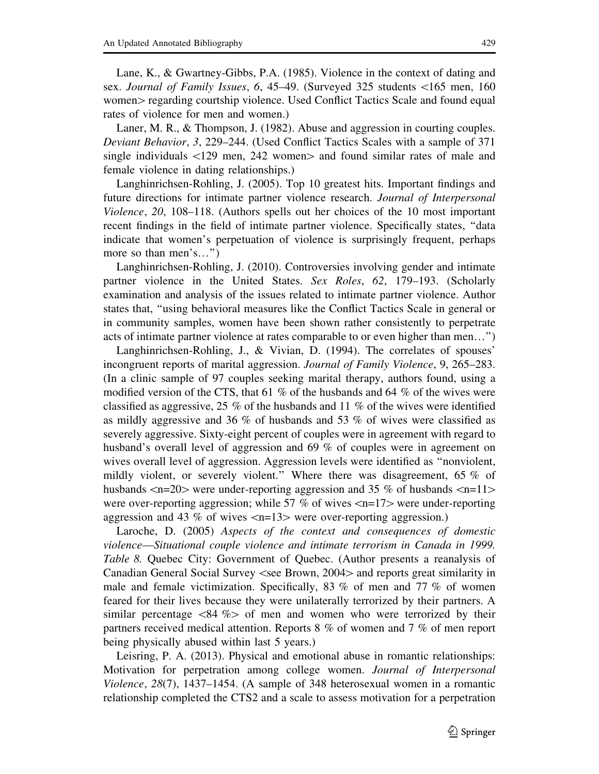Lane, K., & Gwartney-Gibbs, P.A. (1985). Violence in the context of dating and sex. Journal of Family Issues, 6, 45-49. (Surveyed 325 students <165 men, 160 women regarding courtship violence. Used Conflict Tactics Scale and found equal rates of violence for men and women.)

Laner, M. R., & Thompson, J. (1982). Abuse and aggression in courting couples. Deviant Behavior, 3, 229–244. (Used Conflict Tactics Scales with a sample of 371 single individuals  $\langle 129 \text{ men}, 242 \text{ women} \rangle$  and found similar rates of male and female violence in dating relationships.)

Langhinrichsen-Rohling, J. (2005). Top 10 greatest hits. Important findings and future directions for intimate partner violence research. Journal of Interpersonal Violence, 20, 108–118. (Authors spells out her choices of the 10 most important recent findings in the field of intimate partner violence. Specifically states, ''data indicate that women's perpetuation of violence is surprisingly frequent, perhaps more so than men's...")

Langhinrichsen-Rohling, J. (2010). Controversies involving gender and intimate partner violence in the United States. Sex Roles, 62, 179–193. (Scholarly examination and analysis of the issues related to intimate partner violence. Author states that, ''using behavioral measures like the Conflict Tactics Scale in general or in community samples, women have been shown rather consistently to perpetrate acts of intimate partner violence at rates comparable to or even higher than men…'')

Langhinrichsen-Rohling, J., & Vivian, D. (1994). The correlates of spouses' incongruent reports of marital aggression. Journal of Family Violence, 9, 265–283. (In a clinic sample of 97 couples seeking marital therapy, authors found, using a modified version of the CTS, that 61 % of the husbands and 64 % of the wives were classified as aggressive, 25 % of the husbands and 11 % of the wives were identified as mildly aggressive and 36 % of husbands and 53 % of wives were classified as severely aggressive. Sixty-eight percent of couples were in agreement with regard to husband's overall level of aggression and 69 % of couples were in agreement on wives overall level of aggression. Aggression levels were identified as ''nonviolent, mildly violent, or severely violent.'' Where there was disagreement, 65 % of husbands  $\langle n=20\rangle$  were under-reporting aggression and 35 % of husbands  $\langle n=11\rangle$ were over-reporting aggression; while 57 % of wives  $\langle n=17\rangle$  were under-reporting aggression and 43 % of wives  $\langle n=13\rangle$  were over-reporting aggression.)

Laroche, D. (2005) Aspects of the context and consequences of domestic violence—Situational couple violence and intimate terrorism in Canada in 1999. Table 8. Quebec City: Government of Quebec. (Author presents a reanalysis of Canadian General Social Survey  $\leq$ see Brown, 2004 $>$  and reports great similarity in male and female victimization. Specifically, 83  $\%$  of men and 77  $\%$  of women feared for their lives because they were unilaterally terrorized by their partners. A similar percentage  $\langle 84 \, \%$  of men and women who were terrorized by theirpartners received medical attention. Reports 8 % of women and 7 % of men report being physically abused within last 5 years.)

Leisring, P. A. (2013). Physical and emotional abuse in romantic relationships: Motivation for perpetration among college women. *Journal of Interpersonal* Violence, 28(7), 1437–1454. (A sample of 348 heterosexual women in a romantic relationship completed the CTS2 and a scale to assess motivation for a perpetration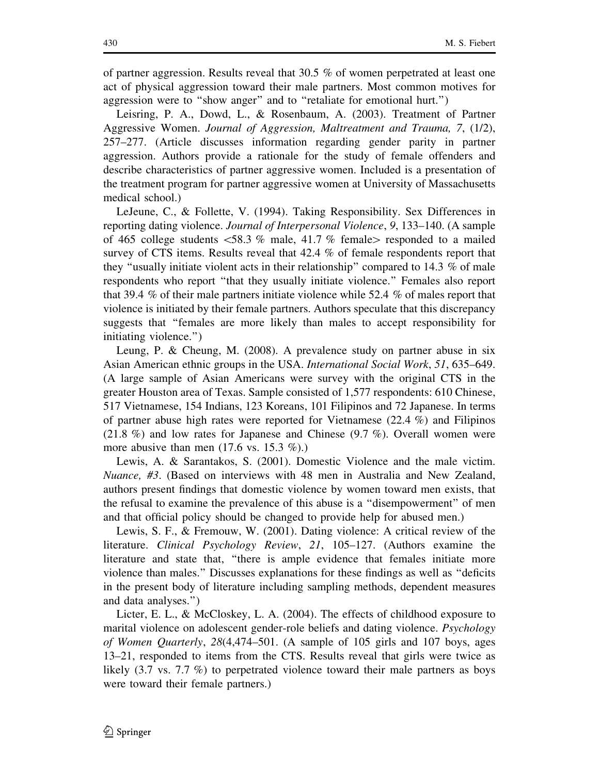of partner aggression. Results reveal that 30.5 % of women perpetrated at least one act of physical aggression toward their male partners. Most common motives for aggression were to ''show anger'' and to ''retaliate for emotional hurt.'')

Leisring, P. A., Dowd, L., & Rosenbaum, A. (2003). Treatment of Partner Aggressive Women. Journal of Aggression, Maltreatment and Trauma, 7, (1/2), 257–277. (Article discusses information regarding gender parity in partner aggression. Authors provide a rationale for the study of female offenders and describe characteristics of partner aggressive women. Included is a presentation of the treatment program for partner aggressive women at University of Massachusetts medical school.)

LeJeune, C., & Follette, V. (1994). Taking Responsibility. Sex Differences in reporting dating violence. Journal of Interpersonal Violence, 9, 133–140. (A sample of 465 college students  $\langle 58.3 \text{ % male}, 41.7 \text{ % female}\rangle$  responded to a mailed survey of CTS items. Results reveal that 42.4 % of female respondents report that they ''usually initiate violent acts in their relationship'' compared to 14.3 % of male respondents who report ''that they usually initiate violence.'' Females also report that 39.4 % of their male partners initiate violence while 52.4 % of males report that violence is initiated by their female partners. Authors speculate that this discrepancy suggests that ''females are more likely than males to accept responsibility for initiating violence.'')

Leung, P. & Cheung, M. (2008). A prevalence study on partner abuse in six Asian American ethnic groups in the USA. International Social Work, 51, 635–649. (A large sample of Asian Americans were survey with the original CTS in the greater Houston area of Texas. Sample consisted of 1,577 respondents: 610 Chinese, 517 Vietnamese, 154 Indians, 123 Koreans, 101 Filipinos and 72 Japanese. In terms of partner abuse high rates were reported for Vietnamese (22.4 %) and Filipinos (21.8 %) and low rates for Japanese and Chinese (9.7 %). Overall women were more abusive than men  $(17.6 \text{ vs. } 15.3 \%)$ .

Lewis, A. & Sarantakos, S. (2001). Domestic Violence and the male victim. Nuance, #3. (Based on interviews with 48 men in Australia and New Zealand, authors present findings that domestic violence by women toward men exists, that the refusal to examine the prevalence of this abuse is a ''disempowerment'' of men and that official policy should be changed to provide help for abused men.)

Lewis, S. F., & Fremouw, W. (2001). Dating violence: A critical review of the literature. Clinical Psychology Review, 21, 105–127. (Authors examine the literature and state that, ''there is ample evidence that females initiate more violence than males.'' Discusses explanations for these findings as well as ''deficits in the present body of literature including sampling methods, dependent measures and data analyses.'')

Licter, E. L., & McCloskey, L. A. (2004). The effects of childhood exposure to marital violence on adolescent gender-role beliefs and dating violence. Psychology of Women Quarterly, 28(4,474–501. (A sample of 105 girls and 107 boys, ages 13–21, responded to items from the CTS. Results reveal that girls were twice as likely (3.7 vs. 7.7 %) to perpetrated violence toward their male partners as boys were toward their female partners.)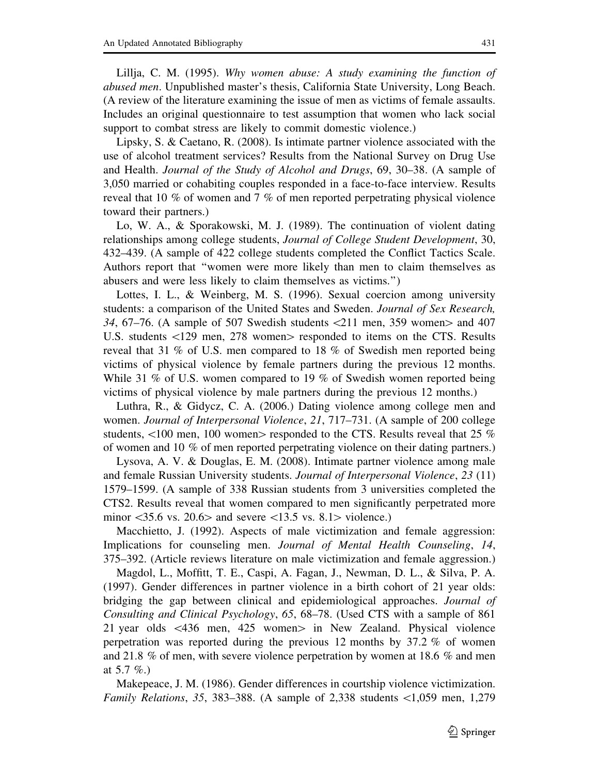Lillja, C. M. (1995). Why women abuse: A study examining the function of abused men. Unpublished master's thesis, California State University, Long Beach. (A review of the literature examining the issue of men as victims of female assaults. Includes an original questionnaire to test assumption that women who lack social support to combat stress are likely to commit domestic violence.)

Lipsky, S. & Caetano, R. (2008). Is intimate partner violence associated with the use of alcohol treatment services? Results from the National Survey on Drug Use and Health. Journal of the Study of Alcohol and Drugs, 69, 30–38. (A sample of 3,050 married or cohabiting couples responded in a face-to-face interview. Results reveal that 10 % of women and 7 % of men reported perpetrating physical violence toward their partners.)

Lo, W. A., & Sporakowski, M. J. (1989). The continuation of violent dating relationships among college students, Journal of College Student Development, 30, 432–439. (A sample of 422 college students completed the Conflict Tactics Scale. Authors report that ''women were more likely than men to claim themselves as abusers and were less likely to claim themselves as victims.'')

Lottes, I. L., & Weinberg, M. S. (1996). Sexual coercion among university students: a comparison of the United States and Sweden. Journal of Sex Research, 34, 67–76. (A sample of 507 Swedish students  $\langle 211 \rangle$  men, 359 women $>$  and 407 U.S. students <129 men, 278 women responded to items on the CTS. Results reveal that 31 % of U.S. men compared to 18 % of Swedish men reported being victims of physical violence by female partners during the previous 12 months. While 31 % of U.S. women compared to 19 % of Swedish women reported being victims of physical violence by male partners during the previous 12 months.)

Luthra, R., & Gidycz, C. A. (2006.) Dating violence among college men and women. *Journal of Interpersonal Violence*, 21, 717–731. (A sample of 200 college students,  $\langle 100 \text{ men}, 100 \text{ women} \rangle$  responded to the CTS. Results reveal that 25 % of women and 10 % of men reported perpetrating violence on their dating partners.)

Lysova, A. V. & Douglas, E. M. (2008). Intimate partner violence among male and female Russian University students. Journal of Interpersonal Violence, 23 (11) 1579–1599. (A sample of 338 Russian students from 3 universities completed the CTS2. Results reveal that women compared to men significantly perpetrated more minor  $\langle 35.6 \text{ vs. } 20.6 \rangle$  and severe  $\langle 13.5 \text{ vs. } 8.1 \rangle$  violence.)

Macchietto, J. (1992). Aspects of male victimization and female aggression: Implications for counseling men. Journal of Mental Health Counseling, 14, 375–392. (Article reviews literature on male victimization and female aggression.)

Magdol, L., Moffitt, T. E., Caspi, A. Fagan, J., Newman, D. L., & Silva, P. A. (1997). Gender differences in partner violence in a birth cohort of 21 year olds: bridging the gap between clinical and epidemiological approaches. Journal of Consulting and Clinical Psychology, 65, 68–78. (Used CTS with a sample of 861 21 year olds  $\lt$  436 men, 425 women $>$  in New Zealand. Physical violence perpetration was reported during the previous 12 months by 37.2 % of women and 21.8 % of men, with severe violence perpetration by women at 18.6 % and men at 5.7 %.)

Makepeace, J. M. (1986). Gender differences in courtship violence victimization. Family Relations, 35, 383–388. (A sample of 2,338 students \1,059 men, 1,279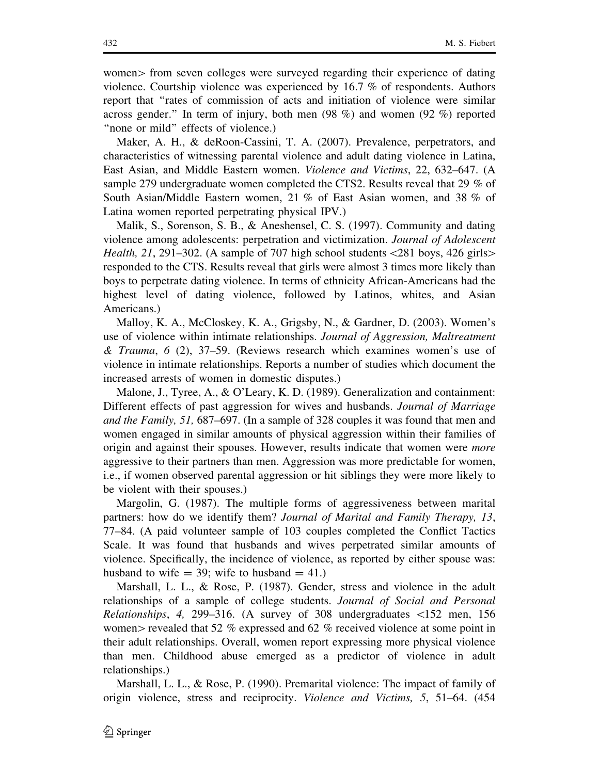women from seven colleges were surveyed regarding their experience of dating violence. Courtship violence was experienced by 16.7 % of respondents. Authors report that ''rates of commission of acts and initiation of violence were similar across gender.'' In term of injury, both men (98 %) and women (92 %) reported "none or mild" effects of violence.)

Maker, A. H., & deRoon-Cassini, T. A. (2007). Prevalence, perpetrators, and characteristics of witnessing parental violence and adult dating violence in Latina, East Asian, and Middle Eastern women. Violence and Victims, 22, 632–647. (A sample 279 undergraduate women completed the CTS2. Results reveal that 29 % of South Asian/Middle Eastern women, 21 % of East Asian women, and 38 % of Latina women reported perpetrating physical IPV.)

Malik, S., Sorenson, S. B., & Aneshensel, C. S. (1997). Community and dating violence among adolescents: perpetration and victimization. Journal of Adolescent *Health, 21, 291–302.* (A sample of 707 high school students  $\langle 281 \text{ boys}, 426 \text{ girls} \rangle$ responded to the CTS. Results reveal that girls were almost 3 times more likely than boys to perpetrate dating violence. In terms of ethnicity African-Americans had the highest level of dating violence, followed by Latinos, whites, and Asian Americans.)

Malloy, K. A., McCloskey, K. A., Grigsby, N., & Gardner, D. (2003). Women's use of violence within intimate relationships. Journal of Aggression, Maltreatment & Trauma,  $6$  (2), 37–59. (Reviews research which examines women's use of violence in intimate relationships. Reports a number of studies which document the increased arrests of women in domestic disputes.)

Malone, J., Tyree, A., & O'Leary, K. D. (1989). Generalization and containment: Different effects of past aggression for wives and husbands. Journal of Marriage and the Family, 51, 687–697. (In a sample of 328 couples it was found that men and women engaged in similar amounts of physical aggression within their families of origin and against their spouses. However, results indicate that women were *more* aggressive to their partners than men. Aggression was more predictable for women, i.e., if women observed parental aggression or hit siblings they were more likely to be violent with their spouses.)

Margolin, G. (1987). The multiple forms of aggressiveness between marital partners: how do we identify them? Journal of Marital and Family Therapy, 13, 77–84. (A paid volunteer sample of 103 couples completed the Conflict Tactics Scale. It was found that husbands and wives perpetrated similar amounts of violence. Specifically, the incidence of violence, as reported by either spouse was: husband to wife  $=$  39; wife to husband  $=$  41.)

Marshall, L. L., & Rose, P. (1987). Gender, stress and violence in the adult relationships of a sample of college students. Journal of Social and Personal Relationships, 4, 299–316. (A survey of 308 undergraduates  $\langle 152 \rangle$  men, 156 women percealed that 52 % expressed and 62 % received violence at some point in their adult relationships. Overall, women report expressing more physical violence than men. Childhood abuse emerged as a predictor of violence in adult relationships.)

Marshall, L. L., & Rose, P. (1990). Premarital violence: The impact of family of origin violence, stress and reciprocity. Violence and Victims, 5, 51–64. (454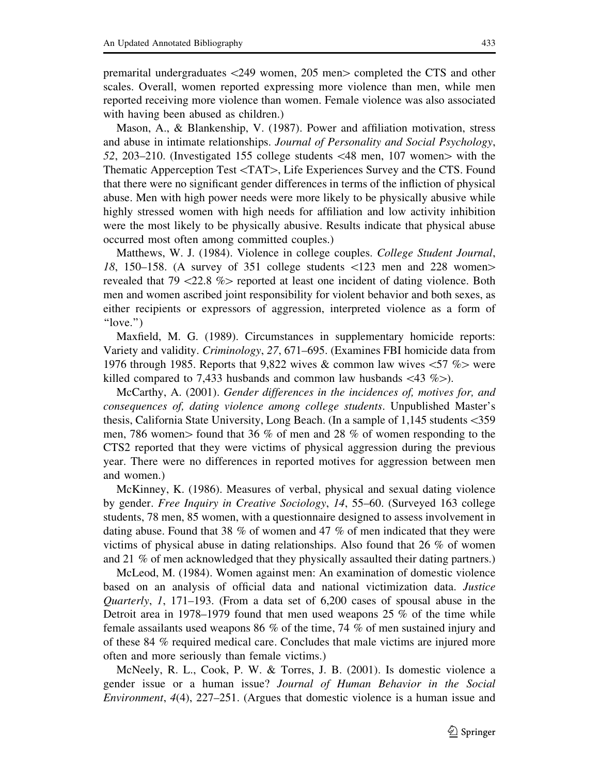premarital undergraduates  $\langle 249 \rangle$  women, 205 men $>$  completed the CTS and other scales. Overall, women reported expressing more violence than men, while men reported receiving more violence than women. Female violence was also associated with having been abused as children.)

Mason, A., & Blankenship, V. (1987). Power and affiliation motivation, stress and abuse in intimate relationships. Journal of Personality and Social Psychology, 52, 203–210. (Investigated 155 college students  $\langle 48 \text{ men}, 107 \text{ women} \rangle$  with the Thematic Apperception Test <TAT>, Life Experiences Survey and the CTS. Found that there were no significant gender differences in terms of the infliction of physical abuse. Men with high power needs were more likely to be physically abusive while highly stressed women with high needs for affiliation and low activity inhibition were the most likely to be physically abusive. Results indicate that physical abuse occurred most often among committed couples.)

Matthews, W. J. (1984). Violence in college couples. College Student Journal, 18, 150–158. (A survey of 351 college students  $\langle 123 \rangle$  men and 228 women $>$ revealed that  $79 < 22.8$  % reported at least one incident of dating violence. Both men and women ascribed joint responsibility for violent behavior and both sexes, as either recipients or expressors of aggression, interpreted violence as a form of ''love.'')

Maxfield, M. G. (1989). Circumstances in supplementary homicide reports: Variety and validity. Criminology, 27, 671–695. (Examines FBI homicide data from 1976 through 1985. Reports that 9,822 wives & common law wives  $\lt 57$  % were killed compared to 7,433 husbands and common law husbands  $\langle 43 \% \rangle$ .

McCarthy, A. (2001). Gender differences in the incidences of, motives for, and consequences of, dating violence among college students. Unpublished Master's thesis, California State University, Long Beach. (In a sample of 1,145 students\359 men, 786 women $>$  found that 36 % of men and 28 % of women responding to the CTS2 reported that they were victims of physical aggression during the previous year. There were no differences in reported motives for aggression between men and women.)

McKinney, K. (1986). Measures of verbal, physical and sexual dating violence by gender. Free Inquiry in Creative Sociology, 14, 55–60. (Surveyed 163 college students, 78 men, 85 women, with a questionnaire designed to assess involvement in dating abuse. Found that 38 % of women and 47 % of men indicated that they were victims of physical abuse in dating relationships. Also found that 26 % of women and 21 % of men acknowledged that they physically assaulted their dating partners.)

McLeod, M. (1984). Women against men: An examination of domestic violence based on an analysis of official data and national victimization data. Justice Quarterly, 1, 171–193. (From a data set of 6,200 cases of spousal abuse in the Detroit area in 1978–1979 found that men used weapons 25 % of the time while female assailants used weapons 86 % of the time, 74 % of men sustained injury and of these 84 % required medical care. Concludes that male victims are injured more often and more seriously than female victims.)

McNeely, R. L., Cook, P. W. & Torres, J. B. (2001). Is domestic violence a gender issue or a human issue? Journal of Human Behavior in the Social Environment, 4(4), 227–251. (Argues that domestic violence is a human issue and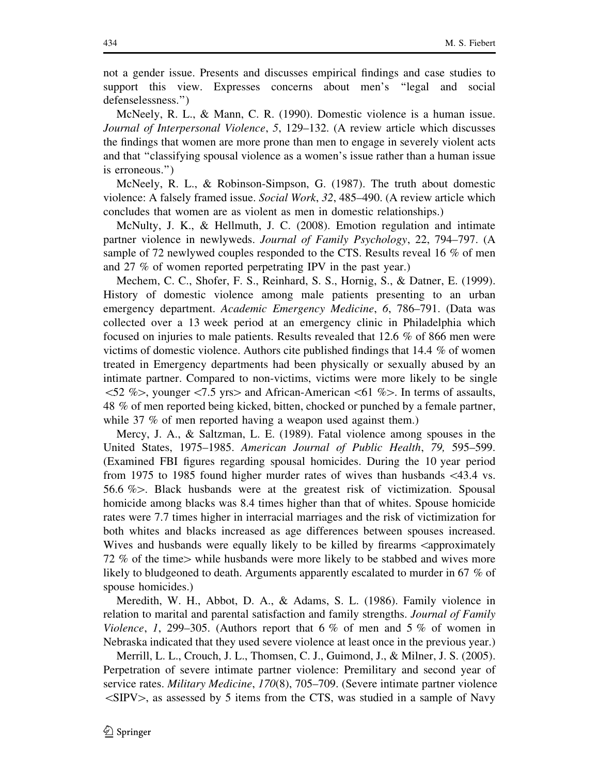not a gender issue. Presents and discusses empirical findings and case studies to support this view. Expresses concerns about men's ''legal and social defenselessness.'')

McNeely, R. L., & Mann, C. R. (1990). Domestic violence is a human issue. Journal of Interpersonal Violence, 5, 129–132. (A review article which discusses the findings that women are more prone than men to engage in severely violent acts and that ''classifying spousal violence as a women's issue rather than a human issue is erroneous.'')

McNeely, R. L., & Robinson-Simpson, G. (1987). The truth about domestic violence: A falsely framed issue. Social Work, 32, 485–490. (A review article which concludes that women are as violent as men in domestic relationships.)

McNulty, J. K., & Hellmuth, J. C. (2008). Emotion regulation and intimate partner violence in newlyweds. Journal of Family Psychology, 22, 794–797. (A sample of 72 newlywed couples responded to the CTS. Results reveal 16 % of men and 27 % of women reported perpetrating IPV in the past year.)

Mechem, C. C., Shofer, F. S., Reinhard, S. S., Hornig, S., & Datner, E. (1999). History of domestic violence among male patients presenting to an urban emergency department. Academic Emergency Medicine, 6, 786–791. (Data was collected over a 13 week period at an emergency clinic in Philadelphia which focused on injuries to male patients. Results revealed that 12.6 % of 866 men were victims of domestic violence. Authors cite published findings that 14.4 % of women treated in Emergency departments had been physically or sexually abused by an intimate partner. Compared to non-victims, victims were more likely to be single  $\leq$ 52 % $>$ , younger  $\leq$ 7.5 yrs $>$  and African-American  $\leq$ 61 % $>$ . In terms of assaults, 48 % of men reported being kicked, bitten, chocked or punched by a female partner, while 37 % of men reported having a weapon used against them.)

Mercy, J. A., & Saltzman, L. E. (1989). Fatal violence among spouses in the United States, 1975–1985. American Journal of Public Health, 79, 595–599. (Examined FBI figures regarding spousal homicides. During the 10 year period from 1975 to 1985 found higher murder rates of wives than husbands \43.4 vs. 56.6  $\%$ . Black husbands were at the greatest risk of victimization. Spousal homicide among blacks was 8.4 times higher than that of whites. Spouse homicide rates were 7.7 times higher in interracial marriages and the risk of victimization for both whites and blacks increased as age differences between spouses increased. Wives and husbands were equally likely to be killed by firearms  $\alpha$ 72 % of the time  $>$  while husbands were more likely to be stabbed and wives more likely to bludgeoned to death. Arguments apparently escalated to murder in 67 % of spouse homicides.)

Meredith, W. H., Abbot, D. A., & Adams, S. L. (1986). Family violence in relation to marital and parental satisfaction and family strengths. Journal of Family Violence, 1, 299–305. (Authors report that 6 % of men and 5 % of women in Nebraska indicated that they used severe violence at least once in the previous year.)

Merrill, L. L., Crouch, J. L., Thomsen, C. J., Guimond, J., & Milner, J. S. (2005). Perpetration of severe intimate partner violence: Premilitary and second year of service rates. *Military Medicine*, 170(8), 705–709. (Severe intimate partner violence  $\langle$ SIPV $>$ , as assessed by 5 items from the CTS, was studied in a sample of Navy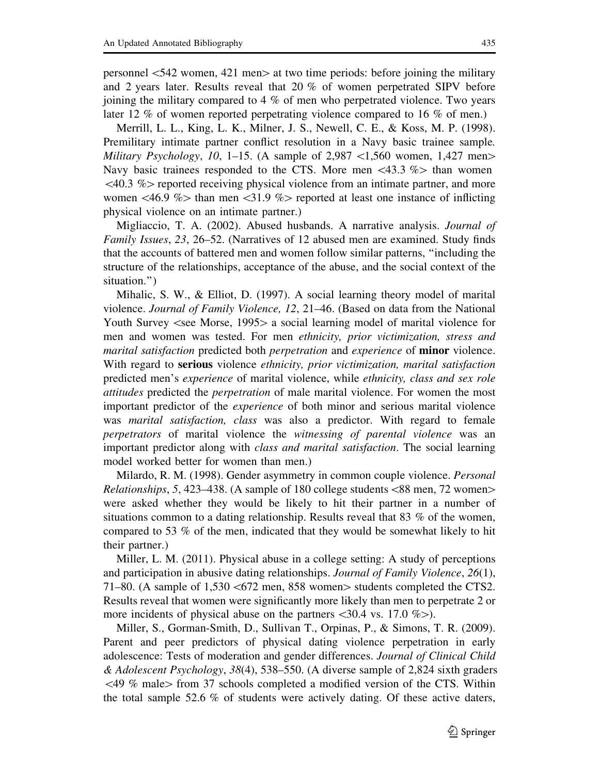personnel  $\leq 542$  women, 421 men $>$  at two time periods: before joining the military and 2 years later. Results reveal that 20 % of women perpetrated SIPV before joining the military compared to 4 % of men who perpetrated violence. Two years later 12 % of women reported perpetrating violence compared to 16 % of men.)

Merrill, L. L., King, L. K., Milner, J. S., Newell, C. E., & Koss, M. P. (1998). Premilitary intimate partner conflict resolution in a Navy basic trainee sample. Military Psychology, 10, 1–15. (A sample of 2,987  $\lt 1,560$  women, 1,427 men $>$ Navy basic trainees responded to the CTS. More men  $\langle 43.3 \ \% \rangle$  than women  $\leq$ 40.3 % reported receiving physical violence from an intimate partner, and more women  $\leq 46.9$  % than men  $\leq 31.9$  % reported at least one instance of inflicting physical violence on an intimate partner.)

Migliaccio, T. A. (2002). Abused husbands. A narrative analysis. Journal of Family Issues, 23, 26–52. (Narratives of 12 abused men are examined. Study finds that the accounts of battered men and women follow similar patterns, ''including the structure of the relationships, acceptance of the abuse, and the social context of the situation.'')

Mihalic, S. W., & Elliot, D. (1997). A social learning theory model of marital violence. Journal of Family Violence, 12, 21–46. (Based on data from the National Youth Survey  $\le$ see Morse, 1995 $>$  a social learning model of marital violence for men and women was tested. For men ethnicity, prior victimization, stress and marital satisfaction predicted both *perpetration* and *experience* of **minor** violence. With regard to serious violence ethnicity, prior victimization, marital satisfaction predicted men's experience of marital violence, while ethnicity, class and sex role attitudes predicted the perpetration of male marital violence. For women the most important predictor of the experience of both minor and serious marital violence was *marital satisfaction*, *class* was also a predictor. With regard to female perpetrators of marital violence the witnessing of parental violence was an important predictor along with *class and marital satisfaction*. The social learning model worked better for women than men.)

Milardo, R. M. (1998). Gender asymmetry in common couple violence. Personal *Relationships, 5, 423–438.* (A sample of 180 college students  $\langle 88 \text{ men}, 72 \text{ women} \rangle$ ) were asked whether they would be likely to hit their partner in a number of situations common to a dating relationship. Results reveal that 83  $\%$  of the women, compared to 53 % of the men, indicated that they would be somewhat likely to hit their partner.)

Miller, L. M. (2011). Physical abuse in a college setting: A study of perceptions and participation in abusive dating relationships. Journal of Family Violence, 26(1), 71–80. (A sample of 1,530  $\lt 672$  men, 858 women students completed the CTS2. Results reveal that women were significantly more likely than men to perpetrate 2 or more incidents of physical abuse on the partners  $\langle 30.4 \text{ vs. } 17.0 \% \rangle$ .

Miller, S., Gorman-Smith, D., Sullivan T., Orpinas, P., & Simons, T. R. (2009). Parent and peer predictors of physical dating violence perpetration in early adolescence: Tests of moderation and gender differences. Journal of Clinical Child & Adolescent Psychology, 38(4), 538–550. (A diverse sample of 2,824 sixth graders  $\langle 49 \% \text{ male} \rangle$  from 37 schools completed a modified version of the CTS. Within the total sample 52.6  $\%$  of students were actively dating. Of these active daters,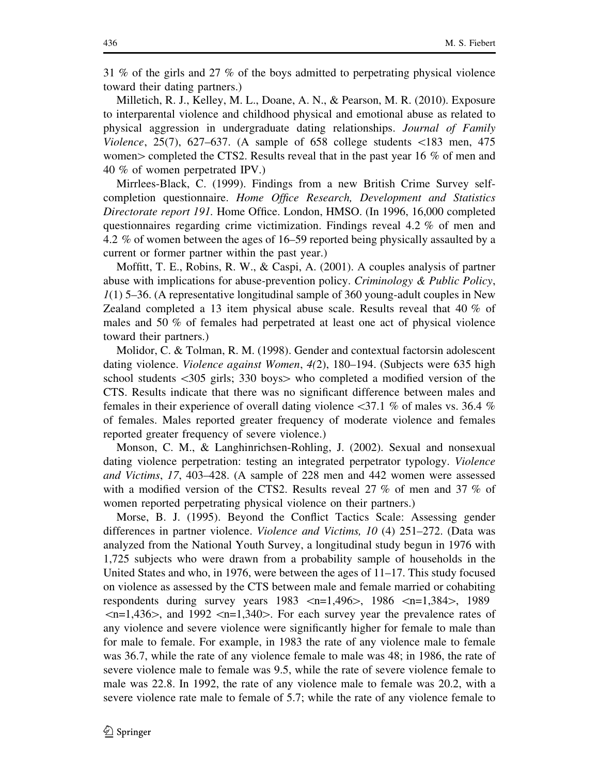31 % of the girls and 27 % of the boys admitted to perpetrating physical violence toward their dating partners.)

Milletich, R. J., Kelley, M. L., Doane, A. N., & Pearson, M. R. (2010). Exposure to interparental violence and childhood physical and emotional abuse as related to physical aggression in undergraduate dating relationships. Journal of Family Violence, 25(7), 627–637. (A sample of 658 college students  $\langle 183 \rangle$  men, 475 women  $>$  completed the CTS2. Results reveal that in the past year 16 % of men and 40 % of women perpetrated IPV.)

Mirrlees-Black, C. (1999). Findings from a new British Crime Survey selfcompletion questionnaire. Home Office Research, Development and Statistics Directorate report 191. Home Office. London, HMSO. (In 1996, 16,000 completed questionnaires regarding crime victimization. Findings reveal 4.2 % of men and 4.2 % of women between the ages of 16–59 reported being physically assaulted by a current or former partner within the past year.)

Moffitt, T. E., Robins, R. W., & Caspi, A. (2001). A couples analysis of partner abuse with implications for abuse-prevention policy. Criminology & Public Policy,  $1(1)$  5–36. (A representative longitudinal sample of 360 young-adult couples in New Zealand completed a 13 item physical abuse scale. Results reveal that 40 % of males and 50 % of females had perpetrated at least one act of physical violence toward their partners.)

Molidor, C. & Tolman, R. M. (1998). Gender and contextual factorsin adolescent dating violence. Violence against Women, 4(2), 180–194. (Subjects were 635 high school students  $\langle 305 \text{ girls}; 330 \text{ boys} \rangle$  who completed a modified version of the CTS. Results indicate that there was no significant difference between males and females in their experience of overall dating violence  $\langle 37.1 \rangle$  % of males vs. 36.4 % of females. Males reported greater frequency of moderate violence and females reported greater frequency of severe violence.)

Monson, C. M., & Langhinrichsen-Rohling, J. (2002). Sexual and nonsexual dating violence perpetration: testing an integrated perpetrator typology. Violence and Victims, 17, 403–428. (A sample of 228 men and 442 women were assessed with a modified version of the CTS2. Results reveal 27 % of men and 37 % of women reported perpetrating physical violence on their partners.)

Morse, B. J. (1995). Beyond the Conflict Tactics Scale: Assessing gender differences in partner violence. Violence and Victims, 10 (4) 251–272. (Data was analyzed from the National Youth Survey, a longitudinal study begun in 1976 with 1,725 subjects who were drawn from a probability sample of households in the United States and who, in 1976, were between the ages of 11–17. This study focused on violence as assessed by the CTS between male and female married or cohabiting respondents during survey years  $1983 \le n=1,496$ ,  $1986 \le n=1,384$ , 1989  $\langle n=1,436\rangle$ , and 1992  $\langle n=1,340\rangle$ . For each survey year the prevalence rates of any violence and severe violence were significantly higher for female to male than for male to female. For example, in 1983 the rate of any violence male to female was 36.7, while the rate of any violence female to male was 48; in 1986, the rate of severe violence male to female was 9.5, while the rate of severe violence female to male was 22.8. In 1992, the rate of any violence male to female was 20.2, with a severe violence rate male to female of 5.7; while the rate of any violence female to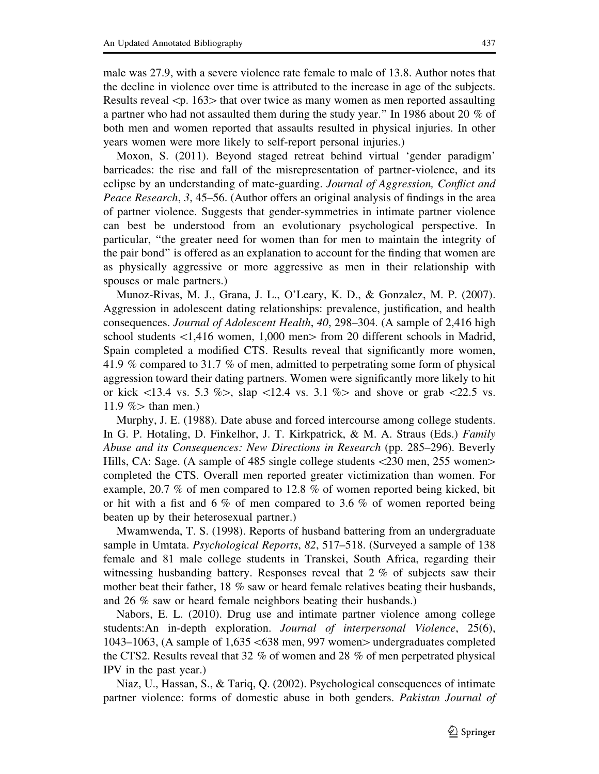Results reveal  $\leq p$ . 163 $>$  that over twice as many women as men reported assaulting a partner who had not assaulted them during the study year.'' In 1986 about 20 % of both men and women reported that assaults resulted in physical injuries. In other years women were more likely to self-report personal injuries.)

Moxon, S. (2011). Beyond staged retreat behind virtual 'gender paradigm' barricades: the rise and fall of the misrepresentation of partner-violence, and its eclipse by an understanding of mate-guarding. Journal of Aggression, Conflict and Peace Research, 3, 45–56. (Author offers an original analysis of findings in the area of partner violence. Suggests that gender-symmetries in intimate partner violence can best be understood from an evolutionary psychological perspective. In particular, ''the greater need for women than for men to maintain the integrity of the pair bond'' is offered as an explanation to account for the finding that women are as physically aggressive or more aggressive as men in their relationship with spouses or male partners.)

Munoz-Rivas, M. J., Grana, J. L., O'Leary, K. D., & Gonzalez, M. P. (2007). Aggression in adolescent dating relationships: prevalence, justification, and health consequences. Journal of Adolescent Health, 40, 298–304. (A sample of 2,416 high school students  $\langle 1,416 \rangle$  women, 1,000 men $>$  from 20 different schools in Madrid, Spain completed a modified CTS. Results reveal that significantly more women, 41.9 % compared to 31.7 % of men, admitted to perpetrating some form of physical aggression toward their dating partners. Women were significantly more likely to hit or kick  $\langle 13.4 \rangle$  vs. 5.3 % $>$ , slap  $\langle 12.4 \rangle$  vs. 3.1 % and shove or grab  $\langle 22.5 \rangle$  vs. 11.9  $\%$  than men.)

Murphy, J. E. (1988). Date abuse and forced intercourse among college students. In G. P. Hotaling, D. Finkelhor, J. T. Kirkpatrick, & M. A. Straus (Eds.) Family Abuse and its Consequences: New Directions in Research (pp. 285–296). Beverly Hills, CA: Sage. (A sample of 485 single college students <230 men, 255 women> completed the CTS. Overall men reported greater victimization than women. For example, 20.7 % of men compared to 12.8 % of women reported being kicked, bit or hit with a fist and 6 % of men compared to 3.6 % of women reported being beaten up by their heterosexual partner.)

Mwamwenda, T. S. (1998). Reports of husband battering from an undergraduate sample in Umtata. *Psychological Reports*, 82, 517–518. (Surveyed a sample of 138 female and 81 male college students in Transkei, South Africa, regarding their witnessing husbanding battery. Responses reveal that 2 % of subjects saw their mother beat their father, 18 % saw or heard female relatives beating their husbands, and 26 % saw or heard female neighbors beating their husbands.)

Nabors, E. L. (2010). Drug use and intimate partner violence among college students:An in-depth exploration. Journal of interpersonal Violence, 25(6), 1043–1063, (A sample of  $1,635 \le 638$  men, 997 women $>$  undergraduates completed the CTS2. Results reveal that 32 % of women and 28 % of men perpetrated physical IPV in the past year.)

Niaz, U., Hassan, S., & Tariq, Q. (2002). Psychological consequences of intimate partner violence: forms of domestic abuse in both genders. Pakistan Journal of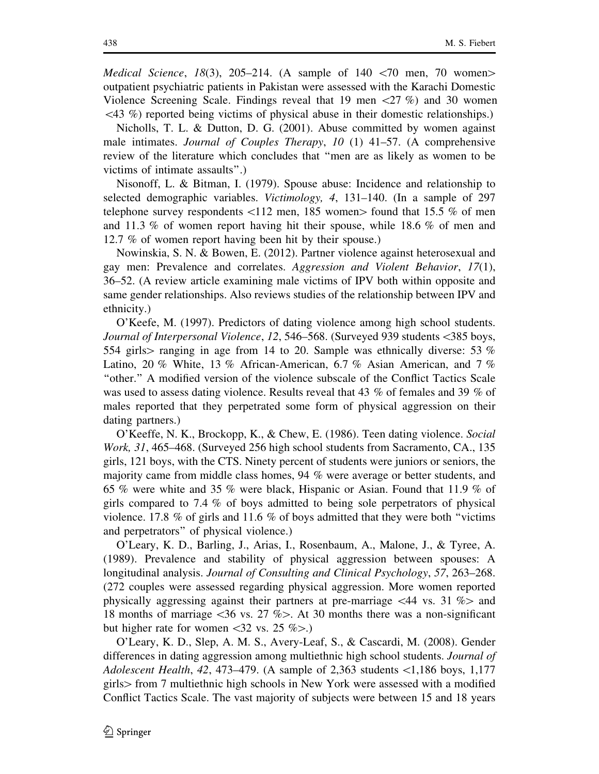*Medical Science*, 18(3), 205–214. (A sample of 140  $\lt 70$  men, 70 women $>$ outpatient psychiatric patients in Pakistan were assessed with the Karachi Domestic Violence Screening Scale. Findings reveal that 19 men  $\langle 27 \% \rangle$  and 30 women  $\langle 43 \, \%$ ) reported being victims of physical abuse in their domestic relationships.)

Nicholls, T. L. & Dutton, D. G. (2001). Abuse committed by women against male intimates. Journal of Couples Therapy, 10  $(1)$  41–57. (A comprehensive review of the literature which concludes that ''men are as likely as women to be victims of intimate assaults''.)

Nisonoff, L. & Bitman, I. (1979). Spouse abuse: Incidence and relationship to selected demographic variables. Victimology, 4, 131–140. (In a sample of 297 telephone survey respondents  $\langle 112 \text{ men}, 185 \text{ women} \rangle$  found that 15.5 % of men and 11.3 % of women report having hit their spouse, while 18.6 % of men and 12.7 % of women report having been hit by their spouse.)

Nowinskia, S. N. & Bowen, E. (2012). Partner violence against heterosexual and gay men: Prevalence and correlates. Aggression and Violent Behavior, 17(1), 36–52. (A review article examining male victims of IPV both within opposite and same gender relationships. Also reviews studies of the relationship between IPV and ethnicity.)

O'Keefe, M. (1997). Predictors of dating violence among high school students. Journal of Interpersonal Violence, 12, 546–568. (Surveyed 939 students <385 boys, 554 girls ranging in age from 14 to 20. Sample was ethnically diverse: 53  $\%$ Latino, 20 % White, 13 % African-American, 6.7 % Asian American, and 7 % ''other.'' A modified version of the violence subscale of the Conflict Tactics Scale was used to assess dating violence. Results reveal that 43 % of females and 39 % of males reported that they perpetrated some form of physical aggression on their dating partners.)

O'Keeffe, N. K., Brockopp, K., & Chew, E. (1986). Teen dating violence. Social Work, 31, 465–468. (Surveyed 256 high school students from Sacramento, CA., 135 girls, 121 boys, with the CTS. Ninety percent of students were juniors or seniors, the majority came from middle class homes, 94 % were average or better students, and 65 % were white and 35 % were black, Hispanic or Asian. Found that 11.9 % of girls compared to 7.4 % of boys admitted to being sole perpetrators of physical violence. 17.8  $\%$  of girls and 11.6  $\%$  of boys admitted that they were both "victims" and perpetrators'' of physical violence.)

O'Leary, K. D., Barling, J., Arias, I., Rosenbaum, A., Malone, J., & Tyree, A. (1989). Prevalence and stability of physical aggression between spouses: A longitudinal analysis. Journal of Consulting and Clinical Psychology, 57, 263–268. (272 couples were assessed regarding physical aggression. More women reported physically aggressing against their partners at pre-marriage  $\langle 44 \rangle$  vs. 31 % and 18 months of marriage  $\langle 36 \rangle$  vs. 27 % $>$ . At 30 months there was a non-significant but higher rate for women  $\langle 32 \text{ vs. } 25 \% \rangle$ .

O'Leary, K. D., Slep, A. M. S., Avery-Leaf, S., & Cascardi, M. (2008). Gender differences in dating aggression among multiethnic high school students. *Journal of* Adolescent Health, 42, 473–479. (A sample of 2,363 students  $\langle 1,186$  boys, 1,177 girls[from 7 multiethnic high schools in New York were assessed with a modified Conflict Tactics Scale. The vast majority of subjects were between 15 and 18 years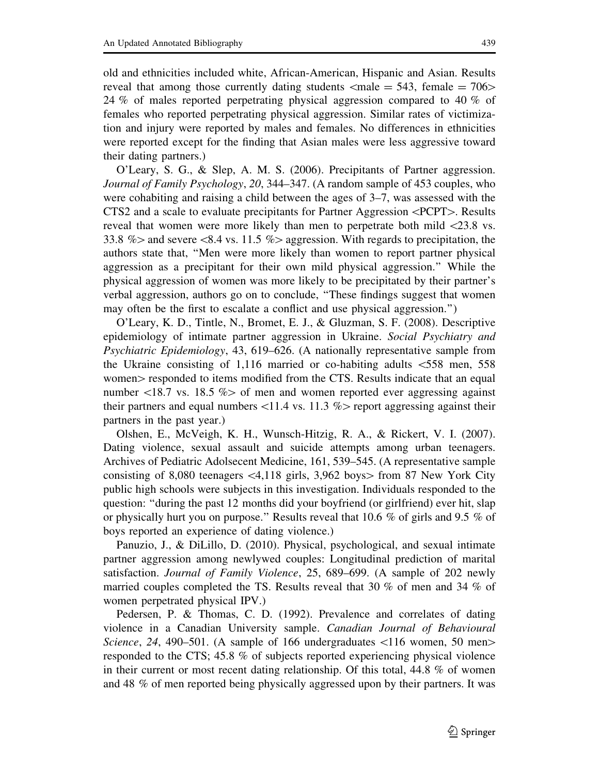old and ethnicities included white, African-American, Hispanic and Asian. Results reveal that among those currently dating students  $\lt$ male  $= 543$ , female  $= 706$ 24 % of males reported perpetrating physical aggression compared to 40 % of females who reported perpetrating physical aggression. Similar rates of victimization and injury were reported by males and females. No differences in ethnicities were reported except for the finding that Asian males were less aggressive toward their dating partners.)

O'Leary, S. G., & Slep, A. M. S. (2006). Precipitants of Partner aggression. Journal of Family Psychology, 20, 344–347. (A random sample of 453 couples, who were cohabiting and raising a child between the ages of 3–7, was assessed with the CTS2 and a scale to evaluate precipitants for Partner Aggression <PCPT>. Results reveal that women were more likely than men to perpetrate both mild  $\langle 23.8 \text{ vs.} \rangle$ 33.8  $\%$  and severe <8.4 vs. 11.5 % aggression. With regards to precipitation, the authors state that, ''Men were more likely than women to report partner physical aggression as a precipitant for their own mild physical aggression.'' While the physical aggression of women was more likely to be precipitated by their partner's verbal aggression, authors go on to conclude, ''These findings suggest that women may often be the first to escalate a conflict and use physical aggression.'')

O'Leary, K. D., Tintle, N., Bromet, E. J., & Gluzman, S. F. (2008). Descriptive epidemiology of intimate partner aggression in Ukraine. Social Psychiatry and Psychiatric Epidemiology, 43, 619–626. (A nationally representative sample from the Ukraine consisting of 1,116 married or co-habiting adults \558 men, 558 women responded to items modified from the CTS. Results indicate that an equal number  $\langle 18.7 \text{ vs. } 18.5 \text{ %} \rangle$  of men and women reported ever aggressing against their partners and equal numbers  $\langle 11.4 \text{ vs. } 11.3 \text{ %} \rangle$  report aggressing against their partners in the past year.)

Olshen, E., McVeigh, K. H., Wunsch-Hitzig, R. A., & Rickert, V. I. (2007). Dating violence, sexual assault and suicide attempts among urban teenagers. Archives of Pediatric Adolsecent Medicine, 161, 539–545. (A representative sample consisting of 8,080 teenagers  $\lt 4,118$  girls, 3,962 boys $>$  from 87 New York City public high schools were subjects in this investigation. Individuals responded to the question: ''during the past 12 months did your boyfriend (or girlfriend) ever hit, slap or physically hurt you on purpose.'' Results reveal that 10.6 % of girls and 9.5 % of boys reported an experience of dating violence.)

Panuzio, J., & DiLillo, D. (2010). Physical, psychological, and sexual intimate partner aggression among newlywed couples: Longitudinal prediction of marital satisfaction. Journal of Family Violence, 25, 689–699. (A sample of 202 newly married couples completed the TS. Results reveal that 30 % of men and 34 % of women perpetrated physical IPV.)

Pedersen, P. & Thomas, C. D. (1992). Prevalence and correlates of dating violence in a Canadian University sample. Canadian Journal of Behavioural Science, 24, 490–501. (A sample of 166 undergraduates  $\lt 116$  women, 50 men $>$ responded to the CTS; 45.8 % of subjects reported experiencing physical violence in their current or most recent dating relationship. Of this total, 44.8 % of women and 48 % of men reported being physically aggressed upon by their partners. It was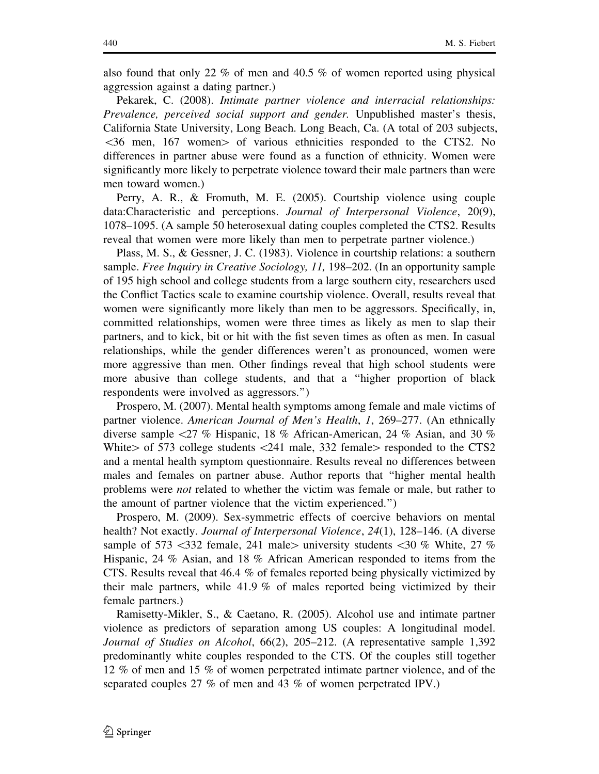also found that only 22 % of men and 40.5 % of women reported using physical aggression against a dating partner.)

Pekarek, C. (2008). Intimate partner violence and interracial relationships: Prevalence, perceived social support and gender. Unpublished master's thesis, California State University, Long Beach. Long Beach, Ca. (A total of 203 subjects,  $\leq$ 36 men, 167 women $>$  of various ethnicities responded to the CTS2. No differences in partner abuse were found as a function of ethnicity. Women were significantly more likely to perpetrate violence toward their male partners than were men toward women.)

Perry, A. R., & Fromuth, M. E. (2005). Courtship violence using couple data:Characteristic and perceptions. Journal of Interpersonal Violence, 20(9), 1078–1095. (A sample 50 heterosexual dating couples completed the CTS2. Results reveal that women were more likely than men to perpetrate partner violence.)

Plass, M. S., & Gessner, J. C. (1983). Violence in courtship relations: a southern sample. *Free Inquiry in Creative Sociology, 11*, 198–202. (In an opportunity sample of 195 high school and college students from a large southern city, researchers used the Conflict Tactics scale to examine courtship violence. Overall, results reveal that women were significantly more likely than men to be aggressors. Specifically, in, committed relationships, women were three times as likely as men to slap their partners, and to kick, bit or hit with the fist seven times as often as men. In casual relationships, while the gender differences weren't as pronounced, women were more aggressive than men. Other findings reveal that high school students were more abusive than college students, and that a ''higher proportion of black respondents were involved as aggressors.'')

Prospero, M. (2007). Mental health symptoms among female and male victims of partner violence. American Journal of Men's Health, 1, 269–277. (An ethnically diverse sample  $\langle 27 \, \%$  Hispanic, 18 % African-American, 24 % Asian, and 30 %White $>$  of 573 college students  $\langle 241 \rangle$  male, 332 female $>$  responded to the CTS2 and a mental health symptom questionnaire. Results reveal no differences between males and females on partner abuse. Author reports that ''higher mental health problems were not related to whether the victim was female or male, but rather to the amount of partner violence that the victim experienced.'')

Prospero, M. (2009). Sex-symmetric effects of coercive behaviors on mental health? Not exactly. *Journal of Interpersonal Violence*, 24(1), 128–146. (A diverse sample of 573  $\lt$ 332 female, 241 male university students  $\lt$ 30 % White, 27 % Hispanic, 24 % Asian, and 18 % African American responded to items from the CTS. Results reveal that 46.4 % of females reported being physically victimized by their male partners, while 41.9 % of males reported being victimized by their female partners.)

Ramisetty-Mikler, S., & Caetano, R. (2005). Alcohol use and intimate partner violence as predictors of separation among US couples: A longitudinal model. Journal of Studies on Alcohol, 66(2), 205–212. (A representative sample 1,392 predominantly white couples responded to the CTS. Of the couples still together 12 % of men and 15 % of women perpetrated intimate partner violence, and of the separated couples 27 % of men and 43 % of women perpetrated IPV.)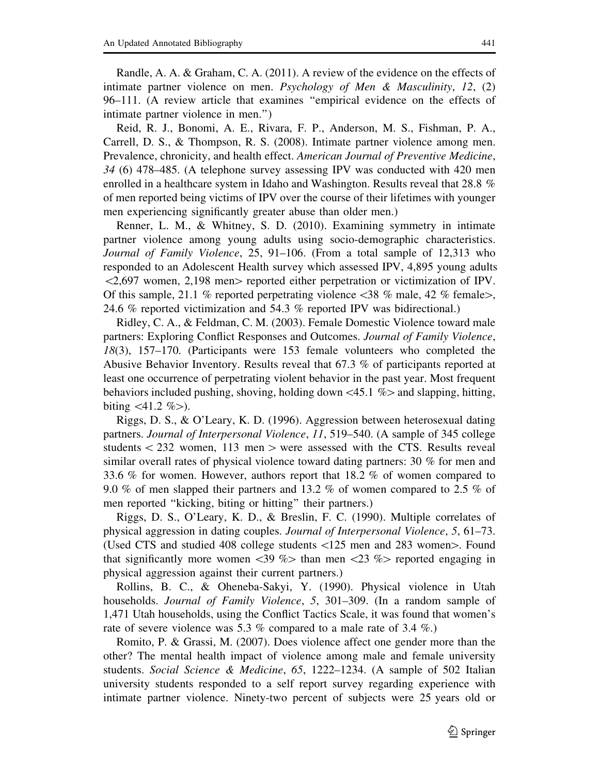Randle, A. A. & Graham, C. A. (2011). A review of the evidence on the effects of intimate partner violence on men. Psychology of Men & Masculinity,  $12$ ,  $(2)$ 96–111. (A review article that examines ''empirical evidence on the effects of intimate partner violence in men.'')

Reid, R. J., Bonomi, A. E., Rivara, F. P., Anderson, M. S., Fishman, P. A., Carrell, D. S., & Thompson, R. S. (2008). Intimate partner violence among men. Prevalence, chronicity, and health effect. American Journal of Preventive Medicine, 34 (6) 478–485. (A telephone survey assessing IPV was conducted with 420 men enrolled in a healthcare system in Idaho and Washington. Results reveal that 28.8 % of men reported being victims of IPV over the course of their lifetimes with younger men experiencing significantly greater abuse than older men.)

Renner, L. M., & Whitney, S. D. (2010). Examining symmetry in intimate partner violence among young adults using socio-demographic characteristics. Journal of Family Violence, 25, 91–106. (From a total sample of 12,313 who responded to an Adolescent Health survey which assessed IPV, 4,895 young adults  $\langle 2,697 \rangle$  women, 2,198 men $>$  reported either perpetration or victimization of IPV. Of this sample, 21.1 % reported perpetrating violence  $\langle 38 \%$  male, 42 % female $\rangle$ , 24.6 % reported victimization and 54.3 % reported IPV was bidirectional.)

Ridley, C. A., & Feldman, C. M. (2003). Female Domestic Violence toward male partners: Exploring Conflict Responses and Outcomes. Journal of Family Violence, 18(3), 157–170. (Participants were 153 female volunteers who completed the Abusive Behavior Inventory. Results reveal that 67.3 % of participants reported at least one occurrence of perpetrating violent behavior in the past year. Most frequent behaviors included pushing, shoving, holding down  $\lt 45.1 \%$  and slapping, hitting, biting  $\langle 41.2 \% \rangle$ .

Riggs, D. S., & O'Leary, K. D. (1996). Aggression between heterosexual dating partners. Journal of Interpersonal Violence, 11, 519–540. (A sample of 345 college students  $\langle 232 \rangle$  women, 113 men  $>$  were assessed with the CTS. Results reveal similar overall rates of physical violence toward dating partners: 30 % for men and 33.6 % for women. However, authors report that 18.2 % of women compared to 9.0 % of men slapped their partners and 13.2 % of women compared to 2.5 % of men reported ''kicking, biting or hitting'' their partners.)

Riggs, D. S., O'Leary, K. D., & Breslin, F. C. (1990). Multiple correlates of physical aggression in dating couples. Journal of Interpersonal Violence, 5, 61–73. (Used CTS and studied 408 college students  $\langle 125 \text{ men}$  and 283 women $>$ . Found that significantly more women  $\langle 39 \rangle$  than men  $\langle 23 \rangle$  //b reported engaging in physical aggression against their current partners.)

Rollins, B. C., & Oheneba-Sakyi, Y. (1990). Physical violence in Utah households. *Journal of Family Violence*, 5, 301–309. (In a random sample of 1,471 Utah households, using the Conflict Tactics Scale, it was found that women's rate of severe violence was 5.3 % compared to a male rate of 3.4 %.)

Romito, P. & Grassi, M. (2007). Does violence affect one gender more than the other? The mental health impact of violence among male and female university students. Social Science & Medicine, 65, 1222–1234. (A sample of 502 Italian university students responded to a self report survey regarding experience with intimate partner violence. Ninety-two percent of subjects were 25 years old or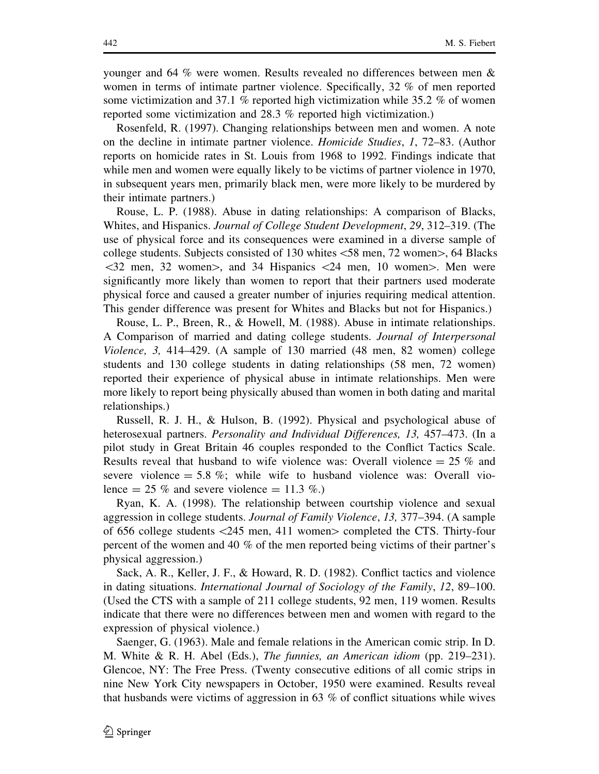younger and 64 % were women. Results revealed no differences between men & women in terms of intimate partner violence. Specifically, 32 % of men reported some victimization and 37.1 % reported high victimization while 35.2 % of women reported some victimization and 28.3 % reported high victimization.)

Rosenfeld, R. (1997). Changing relationships between men and women. A note on the decline in intimate partner violence. Homicide Studies, 1, 72–83. (Author reports on homicide rates in St. Louis from 1968 to 1992. Findings indicate that while men and women were equally likely to be victims of partner violence in 1970, in subsequent years men, primarily black men, were more likely to be murdered by their intimate partners.)

Rouse, L. P. (1988). Abuse in dating relationships: A comparison of Blacks, Whites, and Hispanics. Journal of College Student Development, 29, 312–319. (The use of physical force and its consequences were examined in a diverse sample of college students. Subjects consisted of 130 whites  $\lt$  58 men, 72 women $>$ , 64 Blacks  $\langle 32 \text{ men}, 32 \text{ women} \rangle$ , and 34 Hispanics  $\langle 24 \text{ men}, 10 \text{ women} \rangle$ . Men were significantly more likely than women to report that their partners used moderate physical force and caused a greater number of injuries requiring medical attention. This gender difference was present for Whites and Blacks but not for Hispanics.)

Rouse, L. P., Breen, R., & Howell, M. (1988). Abuse in intimate relationships. A Comparison of married and dating college students. Journal of Interpersonal Violence, 3, 414–429. (A sample of 130 married (48 men, 82 women) college students and 130 college students in dating relationships (58 men, 72 women) reported their experience of physical abuse in intimate relationships. Men were more likely to report being physically abused than women in both dating and marital relationships.)

Russell, R. J. H., & Hulson, B. (1992). Physical and psychological abuse of heterosexual partners. Personality and Individual Differences, 13, 457–473. (In a pilot study in Great Britain 46 couples responded to the Conflict Tactics Scale. Results reveal that husband to wife violence was: Overall violence  $= 25 \%$  and severe violence  $= 5.8\%$ ; while wife to husband violence was: Overall violence  $= 25 \%$  and severe violence  $= 11.3 \%$ .

Ryan, K. A. (1998). The relationship between courtship violence and sexual aggression in college students. Journal of Family Violence, 13, 377–394. (A sample of 656 college students  $\langle 245 \text{ men}, 411 \text{ women} \rangle$  completed the CTS. Thirty-four percent of the women and 40 % of the men reported being victims of their partner's physical aggression.)

Sack, A. R., Keller, J. F., & Howard, R. D. (1982). Conflict tactics and violence in dating situations. International Journal of Sociology of the Family, 12, 89–100. (Used the CTS with a sample of 211 college students, 92 men, 119 women. Results indicate that there were no differences between men and women with regard to the expression of physical violence.)

Saenger, G. (1963). Male and female relations in the American comic strip. In D. M. White & R. H. Abel (Eds.), The funnies, an American idiom (pp. 219–231). Glencoe, NY: The Free Press. (Twenty consecutive editions of all comic strips in nine New York City newspapers in October, 1950 were examined. Results reveal that husbands were victims of aggression in 63 % of conflict situations while wives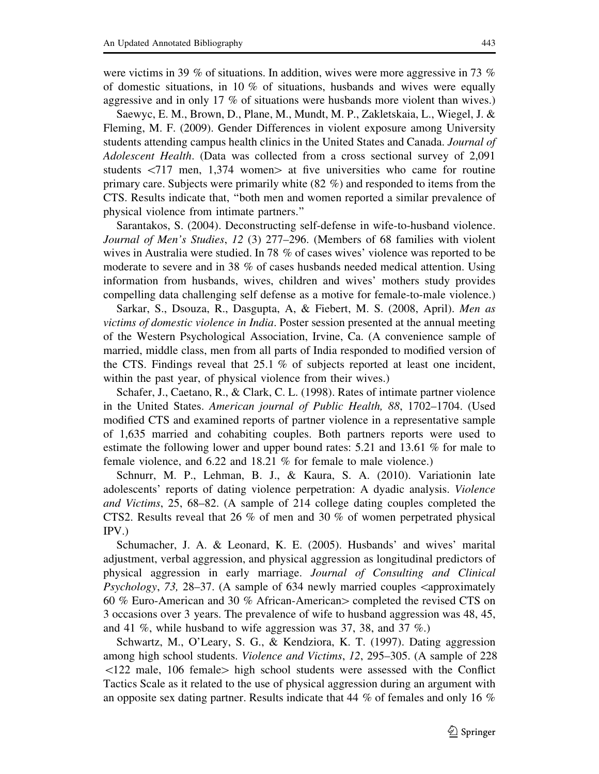were victims in 39 % of situations. In addition, wives were more aggressive in 73 % of domestic situations, in 10 % of situations, husbands and wives were equally aggressive and in only 17 % of situations were husbands more violent than wives.)

Saewyc, E. M., Brown, D., Plane, M., Mundt, M. P., Zakletskaia, L., Wiegel, J. & Fleming, M. F. (2009). Gender Differences in violent exposure among University students attending campus health clinics in the United States and Canada. Journal of Adolescent Health. (Data was collected from a cross sectional survey of 2,091 students  $\langle 717 \text{ men}, 1,374 \text{ women} \rangle$  at five universities who came for routine primary care. Subjects were primarily white (82 %) and responded to items from the CTS. Results indicate that, ''both men and women reported a similar prevalence of physical violence from intimate partners.''

Sarantakos, S. (2004). Deconstructing self-defense in wife-to-husband violence. Journal of Men's Studies, 12 (3) 277–296. (Members of 68 families with violent wives in Australia were studied. In 78 % of cases wives' violence was reported to be moderate to severe and in 38 % of cases husbands needed medical attention. Using information from husbands, wives, children and wives' mothers study provides compelling data challenging self defense as a motive for female-to-male violence.)

Sarkar, S., Dsouza, R., Dasgupta, A, & Fiebert, M. S. (2008, April). Men as victims of domestic violence in India. Poster session presented at the annual meeting of the Western Psychological Association, Irvine, Ca. (A convenience sample of married, middle class, men from all parts of India responded to modified version of the CTS. Findings reveal that 25.1 % of subjects reported at least one incident, within the past year, of physical violence from their wives.)

Schafer, J., Caetano, R., & Clark, C. L. (1998). Rates of intimate partner violence in the United States. American journal of Public Health, 88, 1702–1704. (Used modified CTS and examined reports of partner violence in a representative sample of 1,635 married and cohabiting couples. Both partners reports were used to estimate the following lower and upper bound rates: 5.21 and 13.61 % for male to female violence, and 6.22 and 18.21 % for female to male violence.)

Schnurr, M. P., Lehman, B. J., & Kaura, S. A. (2010). Variationin late adolescents' reports of dating violence perpetration: A dyadic analysis. Violence and Victims, 25, 68–82. (A sample of 214 college dating couples completed the CTS2. Results reveal that 26 % of men and 30 % of women perpetrated physical IPV.)

Schumacher, J. A. & Leonard, K. E. (2005). Husbands' and wives' marital adjustment, verbal aggression, and physical aggression as longitudinal predictors of physical aggression in early marriage. Journal of Consulting and Clinical *Psychology, 73, 28–37.* (A sample of 634 newly married couples  $\alpha$  approximately 60 % Euro-American and 30 % African-American completed the revised CTS on 3 occasions over 3 years. The prevalence of wife to husband aggression was 48, 45, and 41 %, while husband to wife aggression was 37, 38, and 37 %.)

Schwartz, M., O'Leary, S. G., & Kendziora, K. T. (1997). Dating aggression among high school students. Violence and Victims, 12, 295–305. (A sample of 228  $\langle 122 \text{ male}, 106 \text{ female} \rangle$  high school students were assessed with the Conflict Tactics Scale as it related to the use of physical aggression during an argument with an opposite sex dating partner. Results indicate that 44  $\%$  of females and only 16  $\%$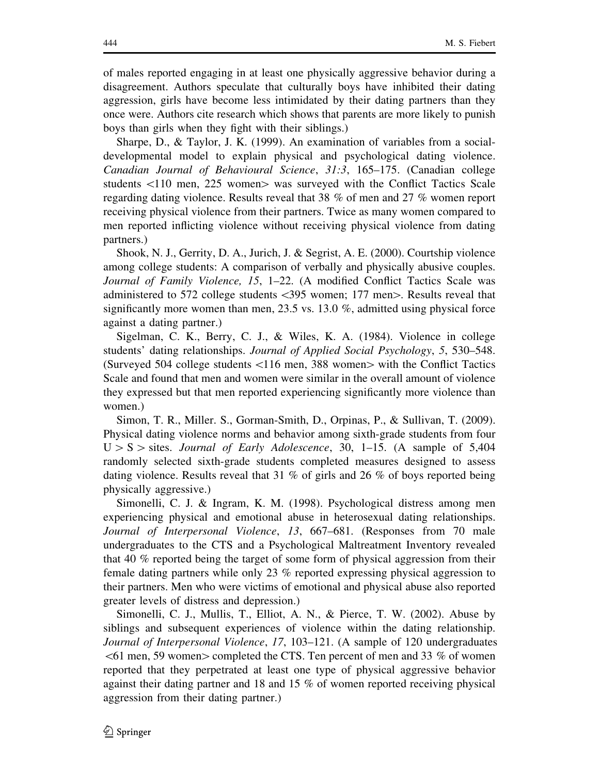of males reported engaging in at least one physically aggressive behavior during a disagreement. Authors speculate that culturally boys have inhibited their dating aggression, girls have become less intimidated by their dating partners than they once were. Authors cite research which shows that parents are more likely to punish boys than girls when they fight with their siblings.)

Sharpe, D., & Taylor, J. K. (1999). An examination of variables from a socialdevelopmental model to explain physical and psychological dating violence. Canadian Journal of Behavioural Science, 31:3, 165–175. (Canadian college students  $\langle 110 \text{ men}, 225 \text{ women} \rangle$  was surveyed with the Conflict Tactics Scale regarding dating violence. Results reveal that 38 % of men and 27 % women report receiving physical violence from their partners. Twice as many women compared to men reported inflicting violence without receiving physical violence from dating partners.)

Shook, N. J., Gerrity, D. A., Jurich, J. & Segrist, A. E. (2000). Courtship violence among college students: A comparison of verbally and physically abusive couples. Journal of Family Violence, 15, 1–22. (A modified Conflict Tactics Scale was administered to 572 college students  $\langle 395$  women; 177 men $>$ . Results reveal that significantly more women than men, 23.5 vs. 13.0 %, admitted using physical force against a dating partner.)

Sigelman, C. K., Berry, C. J., & Wiles, K. A. (1984). Violence in college students' dating relationships. Journal of Applied Social Psychology, 5, 530–548. (Surveyed 504 college students  $\langle116 \text{ men}, 388 \text{ women} \rangle$  with the Conflict Tactics Scale and found that men and women were similar in the overall amount of violence they expressed but that men reported experiencing significantly more violence than women.)

Simon, T. R., Miller. S., Gorman-Smith, D., Orpinas, P., & Sullivan, T. (2009). Physical dating violence norms and behavior among sixth-grade students from four  $U > S >$  sites. Journal of Early Adolescence, 30, 1–15. (A sample of 5,404 randomly selected sixth-grade students completed measures designed to assess dating violence. Results reveal that 31 % of girls and 26 % of boys reported being physically aggressive.)

Simonelli, C. J. & Ingram, K. M. (1998). Psychological distress among men experiencing physical and emotional abuse in heterosexual dating relationships. Journal of Interpersonal Violence, 13, 667–681. (Responses from 70 male undergraduates to the CTS and a Psychological Maltreatment Inventory revealed that 40 % reported being the target of some form of physical aggression from their female dating partners while only 23 % reported expressing physical aggression to their partners. Men who were victims of emotional and physical abuse also reported greater levels of distress and depression.)

Simonelli, C. J., Mullis, T., Elliot, A. N., & Pierce, T. W. (2002). Abuse by siblings and subsequent experiences of violence within the dating relationship. Journal of Interpersonal Violence, 17, 103–121. (A sample of 120 undergraduates  $<$ 61 men, 59 women $>$  completed the CTS. Ten percent of men and 33 % of women reported that they perpetrated at least one type of physical aggressive behavior against their dating partner and 18 and 15 % of women reported receiving physical aggression from their dating partner.)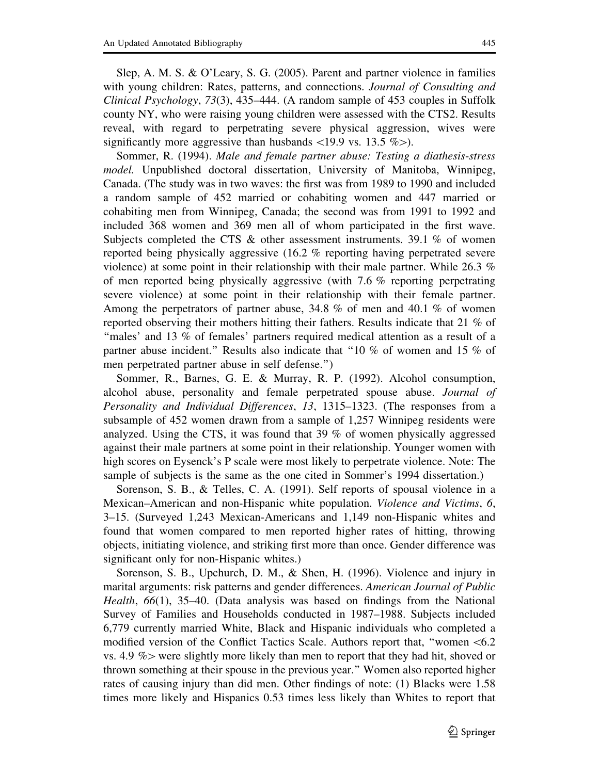Slep, A. M. S. & O'Leary, S. G. (2005). Parent and partner violence in families with young children: Rates, patterns, and connections. *Journal of Consulting and* Clinical Psychology, 73(3), 435–444. (A random sample of 453 couples in Suffolk county NY, who were raising young children were assessed with the CTS2. Results reveal, with regard to perpetrating severe physical aggression, wives were significantly more aggressive than husbands  $\langle 19.9 \text{ vs. } 13.5 \% \rangle$ .

Sommer, R. (1994). Male and female partner abuse: Testing a diathesis-stress model. Unpublished doctoral dissertation, University of Manitoba, Winnipeg, Canada. (The study was in two waves: the first was from 1989 to 1990 and included a random sample of 452 married or cohabiting women and 447 married or cohabiting men from Winnipeg, Canada; the second was from 1991 to 1992 and included 368 women and 369 men all of whom participated in the first wave. Subjects completed the CTS & other assessment instruments. 39.1 % of women reported being physically aggressive (16.2 % reporting having perpetrated severe violence) at some point in their relationship with their male partner. While 26.3 % of men reported being physically aggressive (with 7.6 % reporting perpetrating severe violence) at some point in their relationship with their female partner. Among the perpetrators of partner abuse, 34.8 % of men and 40.1 % of women reported observing their mothers hitting their fathers. Results indicate that 21 % of ''males' and 13 % of females' partners required medical attention as a result of a partner abuse incident.'' Results also indicate that ''10 % of women and 15 % of men perpetrated partner abuse in self defense.'')

Sommer, R., Barnes, G. E. & Murray, R. P. (1992). Alcohol consumption, alcohol abuse, personality and female perpetrated spouse abuse. Journal of Personality and Individual Differences, 13, 1315–1323. (The responses from a subsample of 452 women drawn from a sample of 1,257 Winnipeg residents were analyzed. Using the CTS, it was found that 39 % of women physically aggressed against their male partners at some point in their relationship. Younger women with high scores on Eysenck's P scale were most likely to perpetrate violence. Note: The sample of subjects is the same as the one cited in Sommer's 1994 dissertation.)

Sorenson, S. B., & Telles, C. A. (1991). Self reports of spousal violence in a Mexican–American and non-Hispanic white population. Violence and Victims, 6, 3–15. (Surveyed 1,243 Mexican-Americans and 1,149 non-Hispanic whites and found that women compared to men reported higher rates of hitting, throwing objects, initiating violence, and striking first more than once. Gender difference was significant only for non-Hispanic whites.)

Sorenson, S. B., Upchurch, D. M., & Shen, H. (1996). Violence and injury in marital arguments: risk patterns and gender differences. American Journal of Public Health, 66(1), 35–40. (Data analysis was based on findings from the National Survey of Families and Households conducted in 1987–1988. Subjects included 6,779 currently married White, Black and Hispanic individuals who completed a modified version of the Conflict Tactics Scale. Authors report that, "women  $\leq 6.2$ " vs. 4.9  $\%$  were slightly more likely than men to report that they had hit, shoved or thrown something at their spouse in the previous year.'' Women also reported higher rates of causing injury than did men. Other findings of note: (1) Blacks were 1.58 times more likely and Hispanics 0.53 times less likely than Whites to report that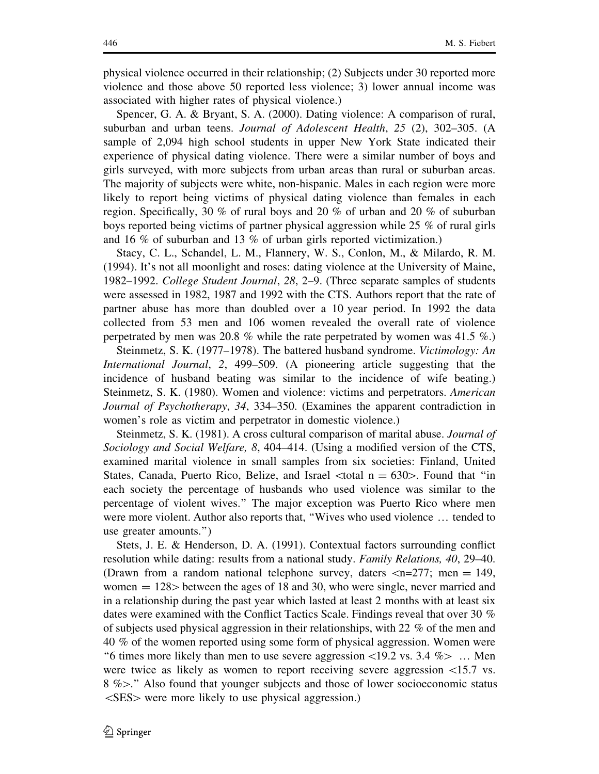physical violence occurred in their relationship; (2) Subjects under 30 reported more violence and those above 50 reported less violence; 3) lower annual income was associated with higher rates of physical violence.)

Spencer, G. A. & Bryant, S. A. (2000). Dating violence: A comparison of rural, suburban and urban teens. Journal of Adolescent Health, 25 (2), 302-305. (A sample of 2,094 high school students in upper New York State indicated their experience of physical dating violence. There were a similar number of boys and girls surveyed, with more subjects from urban areas than rural or suburban areas. The majority of subjects were white, non-hispanic. Males in each region were more likely to report being victims of physical dating violence than females in each region. Specifically, 30 % of rural boys and 20 % of urban and 20 % of suburban boys reported being victims of partner physical aggression while 25 % of rural girls and 16 % of suburban and 13 % of urban girls reported victimization.)

Stacy, C. L., Schandel, L. M., Flannery, W. S., Conlon, M., & Milardo, R. M. (1994). It's not all moonlight and roses: dating violence at the University of Maine, 1982–1992. College Student Journal, 28, 2–9. (Three separate samples of students were assessed in 1982, 1987 and 1992 with the CTS. Authors report that the rate of partner abuse has more than doubled over a 10 year period. In 1992 the data collected from 53 men and 106 women revealed the overall rate of violence perpetrated by men was 20.8 % while the rate perpetrated by women was 41.5 %.)

Steinmetz, S. K. (1977–1978). The battered husband syndrome. Victimology: An International Journal, 2, 499–509. (A pioneering article suggesting that the incidence of husband beating was similar to the incidence of wife beating.) Steinmetz, S. K. (1980). Women and violence: victims and perpetrators. American Journal of Psychotherapy, 34, 334–350. (Examines the apparent contradiction in women's role as victim and perpetrator in domestic violence.)

Steinmetz, S. K. (1981). A cross cultural comparison of marital abuse. Journal of Sociology and Social Welfare, 8, 404–414. (Using a modified version of the CTS, examined marital violence in small samples from six societies: Finland, United States, Canada, Puerto Rico, Belize, and Israel  $\lt$ total n = 630 $>$ . Found that "in each society the percentage of husbands who used violence was similar to the percentage of violent wives.'' The major exception was Puerto Rico where men were more violent. Author also reports that, ''Wives who used violence … tended to use greater amounts.'')

Stets, J. E. & Henderson, D. A. (1991). Contextual factors surrounding conflict resolution while dating: results from a national study. Family Relations, 40, 29–40. (Drawn from a random national telephone survey, daters  $\lt$ n=277; men = 149, women  $= 128$  between the ages of 18 and 30, who were single, never married and in a relationship during the past year which lasted at least 2 months with at least six dates were examined with the Conflict Tactics Scale. Findings reveal that over 30 % of subjects used physical aggression in their relationships, with 22 % of the men and 40 % of the women reported using some form of physical aggression. Women were "6 times more likely than men to use severe aggression  $\langle 19.2 \text{ vs. } 3.4 \text{ %} \rangle$  ... Men were twice as likely as women to report receiving severe aggression  $\langle 15.7 \rangle$  vs.  $8\%$ ." Also found that younger subjects and those of lower socioeconomic status  $\langle$ SES $>$  were more likely to use physical aggression.)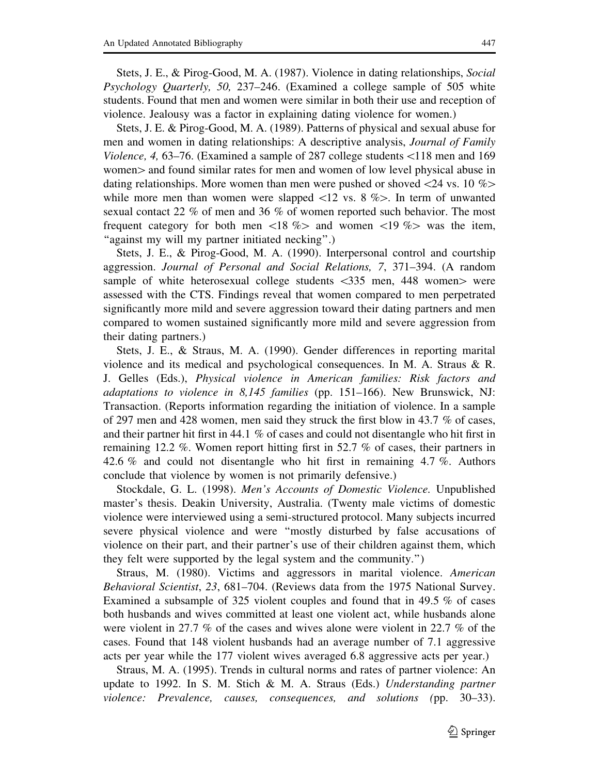Stets, J. E., & Pirog-Good, M. A. (1987). Violence in dating relationships, Social Psychology Quarterly, 50, 237–246. (Examined a college sample of 505 white students. Found that men and women were similar in both their use and reception of violence. Jealousy was a factor in explaining dating violence for women.)

Stets, J. E. & Pirog-Good, M. A. (1989). Patterns of physical and sexual abuse for men and women in dating relationships: A descriptive analysis, *Journal of Family* Violence, 4, 63–76. (Examined a sample of 287 college students\118 men and 169 women is and found similar rates for men and women of low level physical abuse in dating relationships. More women than men were pushed or shoved  $\langle 24 \text{ vs. } 10 \% \rangle$ while more men than women were slapped  $\langle 12 \rangle$  vs. 8 % $>$ . In term of unwanted sexual contact 22 % of men and 36 % of women reported such behavior. The most frequent category for both men  $\langle 18 \, \% \rangle$  and women  $\langle 19 \, \% \rangle$  was the item, ''against my will my partner initiated necking''.)

Stets, J. E., & Pirog-Good, M. A. (1990). Interpersonal control and courtship aggression. Journal of Personal and Social Relations, 7, 371–394. (A random sample of white heterosexual college students  $\langle 335 \rangle$  men, 448 women $>$  were assessed with the CTS. Findings reveal that women compared to men perpetrated significantly more mild and severe aggression toward their dating partners and men compared to women sustained significantly more mild and severe aggression from their dating partners.)

Stets, J. E., & Straus, M. A. (1990). Gender differences in reporting marital violence and its medical and psychological consequences. In M. A. Straus & R. J. Gelles (Eds.), Physical violence in American families: Risk factors and adaptations to violence in  $8,145$  families (pp. 151–166). New Brunswick, NJ: Transaction. (Reports information regarding the initiation of violence. In a sample of 297 men and 428 women, men said they struck the first blow in 43.7 % of cases, and their partner hit first in 44.1 % of cases and could not disentangle who hit first in remaining 12.2 %. Women report hitting first in 52.7 % of cases, their partners in 42.6 % and could not disentangle who hit first in remaining 4.7 %. Authors conclude that violence by women is not primarily defensive.)

Stockdale, G. L. (1998). Men's Accounts of Domestic Violence. Unpublished master's thesis. Deakin University, Australia. (Twenty male victims of domestic violence were interviewed using a semi-structured protocol. Many subjects incurred severe physical violence and were ''mostly disturbed by false accusations of violence on their part, and their partner's use of their children against them, which they felt were supported by the legal system and the community.'')

Straus, M. (1980). Victims and aggressors in marital violence. American Behavioral Scientist, 23, 681–704. (Reviews data from the 1975 National Survey. Examined a subsample of 325 violent couples and found that in 49.5 % of cases both husbands and wives committed at least one violent act, while husbands alone were violent in 27.7 % of the cases and wives alone were violent in 22.7 % of the cases. Found that 148 violent husbands had an average number of 7.1 aggressive acts per year while the 177 violent wives averaged 6.8 aggressive acts per year.)

Straus, M. A. (1995). Trends in cultural norms and rates of partner violence: An update to 1992. In S. M. Stich & M. A. Straus (Eds.) Understanding partner violence: Prevalence, causes, consequences, and solutions (pp. 30–33).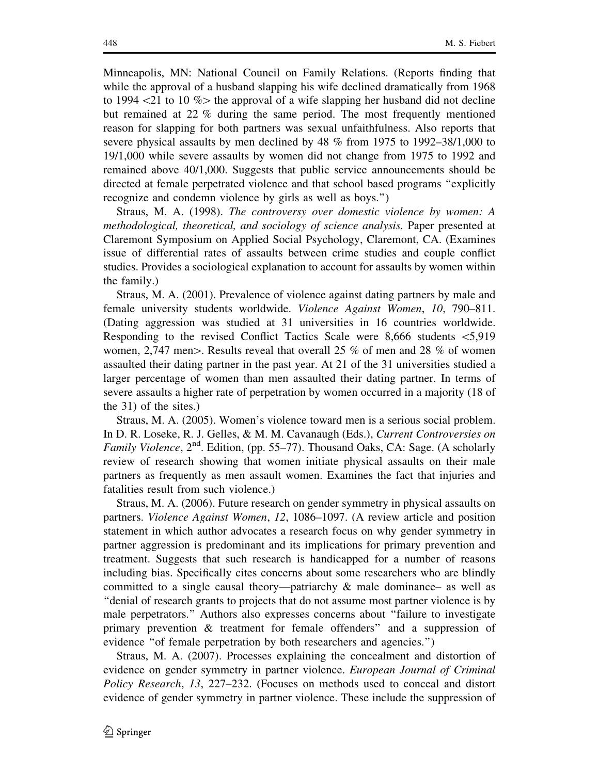Minneapolis, MN: National Council on Family Relations. (Reports finding that while the approval of a husband slapping his wife declined dramatically from 1968 to 1994  $\langle 21 \rangle$  to 10 % the approval of a wife slapping her husband did not decline but remained at 22 % during the same period. The most frequently mentioned reason for slapping for both partners was sexual unfaithfulness. Also reports that severe physical assaults by men declined by 48 % from 1975 to 1992–38/1,000 to 19/1,000 while severe assaults by women did not change from 1975 to 1992 and remained above 40/1,000. Suggests that public service announcements should be directed at female perpetrated violence and that school based programs ''explicitly recognize and condemn violence by girls as well as boys.'')

Straus, M. A. (1998). The controversy over domestic violence by women: A methodological, theoretical, and sociology of science analysis. Paper presented at Claremont Symposium on Applied Social Psychology, Claremont, CA. (Examines issue of differential rates of assaults between crime studies and couple conflict studies. Provides a sociological explanation to account for assaults by women within the family.)

Straus, M. A. (2001). Prevalence of violence against dating partners by male and female university students worldwide. Violence Against Women, 10, 790–811. (Dating aggression was studied at 31 universities in 16 countries worldwide. Responding to the revised Conflict Tactics Scale were 8,666 students  $\leq 5.919$ women, 2,747 men $>$ . Results reveal that overall 25 % of men and 28 % of women assaulted their dating partner in the past year. At 21 of the 31 universities studied a larger percentage of women than men assaulted their dating partner. In terms of severe assaults a higher rate of perpetration by women occurred in a majority (18 of the 31) of the sites.)

Straus, M. A. (2005). Women's violence toward men is a serious social problem. In D. R. Loseke, R. J. Gelles, & M. M. Cavanaugh (Eds.), Current Controversies on *Family Violence*,  $2^{nd}$ . Edition, (pp. 55–77). Thousand Oaks, CA: Sage. (A scholarly review of research showing that women initiate physical assaults on their male partners as frequently as men assault women. Examines the fact that injuries and fatalities result from such violence.)

Straus, M. A. (2006). Future research on gender symmetry in physical assaults on partners. Violence Against Women, 12, 1086–1097. (A review article and position statement in which author advocates a research focus on why gender symmetry in partner aggression is predominant and its implications for primary prevention and treatment. Suggests that such research is handicapped for a number of reasons including bias. Specifically cites concerns about some researchers who are blindly committed to a single causal theory—patriarchy  $\&$  male dominance— as well as ''denial of research grants to projects that do not assume most partner violence is by male perpetrators.'' Authors also expresses concerns about ''failure to investigate primary prevention & treatment for female offenders'' and a suppression of evidence "of female perpetration by both researchers and agencies.")

Straus, M. A. (2007). Processes explaining the concealment and distortion of evidence on gender symmetry in partner violence. European Journal of Criminal Policy Research, 13, 227–232. (Focuses on methods used to conceal and distort evidence of gender symmetry in partner violence. These include the suppression of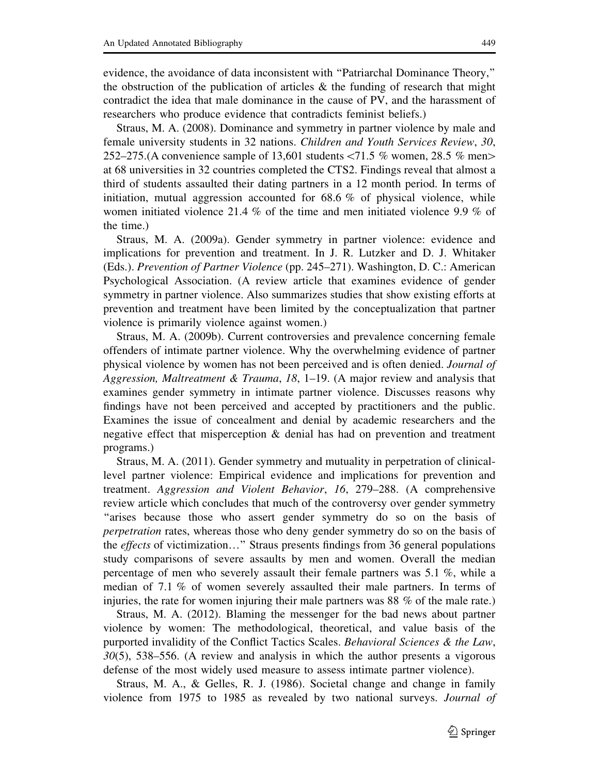evidence, the avoidance of data inconsistent with ''Patriarchal Dominance Theory,'' the obstruction of the publication of articles  $\&$  the funding of research that might contradict the idea that male dominance in the cause of PV, and the harassment of researchers who produce evidence that contradicts feminist beliefs.)

Straus, M. A. (2008). Dominance and symmetry in partner violence by male and female university students in 32 nations. Children and Youth Services Review, 30, 252–275.(A convenience sample of 13,601 students  $\langle71.5 \text{ % women}, 28.5 \text{ % men}\rangle$ at 68 universities in 32 countries completed the CTS2. Findings reveal that almost a third of students assaulted their dating partners in a 12 month period. In terms of initiation, mutual aggression accounted for  $68.6\%$  of physical violence, while women initiated violence 21.4 % of the time and men initiated violence 9.9 % of the time.)

Straus, M. A. (2009a). Gender symmetry in partner violence: evidence and implications for prevention and treatment. In J. R. Lutzker and D. J. Whitaker (Eds.). Prevention of Partner Violence (pp. 245–271). Washington, D. C.: American Psychological Association. (A review article that examines evidence of gender symmetry in partner violence. Also summarizes studies that show existing efforts at prevention and treatment have been limited by the conceptualization that partner violence is primarily violence against women.)

Straus, M. A. (2009b). Current controversies and prevalence concerning female offenders of intimate partner violence. Why the overwhelming evidence of partner physical violence by women has not been perceived and is often denied. Journal of Aggression, Maltreatment & Trauma, 18, 1–19. (A major review and analysis that examines gender symmetry in intimate partner violence. Discusses reasons why findings have not been perceived and accepted by practitioners and the public. Examines the issue of concealment and denial by academic researchers and the negative effect that misperception & denial has had on prevention and treatment programs.)

Straus, M. A. (2011). Gender symmetry and mutuality in perpetration of clinicallevel partner violence: Empirical evidence and implications for prevention and treatment. Aggression and Violent Behavior, 16, 279–288. (A comprehensive review article which concludes that much of the controversy over gender symmetry ''arises because those who assert gender symmetry do so on the basis of perpetration rates, whereas those who deny gender symmetry do so on the basis of the effects of victimization…'' Straus presents findings from 36 general populations study comparisons of severe assaults by men and women. Overall the median percentage of men who severely assault their female partners was 5.1 %, while a median of 7.1 % of women severely assaulted their male partners. In terms of injuries, the rate for women injuring their male partners was 88 % of the male rate.)

Straus, M. A. (2012). Blaming the messenger for the bad news about partner violence by women: The methodological, theoretical, and value basis of the purported invalidity of the Conflict Tactics Scales. Behavioral Sciences & the Law, 30(5), 538–556. (A review and analysis in which the author presents a vigorous defense of the most widely used measure to assess intimate partner violence).

Straus, M. A., & Gelles, R. J. (1986). Societal change and change in family violence from 1975 to 1985 as revealed by two national surveys. Journal of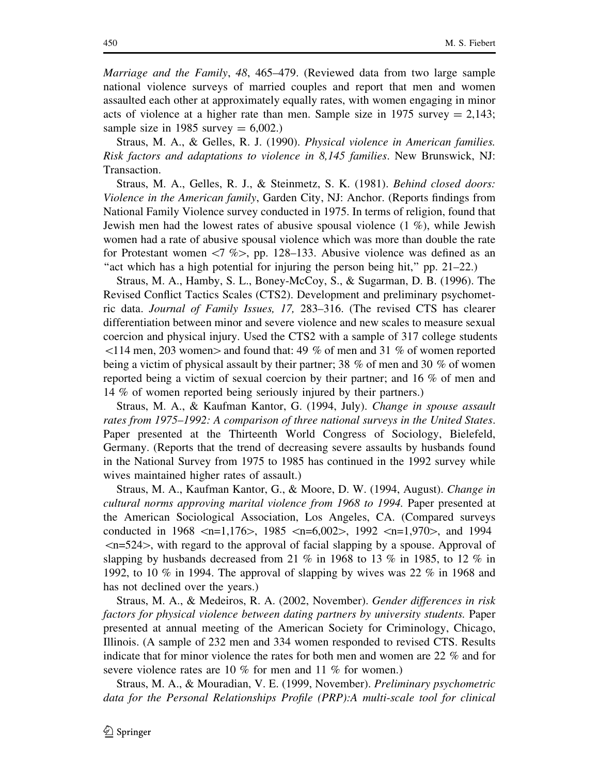Marriage and the Family, 48, 465–479. (Reviewed data from two large sample national violence surveys of married couples and report that men and women assaulted each other at approximately equally rates, with women engaging in minor acts of violence at a higher rate than men. Sample size in 1975 survey  $= 2.143$ ; sample size in 1985 survey  $= 6,002$ .)

Straus, M. A., & Gelles, R. J. (1990). Physical violence in American families. Risk factors and adaptations to violence in 8,145 families. New Brunswick, NJ: Transaction.

Straus, M. A., Gelles, R. J., & Steinmetz, S. K. (1981). Behind closed doors: Violence in the American family, Garden City, NJ: Anchor. (Reports findings from National Family Violence survey conducted in 1975. In terms of religion, found that Jewish men had the lowest rates of abusive spousal violence (1 %), while Jewish women had a rate of abusive spousal violence which was more than double the rate for Protestant women  $\langle 7 \, \%$ , pp. 128–133. Abusive violence was defined as an"act which has a high potential for injuring the person being hit," pp.  $21-22$ .)

Straus, M. A., Hamby, S. L., Boney-McCoy, S., & Sugarman, D. B. (1996). The Revised Conflict Tactics Scales (CTS2). Development and preliminary psychometric data. Journal of Family Issues, 17, 283–316. (The revised CTS has clearer differentiation between minor and severe violence and new scales to measure sexual coercion and physical injury. Used the CTS2 with a sample of 317 college students  $\leq$ 114 men, 203 women $>$  and found that: 49 % of men and 31 % of women reported being a victim of physical assault by their partner; 38 % of men and 30 % of women reported being a victim of sexual coercion by their partner; and 16 % of men and 14 % of women reported being seriously injured by their partners.)

Straus, M. A., & Kaufman Kantor, G. (1994, July). Change in spouse assault rates from 1975–1992: A comparison of three national surveys in the United States. Paper presented at the Thirteenth World Congress of Sociology, Bielefeld, Germany. (Reports that the trend of decreasing severe assaults by husbands found in the National Survey from 1975 to 1985 has continued in the 1992 survey while wives maintained higher rates of assault.)

Straus, M. A., Kaufman Kantor, G., & Moore, D. W. (1994, August). Change in cultural norms approving marital violence from 1968 to 1994. Paper presented at the American Sociological Association, Los Angeles, CA. (Compared surveys conducted in 1968  $\leq n=1,176$ , 1985  $\leq n=6,002$ , 1992  $\leq n=1,970$ , and 1994  $\langle n=524\rangle$ , with regard to the approval of facial slapping by a spouse. Approval of slapping by husbands decreased from 21 % in 1968 to 13 % in 1985, to 12 % in 1992, to 10 % in 1994. The approval of slapping by wives was 22 % in 1968 and has not declined over the years.)

Straus, M. A., & Medeiros, R. A. (2002, November). Gender differences in risk factors for physical violence between dating partners by university students. Paper presented at annual meeting of the American Society for Criminology, Chicago, Illinois. (A sample of 232 men and 334 women responded to revised CTS. Results indicate that for minor violence the rates for both men and women are 22 % and for severe violence rates are 10 % for men and 11 % for women.)

Straus, M. A., & Mouradian, V. E. (1999, November). Preliminary psychometric data for the Personal Relationships Profile (PRP):A multi-scale tool for clinical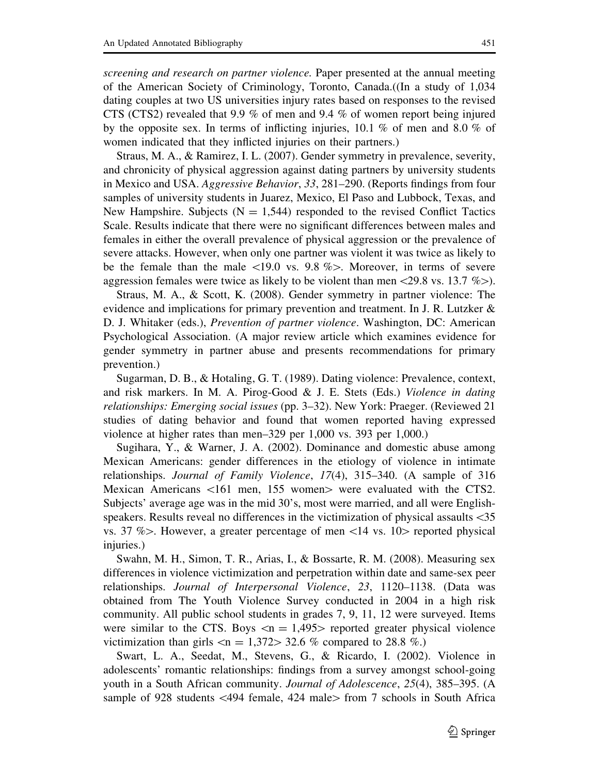screening and research on partner violence. Paper presented at the annual meeting of the American Society of Criminology, Toronto, Canada.((In a study of 1,034 dating couples at two US universities injury rates based on responses to the revised CTS (CTS2) revealed that 9.9 % of men and 9.4 % of women report being injured by the opposite sex. In terms of inflicting injuries, 10.1 % of men and 8.0 % of women indicated that they inflicted injuries on their partners.)

Straus, M. A., & Ramirez, I. L. (2007). Gender symmetry in prevalence, severity, and chronicity of physical aggression against dating partners by university students in Mexico and USA. Aggressive Behavior, 33, 281–290. (Reports findings from four samples of university students in Juarez, Mexico, El Paso and Lubbock, Texas, and New Hampshire. Subjects ( $N = 1,544$ ) responded to the revised Conflict Tactics Scale. Results indicate that there were no significant differences between males and females in either the overall prevalence of physical aggression or the prevalence of severe attacks. However, when only one partner was violent it was twice as likely to be the female than the male  $\langle 19.0 \rangle$  vs. 9.8 % $>$ . Moreover, in terms of severe aggression females were twice as likely to be violent than men $\langle 29.8 \text{ vs. } 13.7 \% \rangle$ .

Straus, M. A., & Scott, K. (2008). Gender symmetry in partner violence: The evidence and implications for primary prevention and treatment. In J. R. Lutzker  $\&$ D. J. Whitaker (eds.), Prevention of partner violence. Washington, DC: American Psychological Association. (A major review article which examines evidence for gender symmetry in partner abuse and presents recommendations for primary prevention.)

Sugarman, D. B., & Hotaling, G. T. (1989). Dating violence: Prevalence, context, and risk markers. In M. A. Pirog-Good & J. E. Stets (Eds.) Violence in dating relationships: Emerging social issues (pp. 3–32). New York: Praeger. (Reviewed 21 studies of dating behavior and found that women reported having expressed violence at higher rates than men–329 per 1,000 vs. 393 per 1,000.)

Sugihara, Y., & Warner, J. A. (2002). Dominance and domestic abuse among Mexican Americans: gender differences in the etiology of violence in intimate relationships. Journal of Family Violence, 17(4), 315–340. (A sample of 316 Mexican Americans  $\langle 161 \rangle$  men, 155 women $>$  were evaluated with the CTS2. Subjects' average age was in the mid 30's, most were married, and all were Englishspeakers. Results reveal no differences in the victimization of physical assaults  $\leq 35$ vs. 37 %. However, a greater percentage of men  $\langle 14 \rangle$  vs. 10. reported physical injuries.)

Swahn, M. H., Simon, T. R., Arias, I., & Bossarte, R. M. (2008). Measuring sex differences in violence victimization and perpetration within date and same-sex peer relationships. Journal of Interpersonal Violence, 23, 1120–1138. (Data was obtained from The Youth Violence Survey conducted in 2004 in a high risk community. All public school students in grades 7, 9, 11, 12 were surveyed. Items were similar to the CTS. Boys  $\langle n = 1,495 \rangle$  reported greater physical violence victimization than girls  $\langle n = 1,372 \rangle$  32.6 % compared to 28.8 %.)

Swart, L. A., Seedat, M., Stevens, G., & Ricardo, I. (2002). Violence in adolescents' romantic relationships: findings from a survey amongst school-going youth in a South African community. Journal of Adolescence, 25(4), 385–395. (A sample of 928 students  $\langle 494 \text{ female}, 424 \text{ male} \rangle$  from 7 schools in South Africa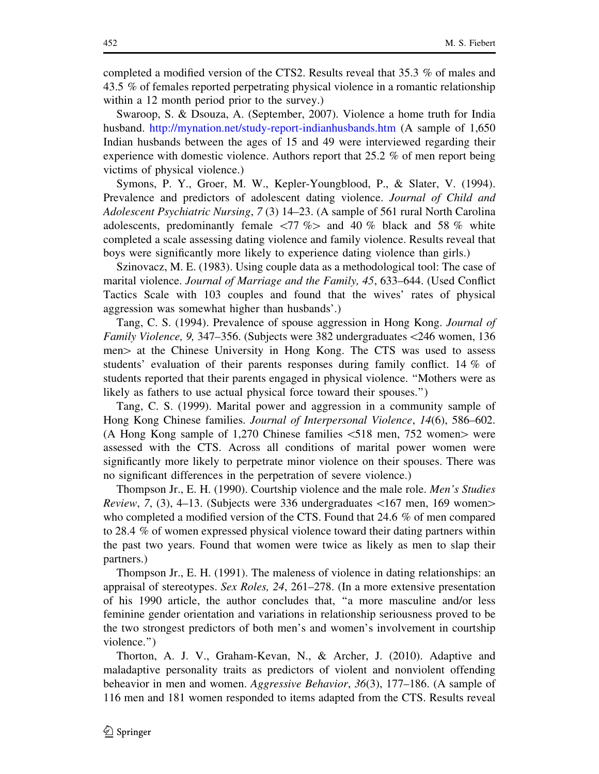completed a modified version of the CTS2. Results reveal that 35.3 % of males and 43.5 % of females reported perpetrating physical violence in a romantic relationship within a 12 month period prior to the survey.)

Swaroop, S. & Dsouza, A. (September, 2007). Violence a home truth for India husband. http://mynation.net/study-report-indianhusbands.htm (A sample of 1,650 Indian husbands between the ages of 15 and 49 were interviewed regarding their experience with domestic violence. Authors report that 25.2 % of men report being victims of physical violence.)

Symons, P. Y., Groer, M. W., Kepler-Youngblood, P., & Slater, V. (1994). Prevalence and predictors of adolescent dating violence. Journal of Child and Adolescent Psychiatric Nursing, 7 (3) 14–23. (A sample of 561 rural North Carolina adolescents, predominantly female  $\langle 77 \, \% \rangle$  and 40 % black and 58 % white completed a scale assessing dating violence and family violence. Results reveal that boys were significantly more likely to experience dating violence than girls.)

Szinovacz, M. E. (1983). Using couple data as a methodological tool: The case of marital violence. Journal of Marriage and the Family, 45, 633–644. (Used Conflict Tactics Scale with 103 couples and found that the wives' rates of physical aggression was somewhat higher than husbands'.)

Tang, C. S. (1994). Prevalence of spouse aggression in Hong Kong. Journal of *Family Violence, 9, 347–356.* (Subjects were 382 undergraduates  $\langle 246$  women, 136 men is at the Chinese University in Hong Kong. The CTS was used to assess students' evaluation of their parents responses during family conflict. 14 % of students reported that their parents engaged in physical violence. ''Mothers were as likely as fathers to use actual physical force toward their spouses.'')

Tang, C. S. (1999). Marital power and aggression in a community sample of Hong Kong Chinese families. Journal of Interpersonal Violence, 14(6), 586–602. (A Hong Kong sample of 1,270 Chinese families  $\lt 518$  men, 752 women $>$  were assessed with the CTS. Across all conditions of marital power women were significantly more likely to perpetrate minor violence on their spouses. There was no significant differences in the perpetration of severe violence.)

Thompson Jr., E. H. (1990). Courtship violence and the male role. Men's Studies *Review, 7, (3), 4–13. (Subjects were 336 undergraduates*  $\lt 167$  *men, 169 women* who completed a modified version of the CTS. Found that 24.6 % of men compared to 28.4 % of women expressed physical violence toward their dating partners within the past two years. Found that women were twice as likely as men to slap their partners.)

Thompson Jr., E. H. (1991). The maleness of violence in dating relationships: an appraisal of stereotypes. Sex Roles, 24, 261–278. (In a more extensive presentation of his 1990 article, the author concludes that, ''a more masculine and/or less feminine gender orientation and variations in relationship seriousness proved to be the two strongest predictors of both men's and women's involvement in courtship violence.'')

Thorton, A. J. V., Graham-Kevan, N., & Archer, J. (2010). Adaptive and maladaptive personality traits as predictors of violent and nonviolent offending beheavior in men and women. Aggressive Behavior, 36(3), 177–186. (A sample of 116 men and 181 women responded to items adapted from the CTS. Results reveal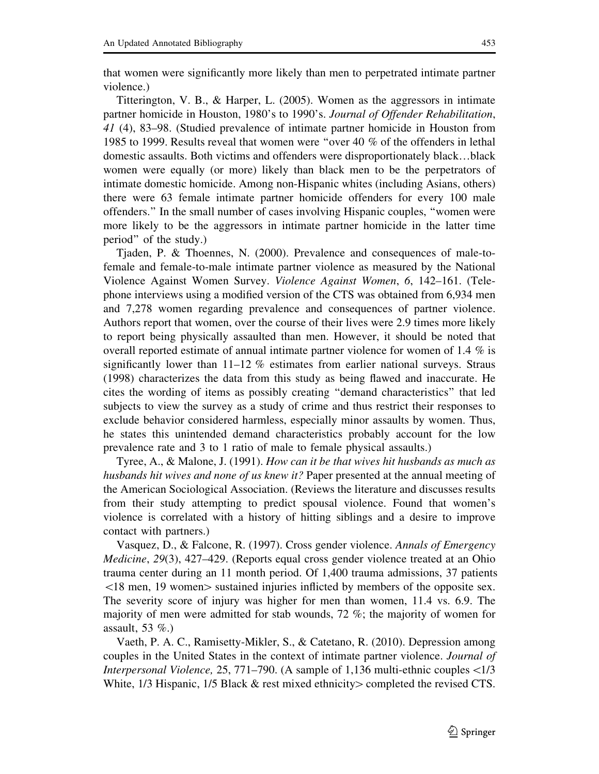that women were significantly more likely than men to perpetrated intimate partner violence.)

Titterington, V. B., & Harper, L. (2005). Women as the aggressors in intimate partner homicide in Houston, 1980's to 1990's. Journal of Offender Rehabilitation, 41 (4), 83–98. (Studied prevalence of intimate partner homicide in Houston from 1985 to 1999. Results reveal that women were ''over 40 % of the offenders in lethal domestic assaults. Both victims and offenders were disproportionately black…black women were equally (or more) likely than black men to be the perpetrators of intimate domestic homicide. Among non-Hispanic whites (including Asians, others) there were 63 female intimate partner homicide offenders for every 100 male offenders.'' In the small number of cases involving Hispanic couples, ''women were more likely to be the aggressors in intimate partner homicide in the latter time period'' of the study.)

Tjaden, P. & Thoennes, N. (2000). Prevalence and consequences of male-tofemale and female-to-male intimate partner violence as measured by the National Violence Against Women Survey. Violence Against Women, 6, 142–161. (Telephone interviews using a modified version of the CTS was obtained from 6,934 men and 7,278 women regarding prevalence and consequences of partner violence. Authors report that women, over the course of their lives were 2.9 times more likely to report being physically assaulted than men. However, it should be noted that overall reported estimate of annual intimate partner violence for women of 1.4 % is significantly lower than  $11-12$  % estimates from earlier national surveys. Straus (1998) characterizes the data from this study as being flawed and inaccurate. He cites the wording of items as possibly creating ''demand characteristics'' that led subjects to view the survey as a study of crime and thus restrict their responses to exclude behavior considered harmless, especially minor assaults by women. Thus, he states this unintended demand characteristics probably account for the low prevalence rate and 3 to 1 ratio of male to female physical assaults.)

Tyree, A., & Malone, J. (1991). How can it be that wives hit husbands as much as husbands hit wives and none of us knew it? Paper presented at the annual meeting of the American Sociological Association. (Reviews the literature and discusses results from their study attempting to predict spousal violence. Found that women's violence is correlated with a history of hitting siblings and a desire to improve contact with partners.)

Vasquez, D., & Falcone, R. (1997). Cross gender violence. Annals of Emergency Medicine, 29(3), 427–429. (Reports equal cross gender violence treated at an Ohio trauma center during an 11 month period. Of 1,400 trauma admissions, 37 patients  $\langle 18 \text{ men}, 19 \text{ women} \rangle$  sustained injuries inflicted by members of the opposite sex. The severity score of injury was higher for men than women, 11.4 vs. 6.9. The majority of men were admitted for stab wounds, 72 %; the majority of women for assault, 53 %.)

Vaeth, P. A. C., Ramisetty-Mikler, S., & Catetano, R. (2010). Depression among couples in the United States in the context of intimate partner violence. Journal of *Interpersonal Violence,* 25, 771–790. (A sample of 1,136 multi-ethnic couples  $\langle 1/3$ White,  $1/3$  Hispanic,  $1/5$  Black & rest mixed ethnicity completed the revised CTS.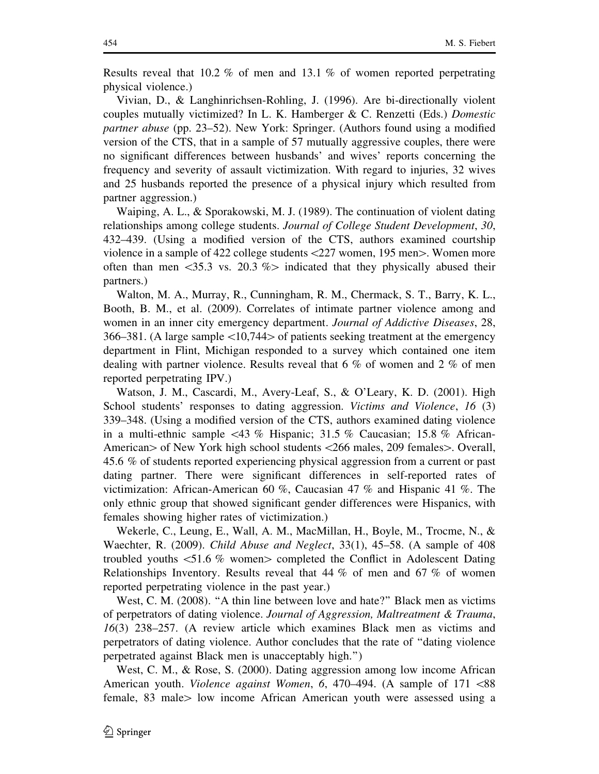Results reveal that 10.2 % of men and 13.1 % of women reported perpetrating physical violence.)

Vivian, D., & Langhinrichsen-Rohling, J. (1996). Are bi-directionally violent couples mutually victimized? In L. K. Hamberger & C. Renzetti (Eds.) Domestic partner abuse (pp. 23–52). New York: Springer. (Authors found using a modified version of the CTS, that in a sample of 57 mutually aggressive couples, there were no significant differences between husbands' and wives' reports concerning the frequency and severity of assault victimization. With regard to injuries, 32 wives and 25 husbands reported the presence of a physical injury which resulted from partner aggression.)

Waiping, A. L., & Sporakowski, M. J. (1989). The continuation of violent dating relationships among college students. Journal of College Student Development, 30, 432–439. (Using a modified version of the CTS, authors examined courtship violence in a sample of 422 college students  $\langle 227 \rangle$  women, 195 men $\rangle$ . Women more often than men  $\langle 35.3 \rangle$  vs. 20.3 % indicated that they physically abused their partners.)

Walton, M. A., Murray, R., Cunningham, R. M., Chermack, S. T., Barry, K. L., Booth, B. M., et al. (2009). Correlates of intimate partner violence among and women in an inner city emergency department. Journal of Addictive Diseases, 28, 366–381. (A large sample  $\langle 10,744 \rangle$  of patients seeking treatment at the emergency department in Flint, Michigan responded to a survey which contained one item dealing with partner violence. Results reveal that 6 % of women and 2 % of men reported perpetrating IPV.)

Watson, J. M., Cascardi, M., Avery-Leaf, S., & O'Leary, K. D. (2001). High School students' responses to dating aggression. *Victims and Violence*, 16 (3) 339–348. (Using a modified version of the CTS, authors examined dating violence in a multi-ethnic sample  $\langle 43 \, \%$  Hispanic; 31.5 % Caucasian; 15.8 % African-American  $>$  of New York high school students  $<266$  males, 209 females  $>$ . Overall, 45.6 % of students reported experiencing physical aggression from a current or past dating partner. There were significant differences in self-reported rates of victimization: African-American 60 %, Caucasian 47 % and Hispanic 41 %. The only ethnic group that showed significant gender differences were Hispanics, with females showing higher rates of victimization.)

Wekerle, C., Leung, E., Wall, A. M., MacMillan, H., Boyle, M., Trocme, N., & Waechter, R. (2009). *Child Abuse and Neglect*, 33(1), 45–58. (A sample of 408 troubled youths  $\lt$ 51.6 % women $>$  completed the Conflict in Adolescent Dating Relationships Inventory. Results reveal that 44 % of men and 67 % of women reported perpetrating violence in the past year.)

West, C. M. (2008). "A thin line between love and hate?" Black men as victims of perpetrators of dating violence. Journal of Aggression, Maltreatment & Trauma, 16(3) 238–257. (A review article which examines Black men as victims and perpetrators of dating violence. Author concludes that the rate of ''dating violence perpetrated against Black men is unacceptably high.'')

West, C. M., & Rose, S. (2000). Dating aggression among low income African American youth. *Violence against Women*,  $6, 470-494$ . (A sample of  $171 < 88$ ) female, 83 male > low income African American youth were assessed using a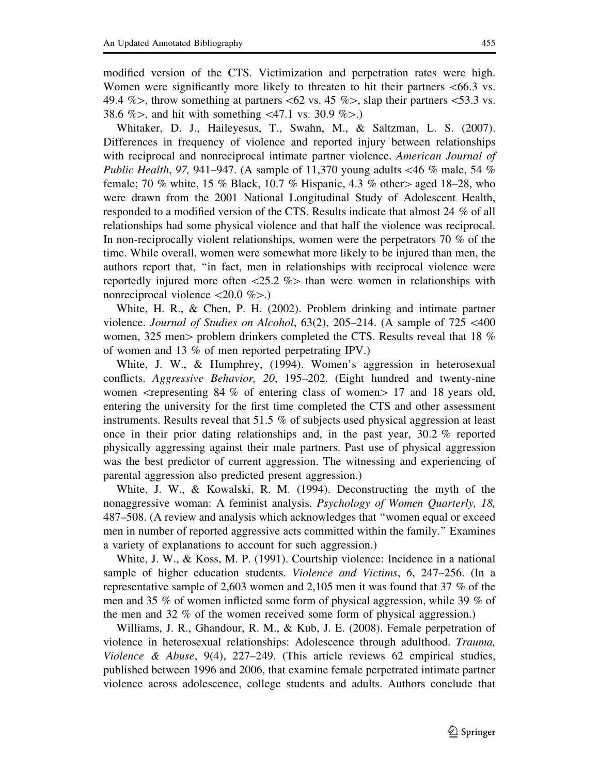modified version of the CTS. Victimization and perpetration rates were high. Women were significantly more likely to threaten to hit their partners  $\leq 66.3$  vs. 49.4 % $>$ , throw something at partners  $<\!62$  vs. 45 % $>$ , slap their partners  $<\!53.3$  vs. 38.6 %>, and hit with something  $\langle 47.1 \rangle$  vs. 30.9 %>.)

Whitaker, D. J., Haileyesus, T., Swahn, M., & Saltzman, L. S. (2007). Differences in frequency of violence and reported injury between relationships with reciprocal and nonreciprocal intimate partner violence. American Journal of Public Health, 97, 941–947. (A sample of 11,370 young adults  $\lt$ 46 % male, 54 % female; 70 % white, 15 % Black, 10.7 % Hispanic, 4.3 % other aged 18–28, who were drawn from the 2001 National Longitudinal Study of Adolescent Health, responded to a modified version of the CTS. Results indicate that almost 24 % of all relationships had some physical violence and that half the violence was reciprocal. In non-reciprocally violent relationships, women were the perpetrators 70 % of the time. While overall, women were somewhat more likely to be injured than men, the authors report that, ''in fact, men in relationships with reciprocal violence were reportedly injured more often  $\langle 25.2 \% \rangle$  than were women in relationships with nonreciprocal violence  $\langle 20.0 \% \rangle$ .)

White, H. R., & Chen, P. H. (2002). Problem drinking and intimate partner violence. Journal of Studies on Alcohol,  $63(2)$ ,  $205-214$ . (A sample of  $725 \le 400$ women, 325 men $>$  problem drinkers completed the CTS. Results reveal that 18 % of women and 13 % of men reported perpetrating IPV.)

White, J. W., & Humphrey, (1994). Women's aggression in heterosexual conflicts. Aggressive Behavior, 20, 195–202. (Eight hundred and twenty-nine women  $\alpha$  -representing 84 % of entering class of women  $\alpha$  17 and 18 years old, entering the university for the first time completed the CTS and other assessment instruments. Results reveal that 51.5 % of subjects used physical aggression at least once in their prior dating relationships and, in the past year,  $30.2\%$  reported physically aggressing against their male partners. Past use of physical aggression was the best predictor of current aggression. The witnessing and experiencing of parental aggression also predicted present aggression.)

White, J. W., & Kowalski, R. M. (1994). Deconstructing the myth of the nonaggressive woman: A feminist analysis. Psychology of Women Quarterly, 18, 487–508. (A review and analysis which acknowledges that ''women equal or exceed men in number of reported aggressive acts committed within the family.'' Examines a variety of explanations to account for such aggression.)

White, J. W., & Koss, M. P. (1991). Courtship violence: Incidence in a national sample of higher education students. Violence and Victims, 6, 247–256. (In a representative sample of 2,603 women and 2,105 men it was found that 37 % of the men and 35 % of women inflicted some form of physical aggression, while 39 % of the men and 32 % of the women received some form of physical aggression.)

Williams, J. R., Ghandour, R. M., & Kub, J. E. (2008). Female perpetration of violence in heterosexual relationships: Adolescence through adulthood. Trauma, Violence & Abuse, 9(4), 227–249. (This article reviews 62 empirical studies, published between 1996 and 2006, that examine female perpetrated intimate partner violence across adolescence, college students and adults. Authors conclude that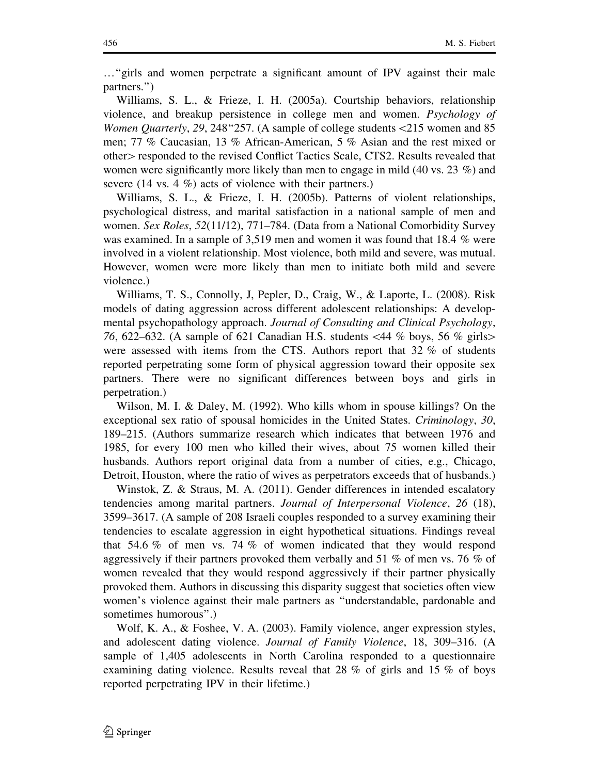…''girls and women perpetrate a significant amount of IPV against their male partners.'')

Williams, S. L., & Frieze, I. H. (2005a). Courtship behaviors, relationship violence, and breakup persistence in college men and women. Psychology of Women Quarterly, 29, 248 "257. (A sample of college students <215 women and 85 men; 77 % Caucasian, 13 % African-American, 5 % Asian and the rest mixed or other > responded to the revised Conflict Tactics Scale, CTS2. Results revealed that women were significantly more likely than men to engage in mild  $(40 \text{ vs. } 23 \%)$  and severe (14 vs. 4 %) acts of violence with their partners.)

Williams, S. L., & Frieze, I. H. (2005b). Patterns of violent relationships, psychological distress, and marital satisfaction in a national sample of men and women. Sex Roles, 52(11/12), 771–784. (Data from a National Comorbidity Survey was examined. In a sample of 3,519 men and women it was found that 18.4 % were involved in a violent relationship. Most violence, both mild and severe, was mutual. However, women were more likely than men to initiate both mild and severe violence.)

Williams, T. S., Connolly, J, Pepler, D., Craig, W., & Laporte, L. (2008). Risk models of dating aggression across different adolescent relationships: A developmental psychopathology approach. Journal of Consulting and Clinical Psychology, 76, 622–632. (A sample of 621 Canadian H.S. students  $\langle 44 \, \%$  boys, 56  $\%$  girls>were assessed with items from the CTS. Authors report that 32 % of students reported perpetrating some form of physical aggression toward their opposite sex partners. There were no significant differences between boys and girls in perpetration.)

Wilson, M. I. & Daley, M. (1992). Who kills whom in spouse killings? On the exceptional sex ratio of spousal homicides in the United States. Criminology, 30, 189–215. (Authors summarize research which indicates that between 1976 and 1985, for every 100 men who killed their wives, about 75 women killed their husbands. Authors report original data from a number of cities, e.g., Chicago, Detroit, Houston, where the ratio of wives as perpetrators exceeds that of husbands.)

Winstok, Z. & Straus, M. A. (2011). Gender differences in intended escalatory tendencies among marital partners. Journal of Interpersonal Violence, 26 (18), 3599–3617. (A sample of 208 Israeli couples responded to a survey examining their tendencies to escalate aggression in eight hypothetical situations. Findings reveal that 54.6 % of men vs. 74 % of women indicated that they would respond aggressively if their partners provoked them verbally and 51 % of men vs. 76 % of women revealed that they would respond aggressively if their partner physically provoked them. Authors in discussing this disparity suggest that societies often view women's violence against their male partners as ''understandable, pardonable and sometimes humorous''.)

Wolf, K. A., & Foshee, V. A. (2003). Family violence, anger expression styles, and adolescent dating violence. Journal of Family Violence, 18, 309–316. (A sample of 1,405 adolescents in North Carolina responded to a questionnaire examining dating violence. Results reveal that 28 % of girls and 15 % of boys reported perpetrating IPV in their lifetime.)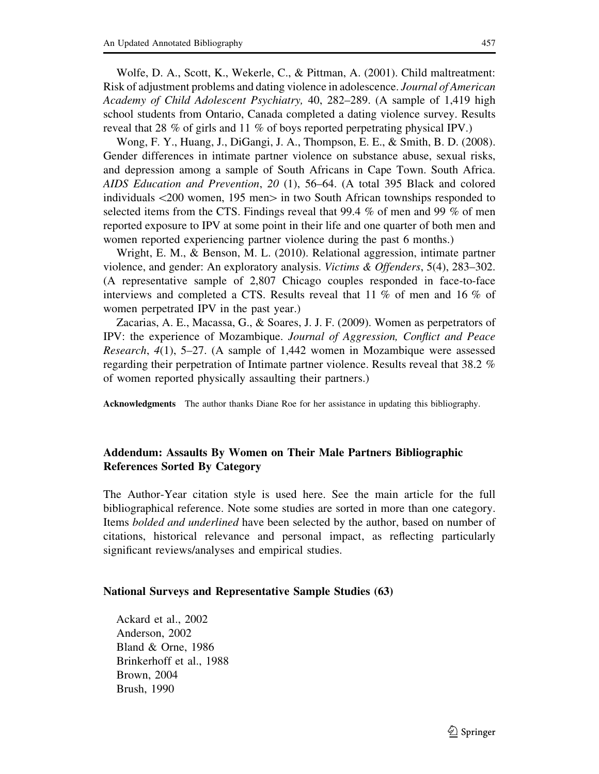Wolfe, D. A., Scott, K., Wekerle, C., & Pittman, A. (2001). Child maltreatment: Risk of adjustment problems and dating violence in adolescence. Journal of American Academy of Child Adolescent Psychiatry, 40, 282–289. (A sample of 1,419 high school students from Ontario, Canada completed a dating violence survey. Results reveal that 28 % of girls and 11 % of boys reported perpetrating physical IPV.)

Wong, F. Y., Huang, J., DiGangi, J. A., Thompson, E. E., & Smith, B. D. (2008). Gender differences in intimate partner violence on substance abuse, sexual risks, and depression among a sample of South Africans in Cape Town. South Africa. AIDS Education and Prevention, 20 (1), 56–64. (A total 395 Black and colored individuals  $\langle 200 \rangle$  women, 195 men $>$  in two South African townships responded to selected items from the CTS. Findings reveal that 99.4 % of men and 99 % of men reported exposure to IPV at some point in their life and one quarter of both men and women reported experiencing partner violence during the past 6 months.)

Wright, E. M., & Benson, M. L. (2010). Relational aggression, intimate partner violence, and gender: An exploratory analysis. Victims & Offenders, 5(4), 283–302. (A representative sample of 2,807 Chicago couples responded in face-to-face interviews and completed a CTS. Results reveal that 11 % of men and 16 % of women perpetrated IPV in the past year.)

Zacarias, A. E., Macassa, G., & Soares, J. J. F. (2009). Women as perpetrators of IPV: the experience of Mozambique. Journal of Aggression, Conflict and Peace Research, 4(1), 5–27. (A sample of 1,442 women in Mozambique were assessed regarding their perpetration of Intimate partner violence. Results reveal that 38.2 % of women reported physically assaulting their partners.)

Acknowledgments The author thanks Diane Roe for her assistance in updating this bibliography.

## Addendum: Assaults By Women on Their Male Partners Bibliographic References Sorted By Category

The Author-Year citation style is used here. See the main article for the full bibliographical reference. Note some studies are sorted in more than one category. Items bolded and underlined have been selected by the author, based on number of citations, historical relevance and personal impact, as reflecting particularly significant reviews/analyses and empirical studies.

## National Surveys and Representative Sample Studies (63)

Ackard et al., 2002 Anderson, 2002 Bland & Orne, 1986 Brinkerhoff et al., 1988 Brown, 2004 Brush, 1990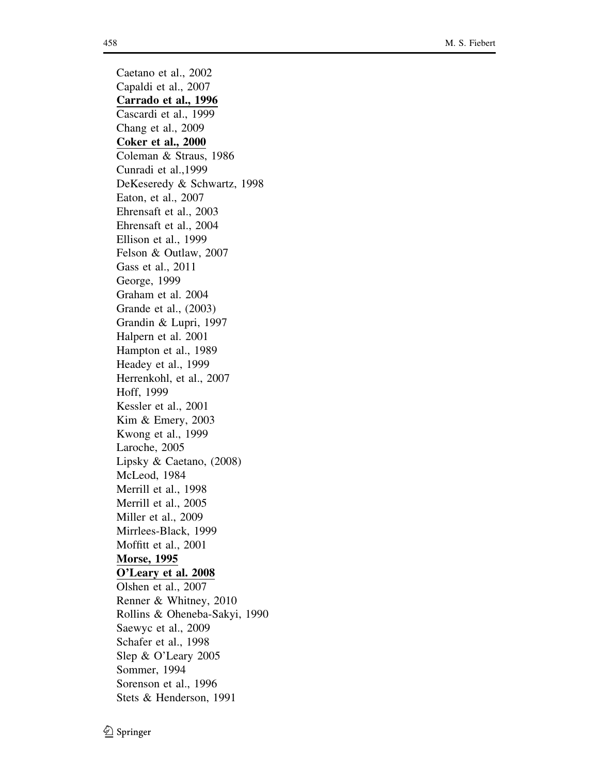Caetano et al., 2002 Capaldi et al., 2007 Carrado et al., 1996 Cascardi et al., 1999 Chang et al., 2009 Coker et al., 2000 Coleman & Straus, 1986 Cunradi et al.,1999 DeKeseredy & Schwartz, 1998 Eaton, et al., 2007 Ehrensaft et al., 2003 Ehrensaft et al., 2004 Ellison et al., 1999 Felson & Outlaw, 2007 Gass et al., 2011 George, 1999 Graham et al. 2004 Grande et al., (2003) Grandin & Lupri, 1997 Halpern et al. 2001 Hampton et al., 1989 Headey et al., 1999 Herrenkohl, et al., 2007 Hoff, 1999 Kessler et al., 2001 Kim & Emery, 2003 Kwong et al., 1999 Laroche, 2005 Lipsky & Caetano, (2008) McLeod, 1984 Merrill et al., 1998 Merrill et al., 2005 Miller et al., 2009 Mirrlees-Black, 1999 Moffitt et al., 2001 Morse, 1995 O'Leary et al. 2008 Olshen et al., 2007 Renner & Whitney, 2010 Rollins & Oheneba-Sakyi, 1990 Saewyc et al., 2009 Schafer et al., 1998 Slep & O'Leary 2005 Sommer, 1994 Sorenson et al., 1996 Stets & Henderson, 1991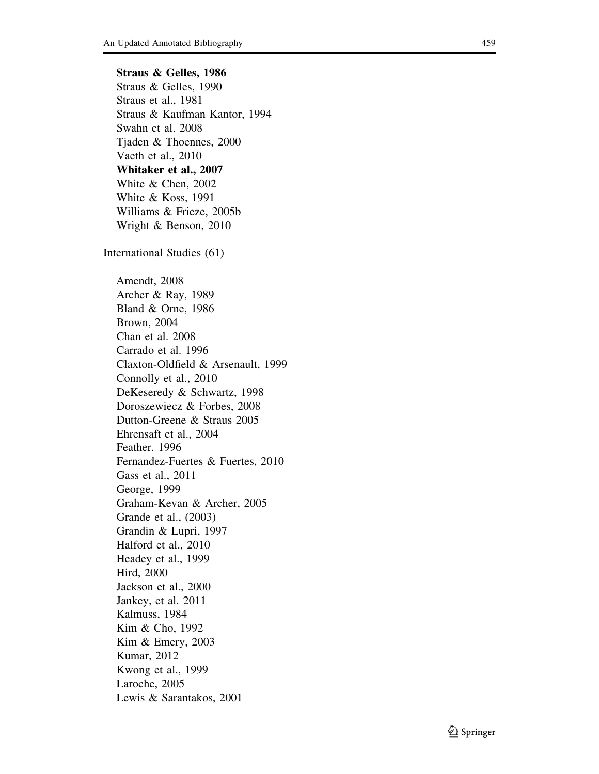## Straus & Gelles, 1986

Straus & Gelles, 1990 Straus et al., 1981 Straus & Kaufman Kantor, 1994 Swahn et al. 2008 Tjaden & Thoennes, 2000 Vaeth et al., 2010 Whitaker et al., 2007 White & Chen, 2002 White & Koss, 1991 Williams & Frieze, 2005b Wright & Benson, 2010 International Studies (61) Amendt, 2008 Archer & Ray, 1989 Bland & Orne, 1986 Brown, 2004 Chan et al. 2008 Carrado et al. 1996 Claxton-Oldfield & Arsenault, 1999 Connolly et al., 2010 DeKeseredy & Schwartz, 1998 Doroszewiecz & Forbes, 2008 Dutton-Greene & Straus 2005 Ehrensaft et al., 2004 Feather. 1996 Fernandez-Fuertes & Fuertes, 2010 Gass et al., 2011 George, 1999 Graham-Kevan & Archer, 2005 Grande et al., (2003) Grandin & Lupri, 1997 Halford et al., 2010 Headey et al., 1999 Hird, 2000 Jackson et al., 2000 Jankey, et al. 2011 Kalmuss, 1984 Kim & Cho, 1992 Kim & Emery, 2003 Kumar, 2012 Kwong et al., 1999 Laroche, 2005 Lewis & Sarantakos, 2001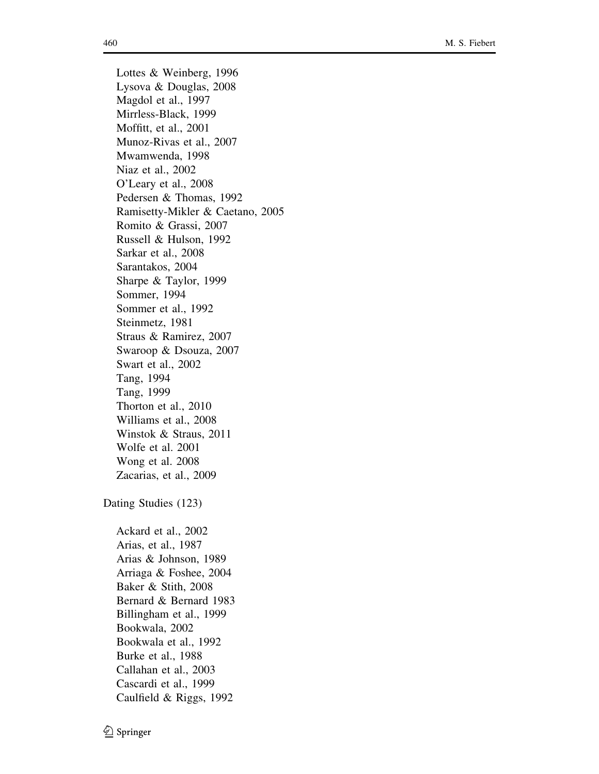Lottes & Weinberg, 1996 Lysova & Douglas, 2008 Magdol et al., 1997 Mirrless-Black, 1999 Moffitt, et al., 2001 Munoz-Rivas et al., 2007 Mwamwenda, 1998 Niaz et al., 2002 O'Leary et al., 2008 Pedersen & Thomas, 1992 Ramisetty-Mikler & Caetano, 2005 Romito & Grassi, 2007 Russell & Hulson, 1992 Sarkar et al., 2008 Sarantakos, 2004 Sharpe & Taylor, 1999 Sommer, 1994 Sommer et al., 1992 Steinmetz, 1981 Straus & Ramirez, 2007 Swaroop & Dsouza, 2007 Swart et al., 2002 Tang, 1994 Tang, 1999 Thorton et al., 2010 Williams et al., 2008 Winstok & Straus, 2011 Wolfe et al. 2001 Wong et al. 2008 Zacarias, et al., 2009 Dating Studies (123) Ackard et al., 2002 Arias, et al., 1987 Arias & Johnson, 1989 Arriaga & Foshee, 2004 Baker & Stith, 2008 Bernard & Bernard 1983 Billingham et al., 1999 Bookwala, 2002 Bookwala et al., 1992 Burke et al., 1988

Callahan et al., 2003 Cascardi et al., 1999 Caulfield & Riggs, 1992

 $\bigcirc$  Springer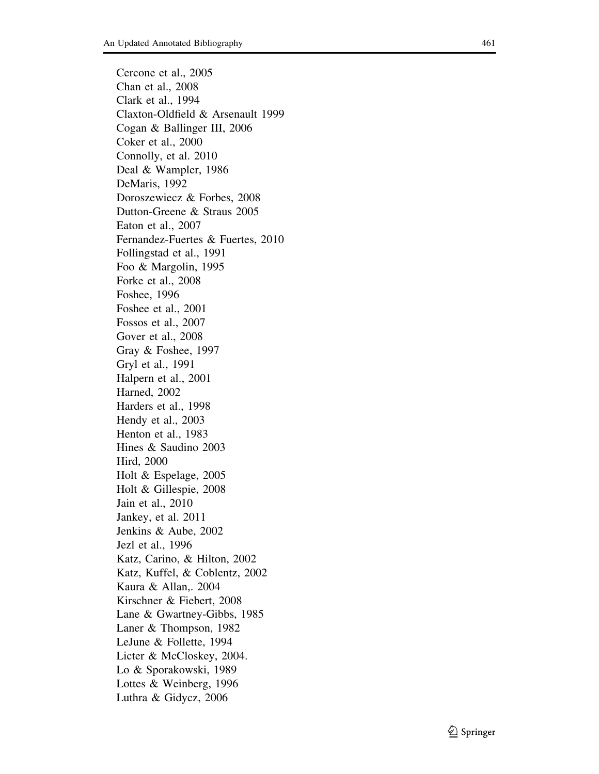Cercone et al., 2005 Chan et al., 2008 Clark et al., 1994 Claxton-Oldfield & Arsenault 1999 Cogan & Ballinger III, 2006 Coker et al., 2000 Connolly, et al. 2010 Deal & Wampler, 1986 DeMaris, 1992 Doroszewiecz & Forbes, 2008 Dutton-Greene & Straus 2005 Eaton et al., 2007 Fernandez-Fuertes & Fuertes, 2010 Follingstad et al., 1991 Foo & Margolin, 1995 Forke et al., 2008 Foshee, 1996 Foshee et al., 2001 Fossos et al., 2007 Gover et al., 2008 Gray & Foshee, 1997 Gryl et al., 1991 Halpern et al., 2001 Harned, 2002 Harders et al., 1998 Hendy et al., 2003 Henton et al., 1983 Hines & Saudino 2003 Hird, 2000 Holt & Espelage, 2005 Holt & Gillespie, 2008 Jain et al., 2010 Jankey, et al. 2011 Jenkins & Aube, 2002 Jezl et al., 1996 Katz, Carino, & Hilton, 2002 Katz, Kuffel, & Coblentz, 2002 Kaura & Allan,. 2004 Kirschner & Fiebert, 2008 Lane & Gwartney-Gibbs, 1985 Laner & Thompson, 1982 LeJune & Follette, 1994 Licter & McCloskey, 2004. Lo & Sporakowski, 1989 Lottes & Weinberg, 1996 Luthra & Gidycz, 2006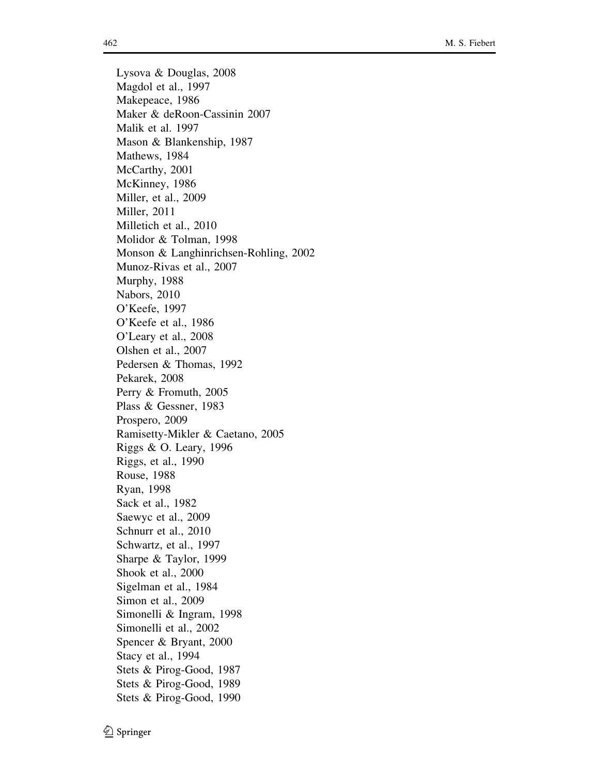Lysova & Douglas, 2008 Magdol et al., 1997 Makepeace, 1986 Maker & deRoon-Cassinin 2007 Malik et al. 1997 Mason & Blankenship, 1987 Mathews, 1984 McCarthy, 2001 McKinney, 1986 Miller, et al., 2009 Miller, 2011 Milletich et al., 2010 Molidor & Tolman, 1998 Monson & Langhinrichsen-Rohling, 2002 Munoz-Rivas et al., 2007 Murphy, 1988 Nabors, 2010 O'Keefe, 1997 O'Keefe et al., 1986 O'Leary et al., 2008 Olshen et al., 2007 Pedersen & Thomas, 1992 Pekarek, 2008 Perry & Fromuth, 2005 Plass & Gessner, 1983 Prospero, 2009 Ramisetty-Mikler & Caetano, 2005 Riggs & O. Leary, 1996 Riggs, et al., 1990 Rouse, 1988 Ryan, 1998 Sack et al., 1982 Saewyc et al., 2009 Schnurr et al., 2010 Schwartz, et al., 1997 Sharpe & Taylor, 1999 Shook et al., 2000 Sigelman et al., 1984 Simon et al., 2009 Simonelli & Ingram, 1998 Simonelli et al., 2002 Spencer & Bryant, 2000 Stacy et al., 1994 Stets & Pirog-Good, 1987 Stets & Pirog-Good, 1989 Stets & Pirog-Good, 1990

 $\textcircled{2}$  Springer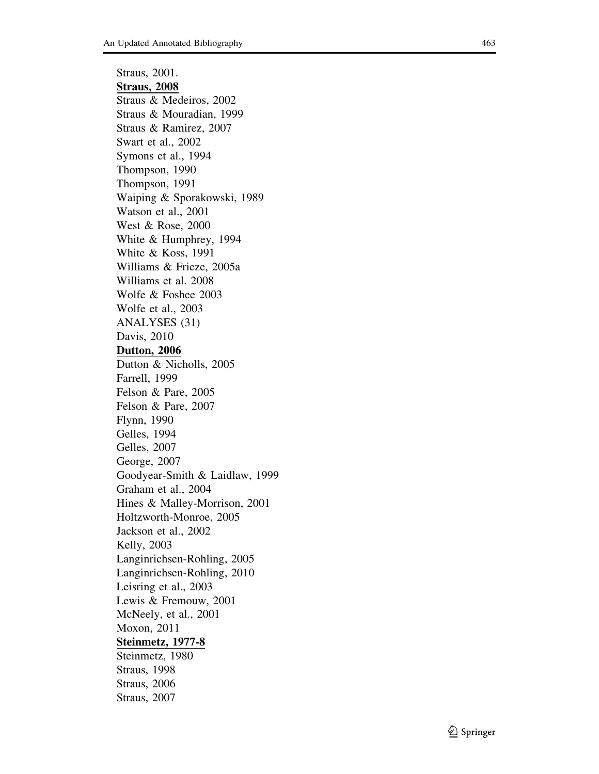Straus, 2001. Straus, 2008 Straus & Medeiros, 2002 Straus & Mouradian, 1999 Straus & Ramirez, 2007 Swart et al., 2002 Symons et al., 1994 Thompson, 1990 Thompson, 1991 Waiping & Sporakowski, 1989 Watson et al., 2001 West & Rose, 2000 White & Humphrey, 1994 White & Koss, 1991 Williams & Frieze, 2005a Williams et al. 2008 Wolfe & Foshee 2003 Wolfe et al., 2003 ANALYSES (31) Davis, 2010 Dutton, 2006 Dutton & Nicholls, 2005 Farrell, 1999 Felson & Pare, 2005 Felson & Pare, 2007 Flynn, 1990 Gelles, 1994 Gelles, 2007 George, 2007 Goodyear-Smith & Laidlaw, 1999 Graham et al., 2004 Hines & Malley-Morrison, 2001 Holtzworth-Monroe, 2005 Jackson et al., 2002 Kelly, 2003 Langinrichsen-Rohling, 2005 Langinrichsen-Rohling, 2010 Leisring et al., 2003 Lewis & Fremouw, 2001 McNeely, et al., 2001 Moxon, 2011 Steinmetz, 1977-8 Steinmetz, 1980 Straus, 1998 Straus, 2006 Straus, 2007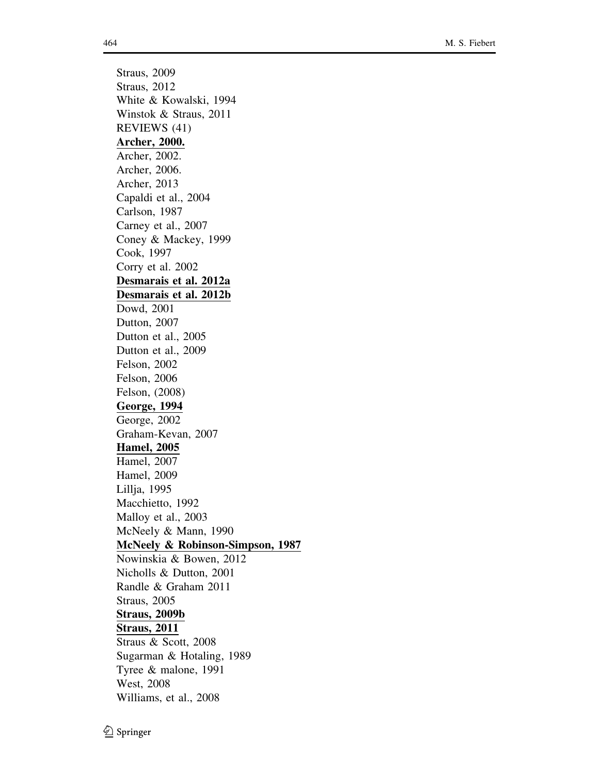Straus, 2009 Straus, 2012 White & Kowalski, 1994 Winstok & Straus, 2011 REVIEWS (41) Archer, 2000. Archer, 2002. Archer, 2006. Archer, 2013 Capaldi et al., 2004 Carlson, 1987 Carney et al., 2007 Coney & Mackey, 1999 Cook, 1997 Corry et al. 2002 Desmarais et al. 2012a Desmarais et al. 2012b Dowd, 2001 Dutton, 2007 Dutton et al., 2005 Dutton et al., 2009 Felson, 2002 Felson, 2006 Felson, (2008) George, 1994 George, 2002 Graham-Kevan, 2007 Hamel, 2005 Hamel, 2007 Hamel, 2009 Lillja, 1995 Macchietto, 1992 Malloy et al., 2003 McNeely & Mann, 1990 McNeely & Robinson-Simpson, 1987 Nowinskia & Bowen, 2012 Nicholls & Dutton, 2001 Randle & Graham 2011 Straus, 2005 Straus, 2009b Straus, 2011 Straus & Scott, 2008 Sugarman & Hotaling, 1989 Tyree & malone, 1991 West, 2008 Williams, et al., 2008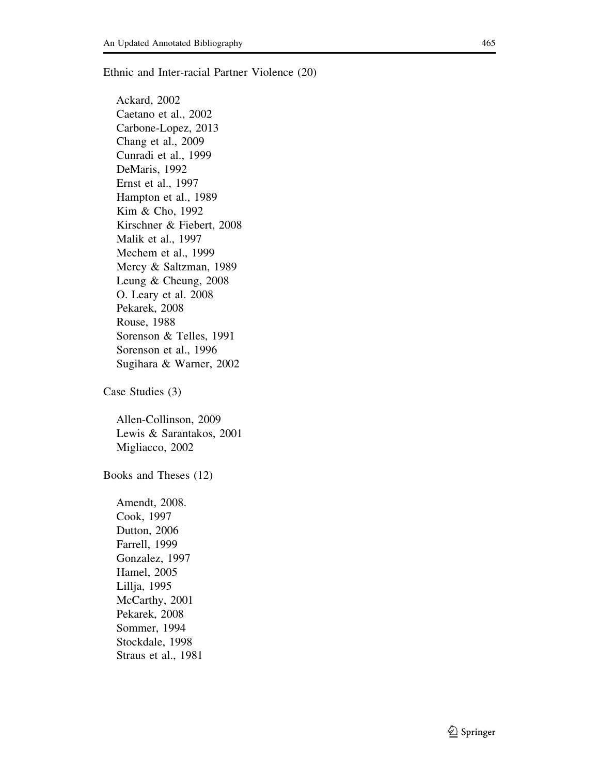Ethnic and Inter-racial Partner Violence (20)

Ackard, 2002 Caetano et al., 2002 Carbone-Lopez, 2013 Chang et al., 2009 Cunradi et al., 1999 DeMaris, 1992 Ernst et al., 1997 Hampton et al., 1989 Kim & Cho, 1992 Kirschner & Fiebert, 2008 Malik et al., 1997 Mechem et al., 1999 Mercy & Saltzman, 1989 Leung & Cheung, 2008 O. Leary et al. 2008 Pekarek, 2008 Rouse, 1988 Sorenson & Telles, 1991 Sorenson et al., 1996 Sugihara & Warner, 2002

Case Studies (3)

Allen-Collinson, 2009 Lewis & Sarantakos, 2001 Migliacco, 2002

Books and Theses (12)

Amendt, 2008. Cook, 1997 Dutton, 2006 Farrell, 1999 Gonzalez, 1997 Hamel, 2005 Lillja, 1995 McCarthy, 2001 Pekarek, 2008 Sommer, 1994 Stockdale, 1998 Straus et al., 1981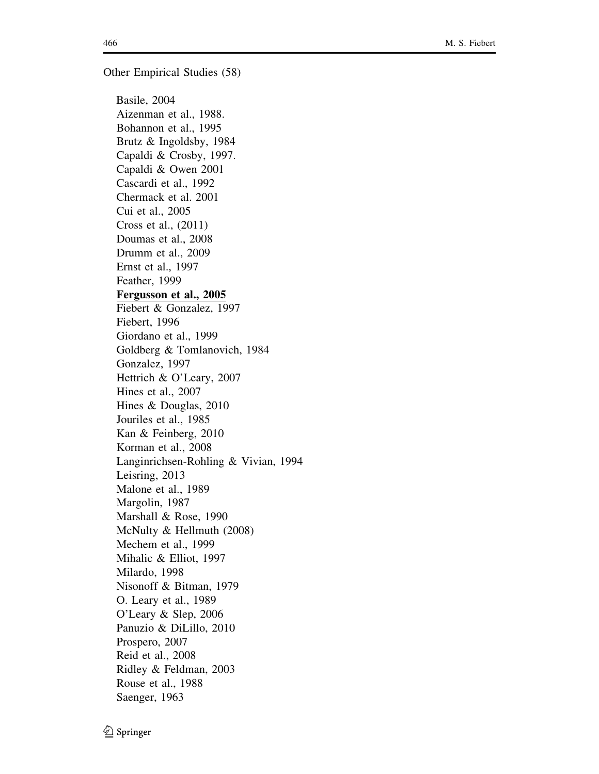Other Empirical Studies (58)

Basile, 2004 Aizenman et al., 1988. Bohannon et al., 1995 Brutz & Ingoldsby, 1984 Capaldi & Crosby, 1997. Capaldi & Owen 2001 Cascardi et al., 1992 Chermack et al. 2001 Cui et al., 2005 Cross et al., (2011) Doumas et al., 2008 Drumm et al., 2009 Ernst et al., 1997 Feather, 1999 Fergusson et al., 2005 Fiebert & Gonzalez, 1997 Fiebert, 1996 Giordano et al., 1999 Goldberg & Tomlanovich, 1984 Gonzalez, 1997 Hettrich & O'Leary, 2007 Hines et al., 2007 Hines & Douglas, 2010 Jouriles et al., 1985 Kan & Feinberg, 2010 Korman et al., 2008 Langinrichsen-Rohling & Vivian, 1994 Leisring, 2013 Malone et al., 1989 Margolin, 1987 Marshall & Rose, 1990 McNulty & Hellmuth (2008) Mechem et al., 1999 Mihalic & Elliot, 1997 Milardo, 1998 Nisonoff & Bitman, 1979 O. Leary et al., 1989 O'Leary & Slep, 2006 Panuzio & DiLillo, 2010 Prospero, 2007 Reid et al., 2008 Ridley & Feldman, 2003 Rouse et al., 1988 Saenger, 1963

 $\textcircled{2}$  Springer